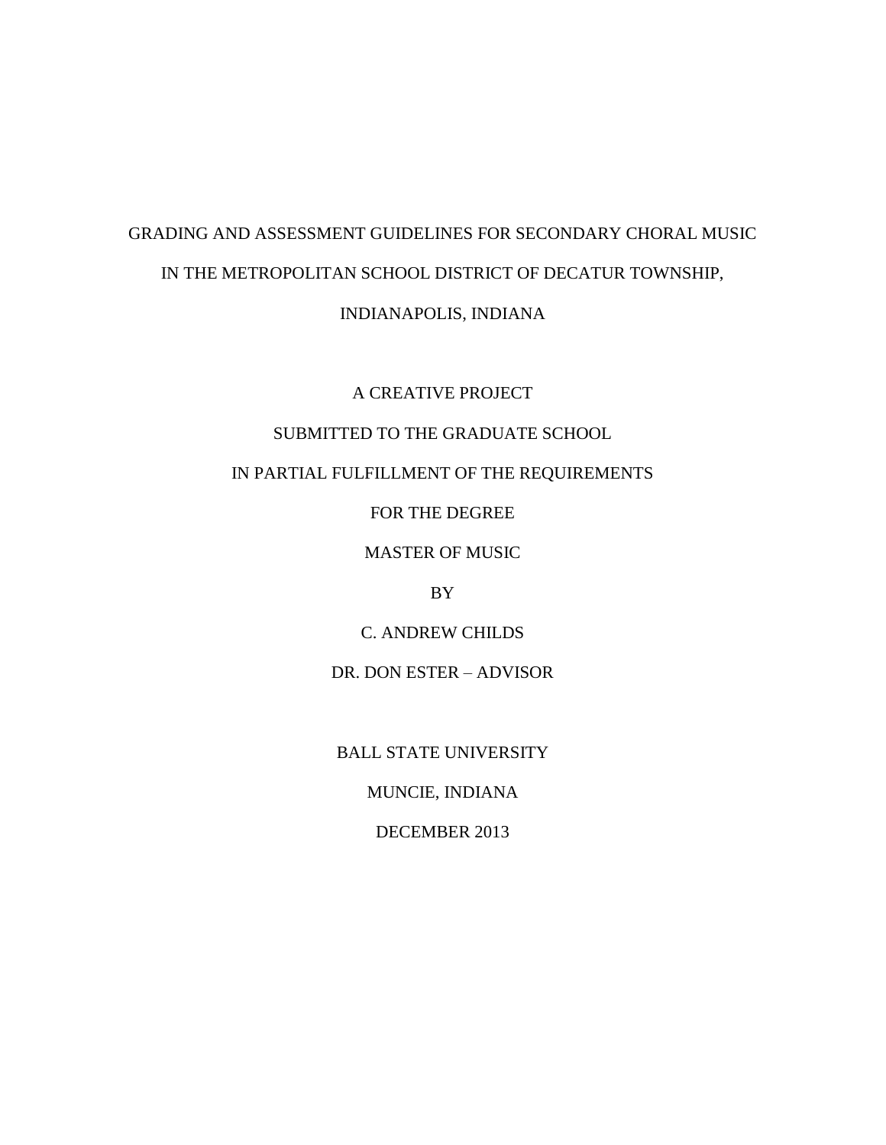# GRADING AND ASSESSMENT GUIDELINES FOR SECONDARY CHORAL MUSIC IN THE METROPOLITAN SCHOOL DISTRICT OF DECATUR TOWNSHIP, INDIANAPOLIS, INDIANA

A CREATIVE PROJECT

## SUBMITTED TO THE GRADUATE SCHOOL

## IN PARTIAL FULFILLMENT OF THE REQUIREMENTS

FOR THE DEGREE

MASTER OF MUSIC

## BY

C. ANDREW CHILDS

DR. DON ESTER – ADVISOR

BALL STATE UNIVERSITY

MUNCIE, INDIANA

DECEMBER 2013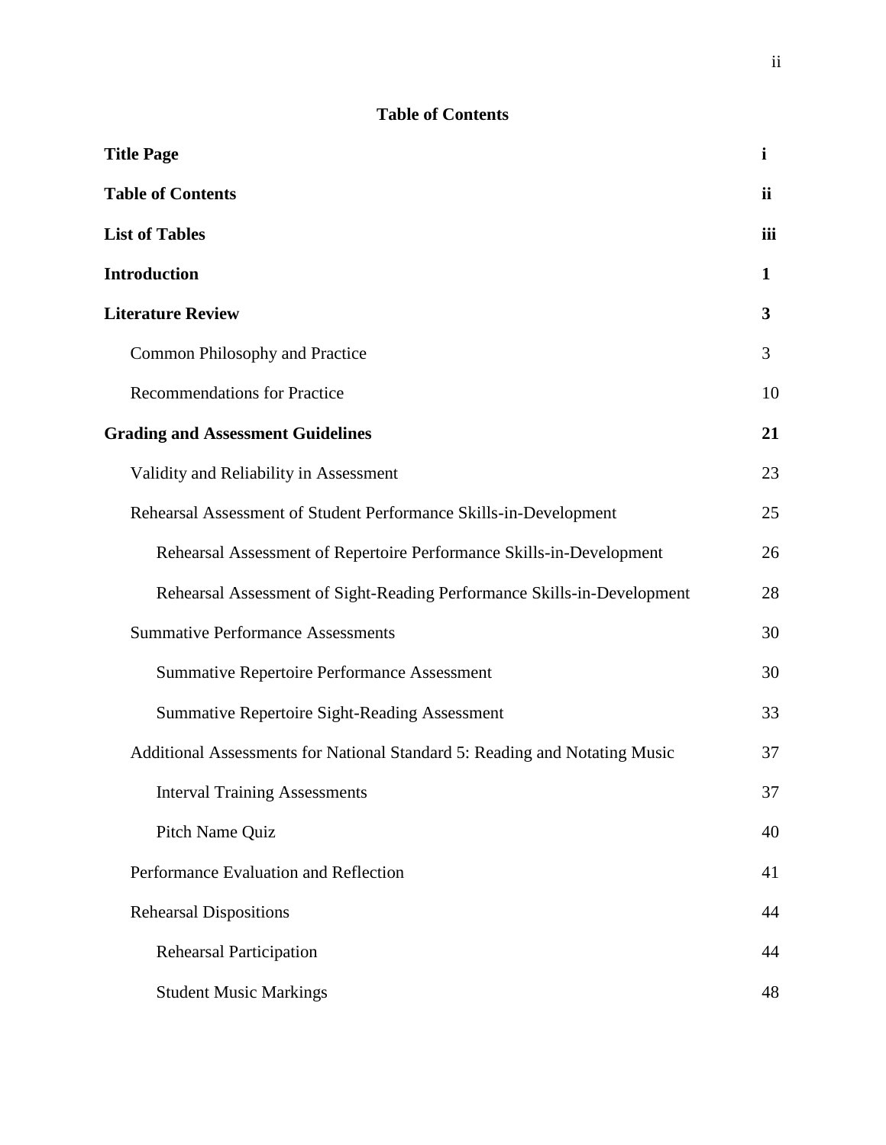# **Table of Contents**

| <b>Title Page</b>                                                          | i   |
|----------------------------------------------------------------------------|-----|
| <b>Table of Contents</b>                                                   | ii  |
| <b>List of Tables</b>                                                      | iii |
| <b>Introduction</b>                                                        | 1   |
| <b>Literature Review</b>                                                   | 3   |
| Common Philosophy and Practice                                             | 3   |
| <b>Recommendations for Practice</b>                                        | 10  |
| <b>Grading and Assessment Guidelines</b>                                   | 21  |
| Validity and Reliability in Assessment                                     | 23  |
| Rehearsal Assessment of Student Performance Skills-in-Development          | 25  |
| Rehearsal Assessment of Repertoire Performance Skills-in-Development       | 26  |
| Rehearsal Assessment of Sight-Reading Performance Skills-in-Development    | 28  |
| <b>Summative Performance Assessments</b>                                   | 30  |
| <b>Summative Repertoire Performance Assessment</b>                         | 30  |
| <b>Summative Repertoire Sight-Reading Assessment</b>                       | 33  |
| Additional Assessments for National Standard 5: Reading and Notating Music | 37  |
| <b>Interval Training Assessments</b>                                       | 37  |
| Pitch Name Quiz                                                            | 40  |
| Performance Evaluation and Reflection                                      | 41  |
| <b>Rehearsal Dispositions</b>                                              | 44  |
| <b>Rehearsal Participation</b>                                             | 44  |
| <b>Student Music Markings</b>                                              | 48  |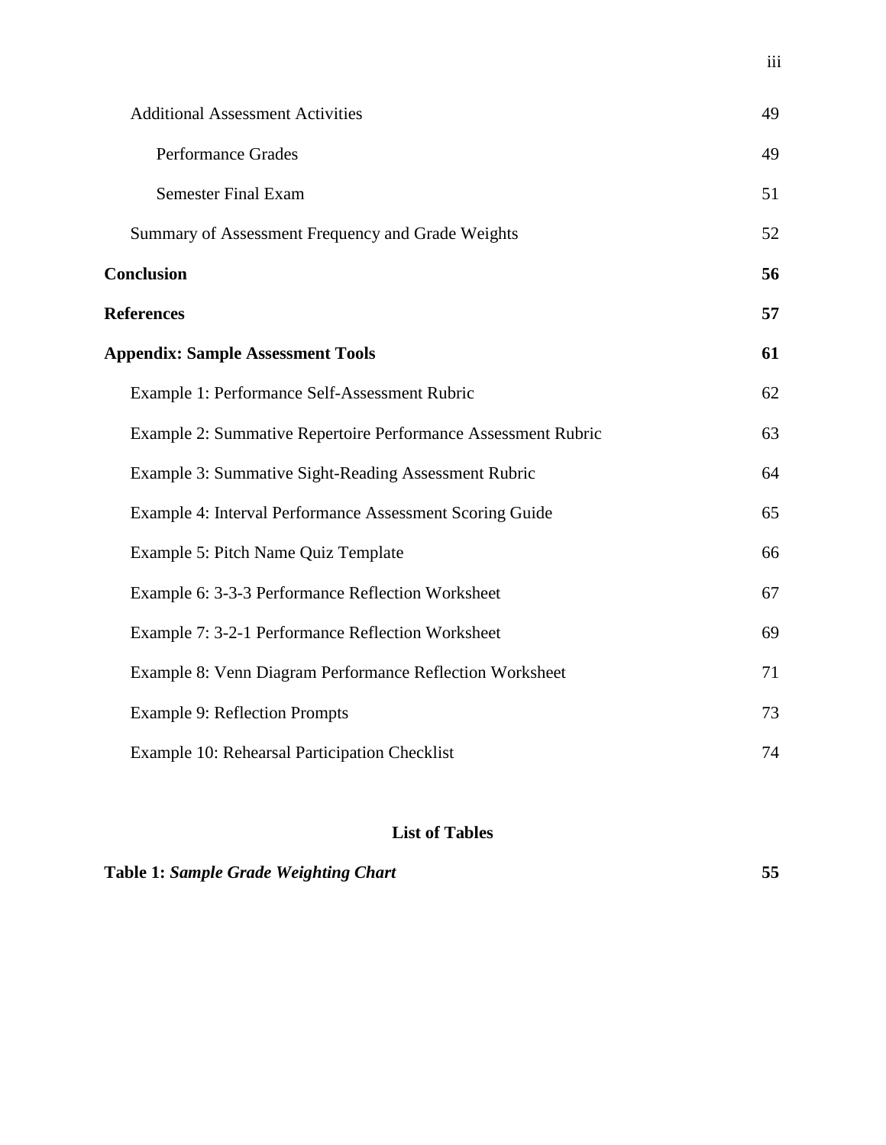| <b>Additional Assessment Activities</b>                       | 49 |
|---------------------------------------------------------------|----|
| <b>Performance Grades</b>                                     | 49 |
| <b>Semester Final Exam</b>                                    | 51 |
| Summary of Assessment Frequency and Grade Weights             | 52 |
| <b>Conclusion</b>                                             | 56 |
| <b>References</b>                                             | 57 |
| <b>Appendix: Sample Assessment Tools</b>                      | 61 |
| Example 1: Performance Self-Assessment Rubric                 | 62 |
| Example 2: Summative Repertoire Performance Assessment Rubric | 63 |
| Example 3: Summative Sight-Reading Assessment Rubric          | 64 |
| Example 4: Interval Performance Assessment Scoring Guide      | 65 |
| Example 5: Pitch Name Quiz Template                           | 66 |
| Example 6: 3-3-3 Performance Reflection Worksheet             | 67 |
| Example 7: 3-2-1 Performance Reflection Worksheet             | 69 |
| Example 8: Venn Diagram Performance Reflection Worksheet      | 71 |
| <b>Example 9: Reflection Prompts</b>                          | 73 |
| Example 10: Rehearsal Participation Checklist                 | 74 |

# **List of Tables**

# **Table 1:** *Sample Grade Weighting Chart* **55**

iii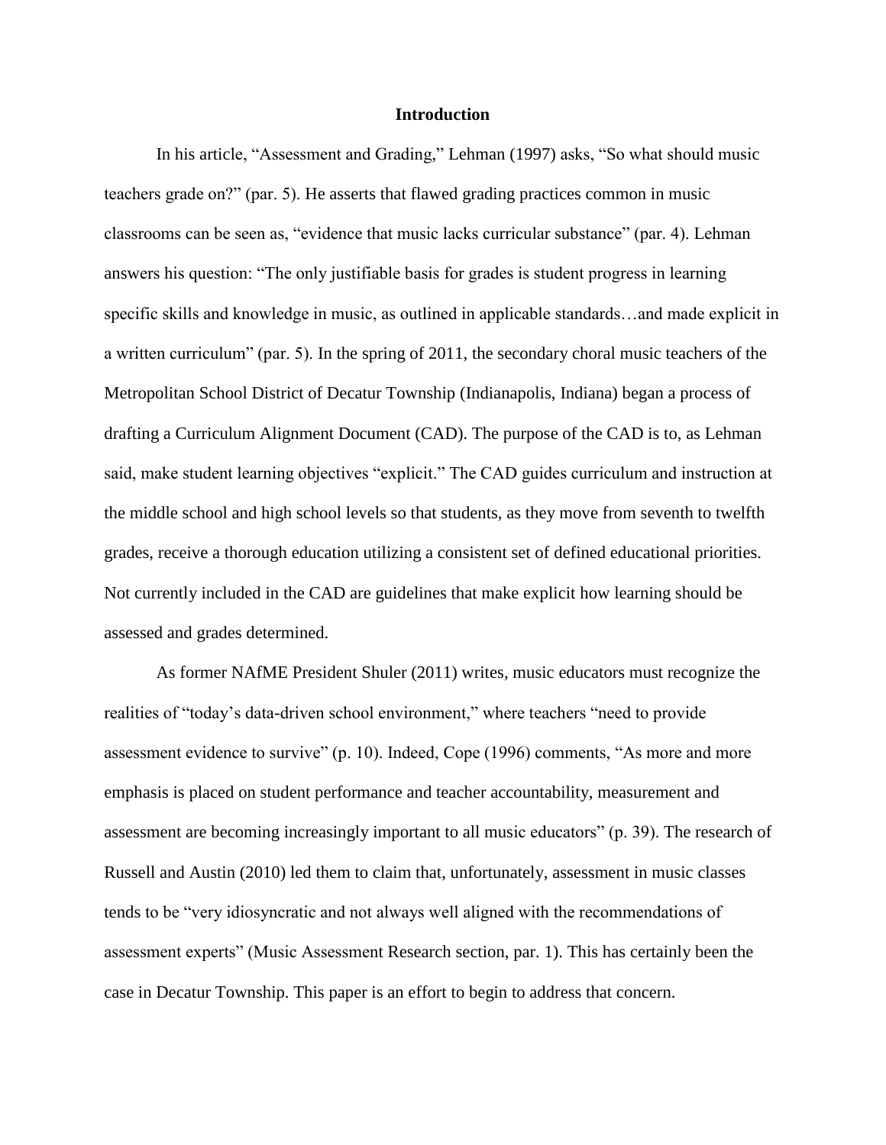#### **Introduction**

In his article, "Assessment and Grading," Lehman (1997) asks, "So what should music teachers grade on?" (par. 5). He asserts that flawed grading practices common in music classrooms can be seen as, "evidence that music lacks curricular substance" (par. 4). Lehman answers his question: "The only justifiable basis for grades is student progress in learning specific skills and knowledge in music, as outlined in applicable standards…and made explicit in a written curriculum" (par. 5). In the spring of 2011, the secondary choral music teachers of the Metropolitan School District of Decatur Township (Indianapolis, Indiana) began a process of drafting a Curriculum Alignment Document (CAD). The purpose of the CAD is to, as Lehman said, make student learning objectives "explicit." The CAD guides curriculum and instruction at the middle school and high school levels so that students, as they move from seventh to twelfth grades, receive a thorough education utilizing a consistent set of defined educational priorities. Not currently included in the CAD are guidelines that make explicit how learning should be assessed and grades determined.

As former NAfME President Shuler (2011) writes, music educators must recognize the realities of "today's data-driven school environment," where teachers "need to provide assessment evidence to survive" (p. 10). Indeed, Cope (1996) comments, "As more and more emphasis is placed on student performance and teacher accountability, measurement and assessment are becoming increasingly important to all music educators" (p. 39). The research of Russell and Austin (2010) led them to claim that, unfortunately, assessment in music classes tends to be "very idiosyncratic and not always well aligned with the recommendations of assessment experts" (Music Assessment Research section, par. 1). This has certainly been the case in Decatur Township. This paper is an effort to begin to address that concern.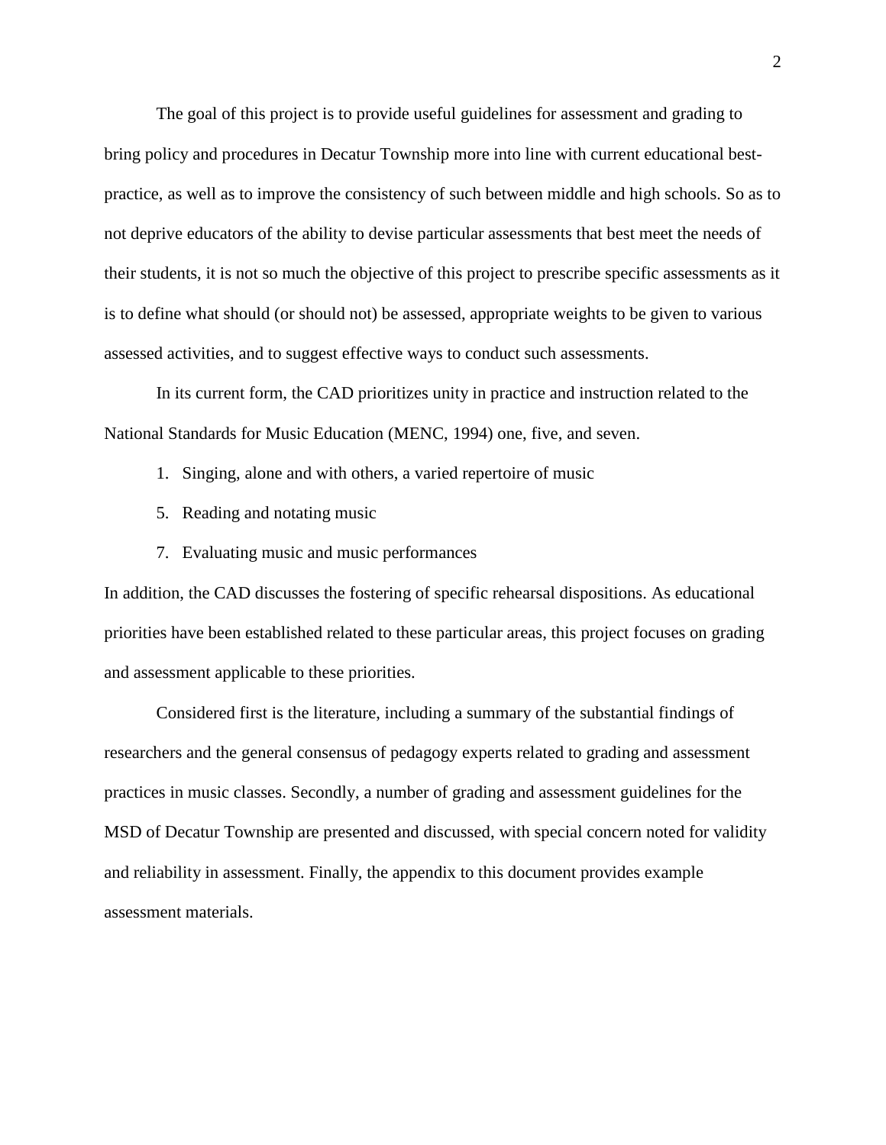The goal of this project is to provide useful guidelines for assessment and grading to bring policy and procedures in Decatur Township more into line with current educational bestpractice, as well as to improve the consistency of such between middle and high schools. So as to not deprive educators of the ability to devise particular assessments that best meet the needs of their students, it is not so much the objective of this project to prescribe specific assessments as it is to define what should (or should not) be assessed, appropriate weights to be given to various assessed activities, and to suggest effective ways to conduct such assessments.

In its current form, the CAD prioritizes unity in practice and instruction related to the National Standards for Music Education (MENC, 1994) one, five, and seven.

- 1. Singing, alone and with others, a varied repertoire of music
- 5. Reading and notating music
- 7. Evaluating music and music performances

In addition, the CAD discusses the fostering of specific rehearsal dispositions. As educational priorities have been established related to these particular areas, this project focuses on grading and assessment applicable to these priorities.

Considered first is the literature, including a summary of the substantial findings of researchers and the general consensus of pedagogy experts related to grading and assessment practices in music classes. Secondly, a number of grading and assessment guidelines for the MSD of Decatur Township are presented and discussed, with special concern noted for validity and reliability in assessment. Finally, the appendix to this document provides example assessment materials.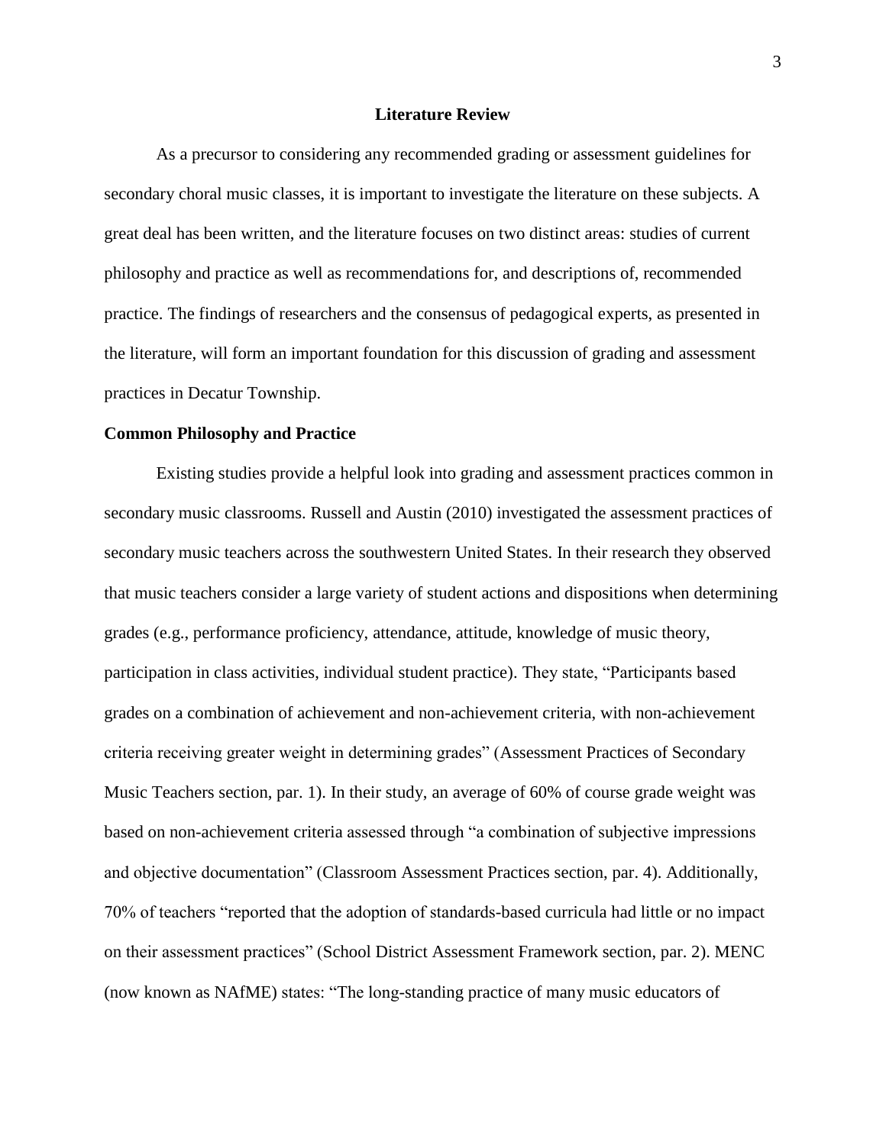#### **Literature Review**

As a precursor to considering any recommended grading or assessment guidelines for secondary choral music classes, it is important to investigate the literature on these subjects. A great deal has been written, and the literature focuses on two distinct areas: studies of current philosophy and practice as well as recommendations for, and descriptions of, recommended practice. The findings of researchers and the consensus of pedagogical experts, as presented in the literature, will form an important foundation for this discussion of grading and assessment practices in Decatur Township.

#### **Common Philosophy and Practice**

Existing studies provide a helpful look into grading and assessment practices common in secondary music classrooms. Russell and Austin (2010) investigated the assessment practices of secondary music teachers across the southwestern United States. In their research they observed that music teachers consider a large variety of student actions and dispositions when determining grades (e.g., performance proficiency, attendance, attitude, knowledge of music theory, participation in class activities, individual student practice). They state, "Participants based grades on a combination of achievement and non-achievement criteria, with non-achievement criteria receiving greater weight in determining grades" (Assessment Practices of Secondary Music Teachers section, par. 1). In their study, an average of 60% of course grade weight was based on non-achievement criteria assessed through "a combination of subjective impressions and objective documentation" (Classroom Assessment Practices section, par. 4). Additionally, 70% of teachers "reported that the adoption of standards-based curricula had little or no impact on their assessment practices" (School District Assessment Framework section, par. 2). MENC (now known as NAfME) states: "The long-standing practice of many music educators of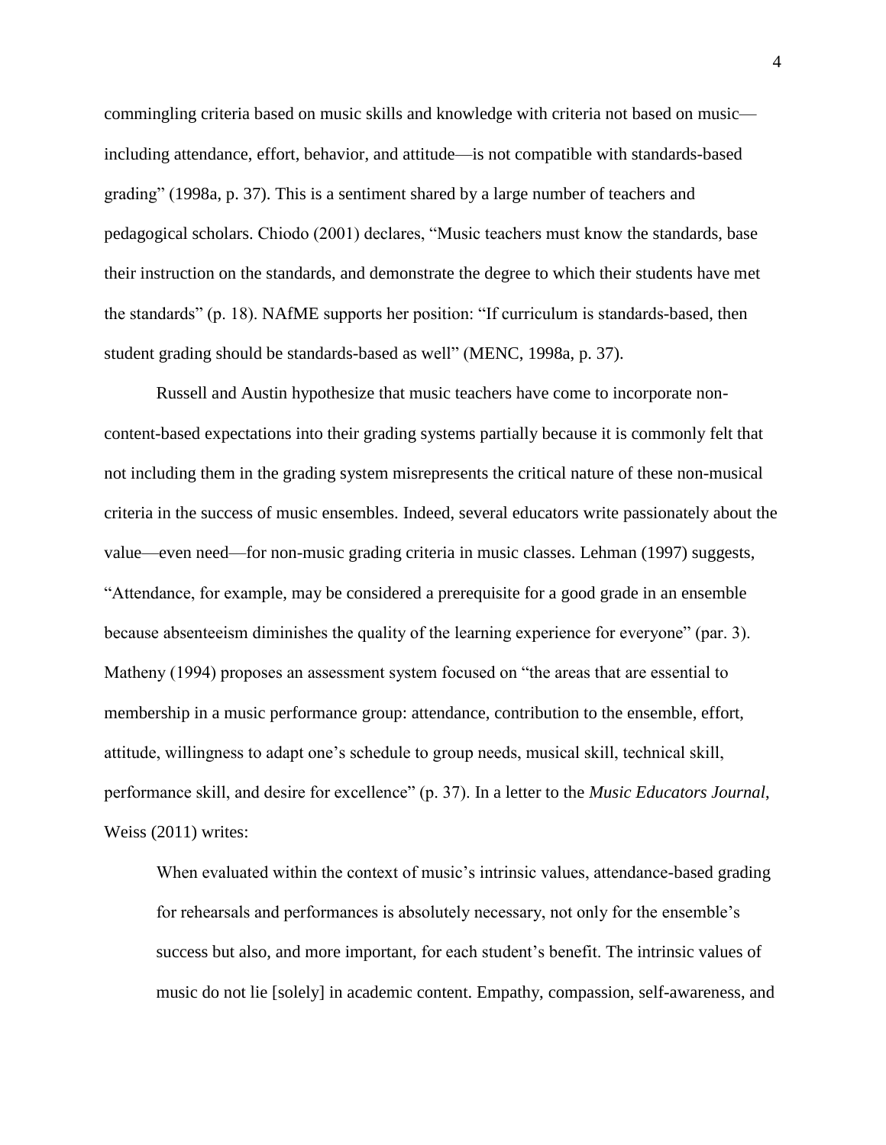commingling criteria based on music skills and knowledge with criteria not based on music including attendance, effort, behavior, and attitude—is not compatible with standards-based grading" (1998a, p. 37). This is a sentiment shared by a large number of teachers and pedagogical scholars. Chiodo (2001) declares, "Music teachers must know the standards, base their instruction on the standards, and demonstrate the degree to which their students have met the standards" (p. 18). NAfME supports her position: "If curriculum is standards-based, then student grading should be standards-based as well" (MENC, 1998a, p. 37).

Russell and Austin hypothesize that music teachers have come to incorporate noncontent-based expectations into their grading systems partially because it is commonly felt that not including them in the grading system misrepresents the critical nature of these non-musical criteria in the success of music ensembles. Indeed, several educators write passionately about the value—even need—for non-music grading criteria in music classes. Lehman (1997) suggests, "Attendance, for example, may be considered a prerequisite for a good grade in an ensemble because absenteeism diminishes the quality of the learning experience for everyone" (par. 3). Matheny (1994) proposes an assessment system focused on "the areas that are essential to membership in a music performance group: attendance, contribution to the ensemble, effort, attitude, willingness to adapt one's schedule to group needs, musical skill, technical skill, performance skill, and desire for excellence" (p. 37). In a letter to the *Music Educators Journal*, Weiss (2011) writes:

When evaluated within the context of music's intrinsic values, attendance-based grading for rehearsals and performances is absolutely necessary, not only for the ensemble's success but also, and more important, for each student's benefit. The intrinsic values of music do not lie [solely] in academic content. Empathy, compassion, self-awareness, and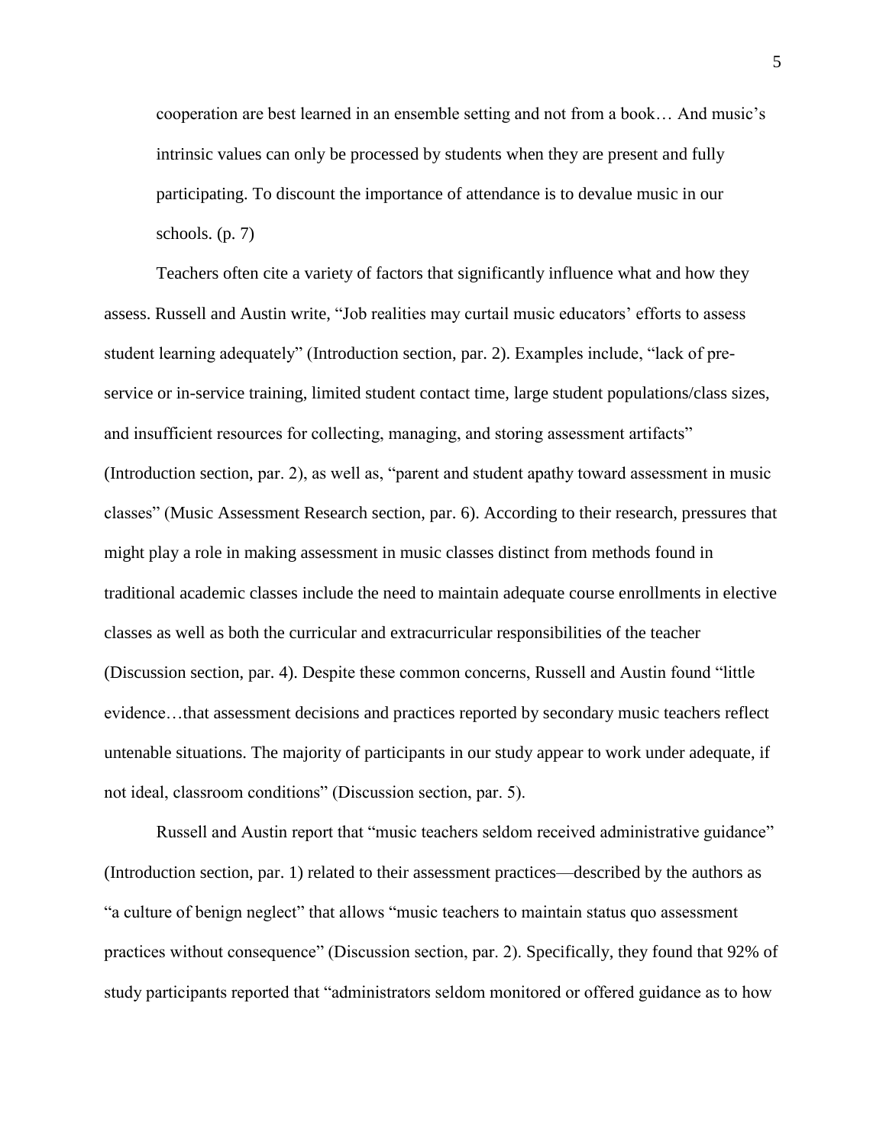cooperation are best learned in an ensemble setting and not from a book… And music's intrinsic values can only be processed by students when they are present and fully participating. To discount the importance of attendance is to devalue music in our schools.  $(p, 7)$ 

Teachers often cite a variety of factors that significantly influence what and how they assess. Russell and Austin write, "Job realities may curtail music educators' efforts to assess student learning adequately" (Introduction section, par. 2). Examples include, "lack of preservice or in-service training, limited student contact time, large student populations/class sizes, and insufficient resources for collecting, managing, and storing assessment artifacts" (Introduction section, par. 2), as well as, "parent and student apathy toward assessment in music classes" (Music Assessment Research section, par. 6). According to their research, pressures that might play a role in making assessment in music classes distinct from methods found in traditional academic classes include the need to maintain adequate course enrollments in elective classes as well as both the curricular and extracurricular responsibilities of the teacher (Discussion section, par. 4). Despite these common concerns, Russell and Austin found "little evidence…that assessment decisions and practices reported by secondary music teachers reflect untenable situations. The majority of participants in our study appear to work under adequate, if not ideal, classroom conditions" (Discussion section, par. 5).

Russell and Austin report that "music teachers seldom received administrative guidance" (Introduction section, par. 1) related to their assessment practices—described by the authors as "a culture of benign neglect" that allows "music teachers to maintain status quo assessment practices without consequence" (Discussion section, par. 2). Specifically, they found that 92% of study participants reported that "administrators seldom monitored or offered guidance as to how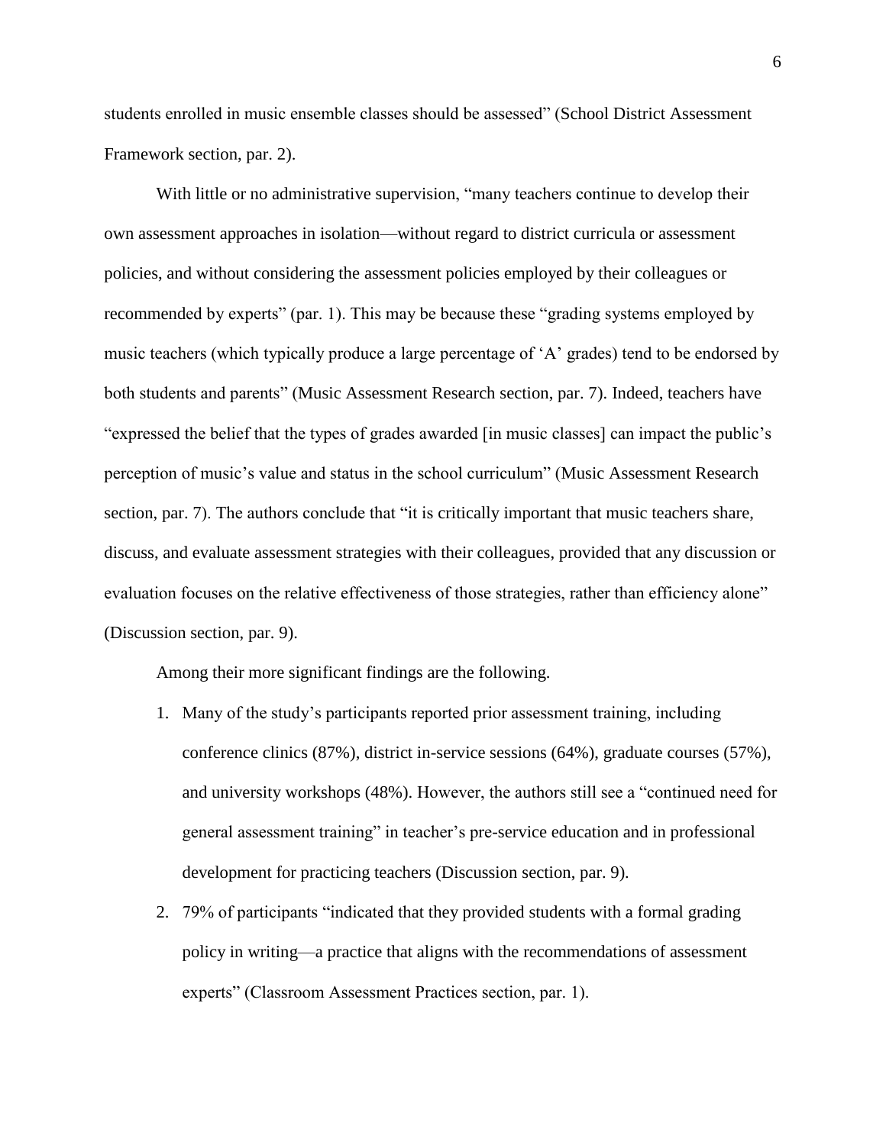students enrolled in music ensemble classes should be assessed" (School District Assessment Framework section, par. 2).

With little or no administrative supervision, "many teachers continue to develop their own assessment approaches in isolation—without regard to district curricula or assessment policies, and without considering the assessment policies employed by their colleagues or recommended by experts" (par. 1). This may be because these "grading systems employed by music teachers (which typically produce a large percentage of 'A' grades) tend to be endorsed by both students and parents" (Music Assessment Research section, par. 7). Indeed, teachers have "expressed the belief that the types of grades awarded [in music classes] can impact the public's perception of music's value and status in the school curriculum" (Music Assessment Research section, par. 7). The authors conclude that "it is critically important that music teachers share, discuss, and evaluate assessment strategies with their colleagues, provided that any discussion or evaluation focuses on the relative effectiveness of those strategies, rather than efficiency alone" (Discussion section, par. 9).

Among their more significant findings are the following.

- 1. Many of the study's participants reported prior assessment training, including conference clinics (87%), district in-service sessions (64%), graduate courses (57%), and university workshops (48%). However, the authors still see a "continued need for general assessment training" in teacher's pre-service education and in professional development for practicing teachers (Discussion section, par. 9).
- 2. 79% of participants "indicated that they provided students with a formal grading policy in writing—a practice that aligns with the recommendations of assessment experts" (Classroom Assessment Practices section, par. 1).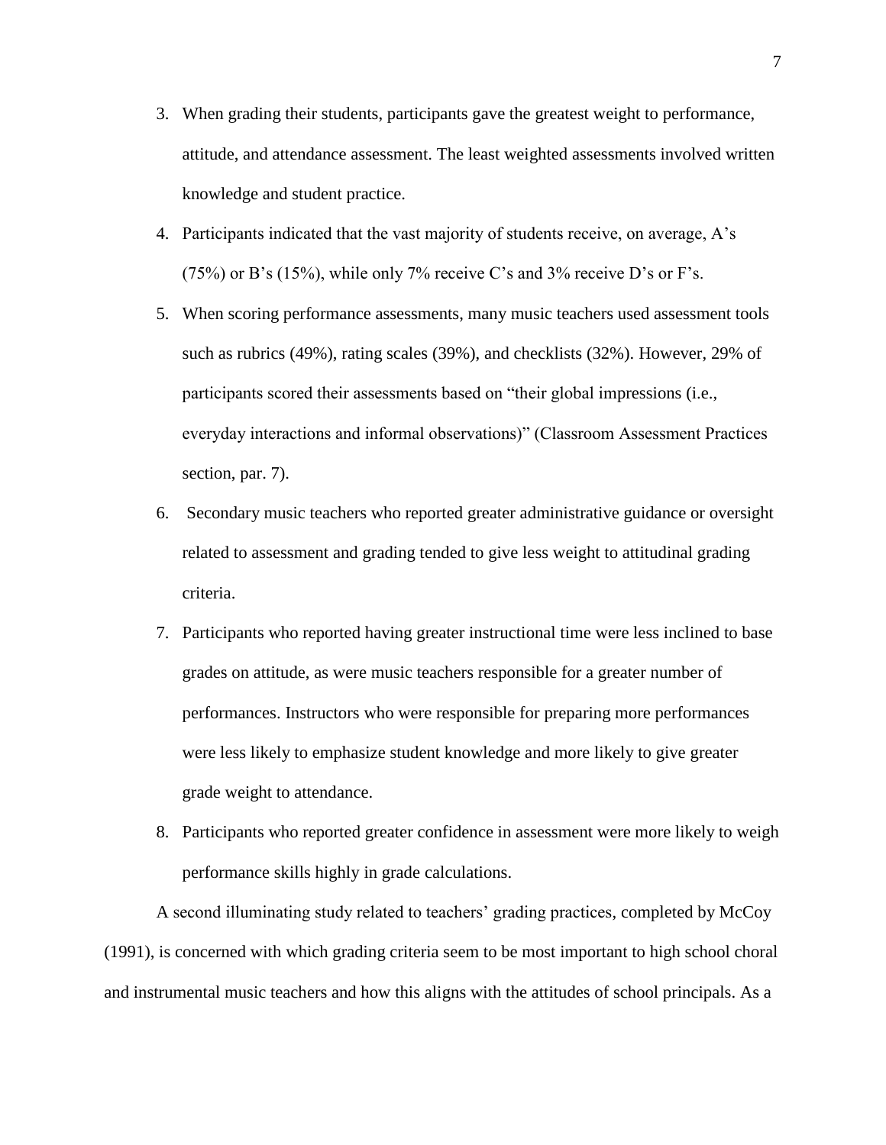- 3. When grading their students, participants gave the greatest weight to performance, attitude, and attendance assessment. The least weighted assessments involved written knowledge and student practice.
- 4. Participants indicated that the vast majority of students receive, on average, A's  $(75%)$  or B's  $(15%)$ , while only 7% receive C's and 3% receive D's or F's.
- 5. When scoring performance assessments, many music teachers used assessment tools such as rubrics (49%), rating scales (39%), and checklists (32%). However, 29% of participants scored their assessments based on "their global impressions (i.e., everyday interactions and informal observations)" (Classroom Assessment Practices section, par. 7).
- 6. Secondary music teachers who reported greater administrative guidance or oversight related to assessment and grading tended to give less weight to attitudinal grading criteria.
- 7. Participants who reported having greater instructional time were less inclined to base grades on attitude, as were music teachers responsible for a greater number of performances. Instructors who were responsible for preparing more performances were less likely to emphasize student knowledge and more likely to give greater grade weight to attendance.
- 8. Participants who reported greater confidence in assessment were more likely to weigh performance skills highly in grade calculations.

A second illuminating study related to teachers' grading practices, completed by McCoy (1991), is concerned with which grading criteria seem to be most important to high school choral and instrumental music teachers and how this aligns with the attitudes of school principals. As a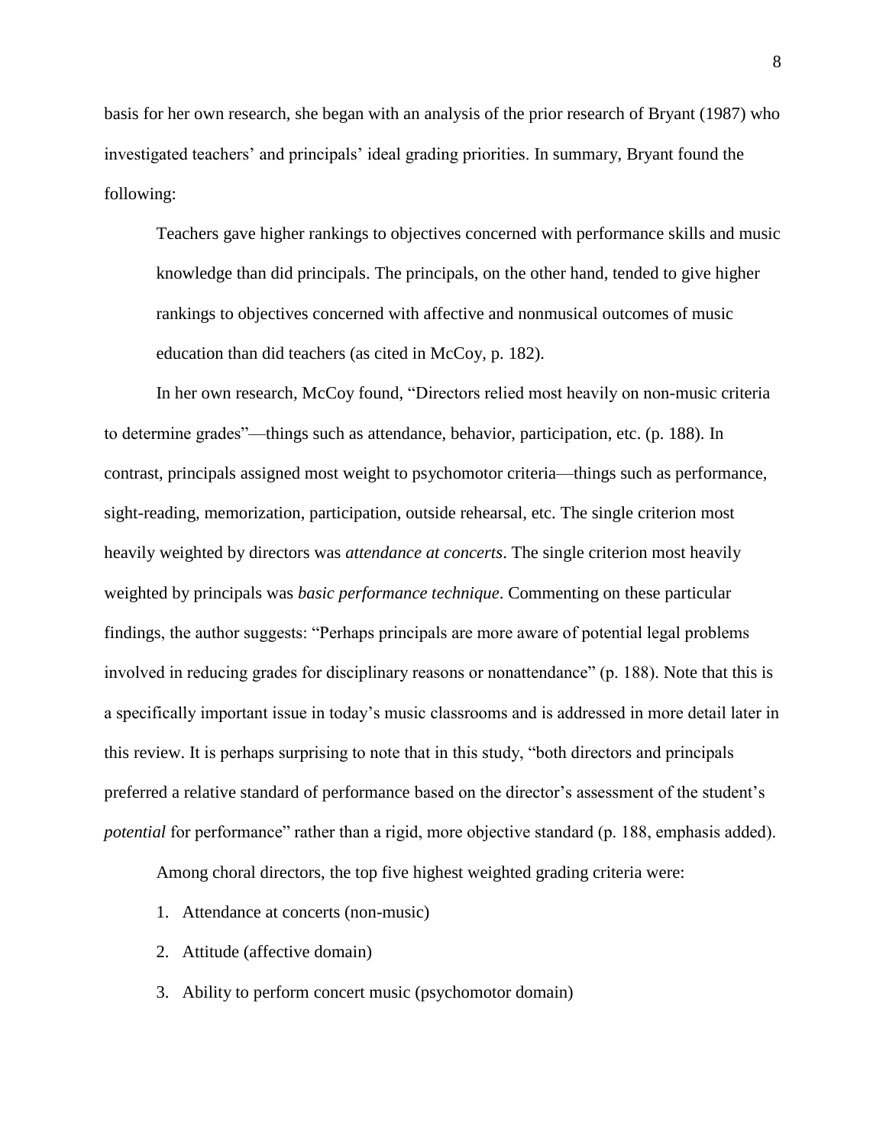basis for her own research, she began with an analysis of the prior research of Bryant (1987) who investigated teachers' and principals' ideal grading priorities. In summary, Bryant found the following:

Teachers gave higher rankings to objectives concerned with performance skills and music knowledge than did principals. The principals, on the other hand, tended to give higher rankings to objectives concerned with affective and nonmusical outcomes of music education than did teachers (as cited in McCoy, p. 182).

In her own research, McCoy found, "Directors relied most heavily on non-music criteria to determine grades"—things such as attendance, behavior, participation, etc. (p. 188). In contrast, principals assigned most weight to psychomotor criteria—things such as performance, sight-reading, memorization, participation, outside rehearsal, etc. The single criterion most heavily weighted by directors was *attendance at concerts*. The single criterion most heavily weighted by principals was *basic performance technique*. Commenting on these particular findings, the author suggests: "Perhaps principals are more aware of potential legal problems involved in reducing grades for disciplinary reasons or nonattendance" (p. 188). Note that this is a specifically important issue in today's music classrooms and is addressed in more detail later in this review. It is perhaps surprising to note that in this study, "both directors and principals preferred a relative standard of performance based on the director's assessment of the student's *potential* for performance" rather than a rigid, more objective standard (p. 188, emphasis added).

Among choral directors, the top five highest weighted grading criteria were:

- 1. Attendance at concerts (non-music)
- 2. Attitude (affective domain)
- 3. Ability to perform concert music (psychomotor domain)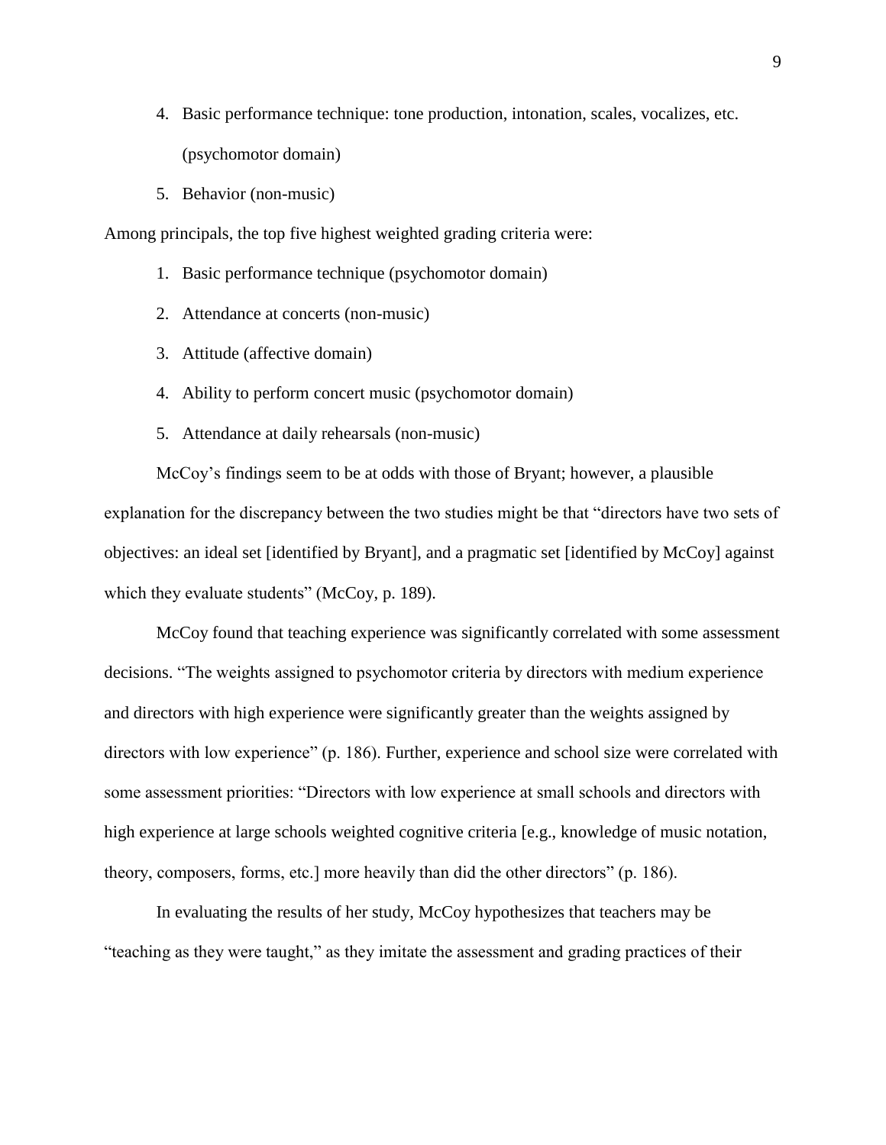- 4. Basic performance technique: tone production, intonation, scales, vocalizes, etc. (psychomotor domain)
- 5. Behavior (non-music)

Among principals, the top five highest weighted grading criteria were:

- 1. Basic performance technique (psychomotor domain)
- 2. Attendance at concerts (non-music)
- 3. Attitude (affective domain)
- 4. Ability to perform concert music (psychomotor domain)
- 5. Attendance at daily rehearsals (non-music)

McCoy's findings seem to be at odds with those of Bryant; however, a plausible explanation for the discrepancy between the two studies might be that "directors have two sets of objectives: an ideal set [identified by Bryant], and a pragmatic set [identified by McCoy] against which they evaluate students" (McCoy, p. 189).

McCoy found that teaching experience was significantly correlated with some assessment decisions. "The weights assigned to psychomotor criteria by directors with medium experience and directors with high experience were significantly greater than the weights assigned by directors with low experience" (p. 186). Further, experience and school size were correlated with some assessment priorities: "Directors with low experience at small schools and directors with high experience at large schools weighted cognitive criteria [e.g., knowledge of music notation, theory, composers, forms, etc.] more heavily than did the other directors" (p. 186).

In evaluating the results of her study, McCoy hypothesizes that teachers may be "teaching as they were taught," as they imitate the assessment and grading practices of their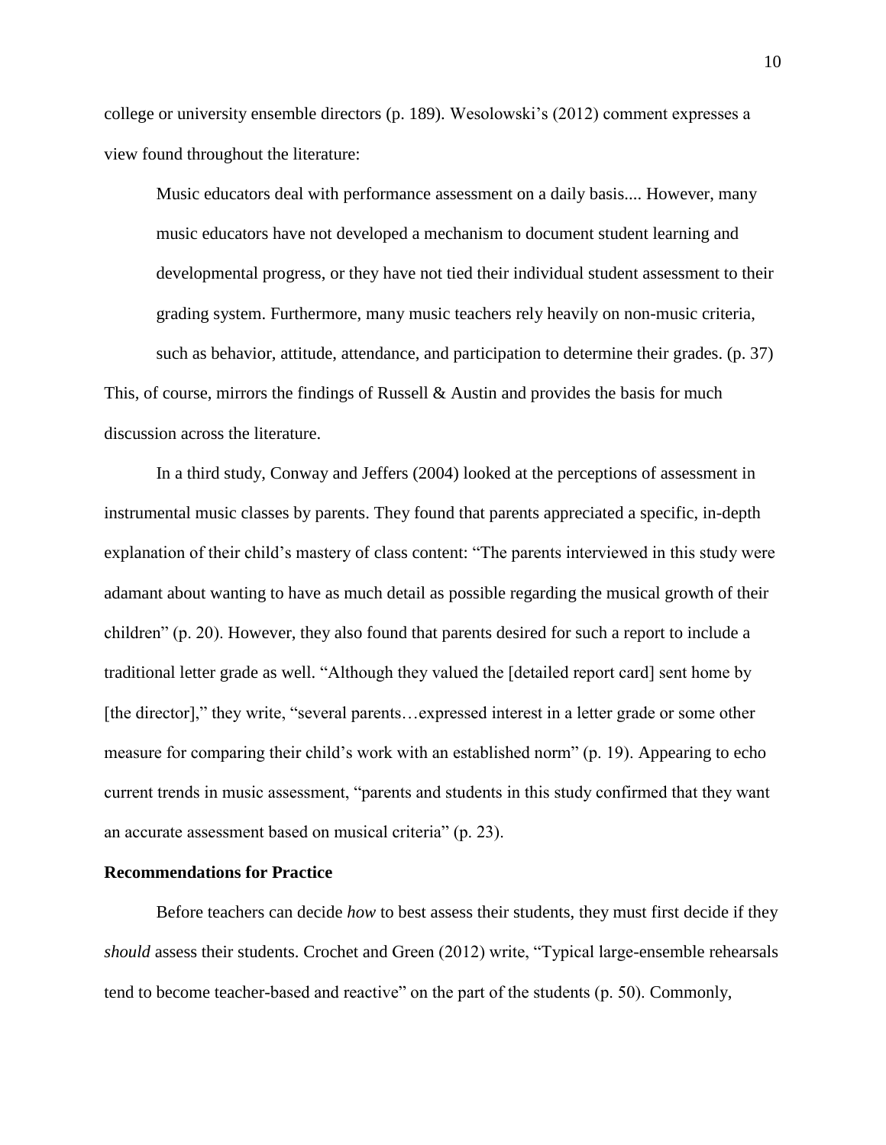college or university ensemble directors (p. 189). Wesolowski's (2012) comment expresses a view found throughout the literature:

Music educators deal with performance assessment on a daily basis.... However, many music educators have not developed a mechanism to document student learning and developmental progress, or they have not tied their individual student assessment to their grading system. Furthermore, many music teachers rely heavily on non-music criteria, such as behavior, attitude, attendance, and participation to determine their grades. (p. 37) This, of course, mirrors the findings of Russell  $\&$  Austin and provides the basis for much discussion across the literature.

In a third study, Conway and Jeffers (2004) looked at the perceptions of assessment in instrumental music classes by parents. They found that parents appreciated a specific, in-depth explanation of their child's mastery of class content: "The parents interviewed in this study were adamant about wanting to have as much detail as possible regarding the musical growth of their children" (p. 20). However, they also found that parents desired for such a report to include a traditional letter grade as well. "Although they valued the [detailed report card] sent home by [the director]," they write, "several parents... expressed interest in a letter grade or some other measure for comparing their child's work with an established norm" (p. 19). Appearing to echo current trends in music assessment, "parents and students in this study confirmed that they want an accurate assessment based on musical criteria" (p. 23).

#### **Recommendations for Practice**

Before teachers can decide *how* to best assess their students, they must first decide if they *should* assess their students. Crochet and Green (2012) write, "Typical large-ensemble rehearsals tend to become teacher-based and reactive" on the part of the students (p. 50). Commonly,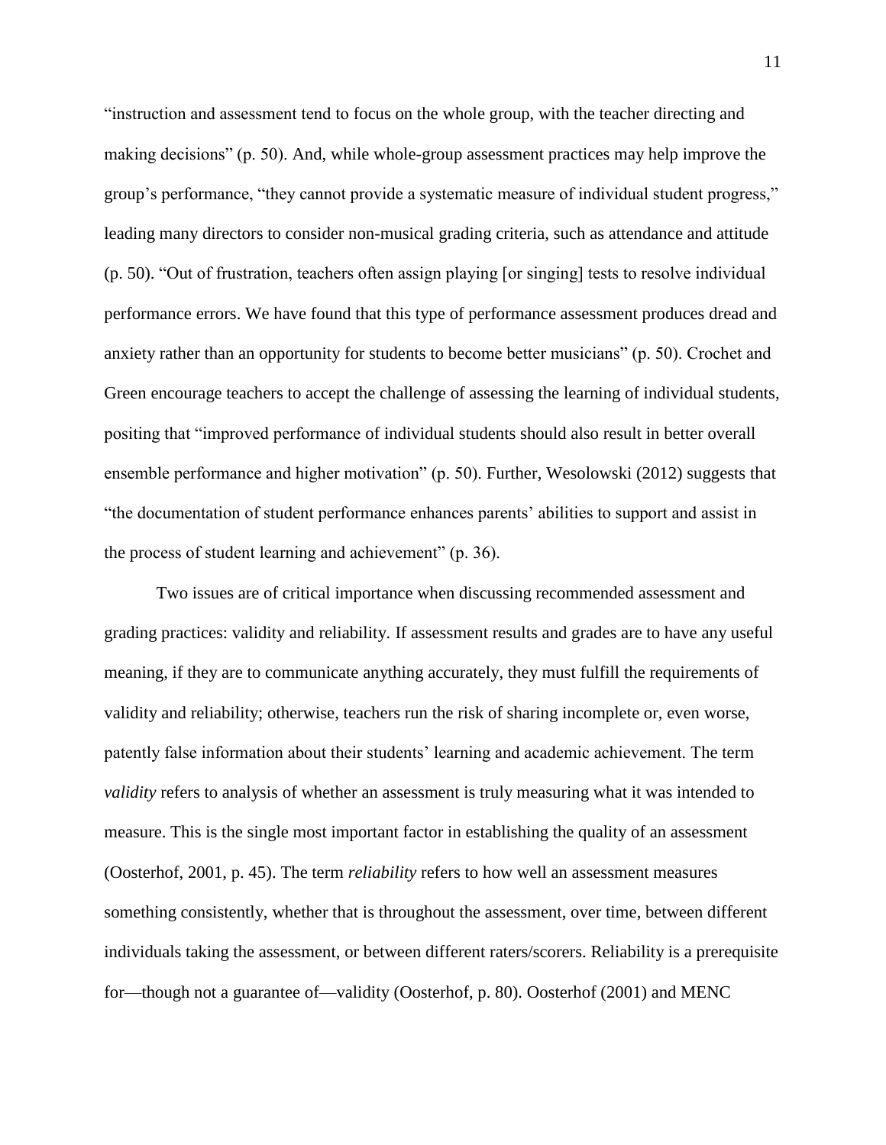"instruction and assessment tend to focus on the whole group, with the teacher directing and making decisions" (p. 50). And, while whole-group assessment practices may help improve the group's performance, "they cannot provide a systematic measure of individual student progress," leading many directors to consider non-musical grading criteria, such as attendance and attitude (p. 50). "Out of frustration, teachers often assign playing [or singing] tests to resolve individual performance errors. We have found that this type of performance assessment produces dread and anxiety rather than an opportunity for students to become better musicians" (p. 50). Crochet and Green encourage teachers to accept the challenge of assessing the learning of individual students, positing that "improved performance of individual students should also result in better overall ensemble performance and higher motivation" (p. 50). Further, Wesolowski (2012) suggests that "the documentation of student performance enhances parents' abilities to support and assist in the process of student learning and achievement" (p. 36).

Two issues are of critical importance when discussing recommended assessment and grading practices: validity and reliability. If assessment results and grades are to have any useful meaning, if they are to communicate anything accurately, they must fulfill the requirements of validity and reliability; otherwise, teachers run the risk of sharing incomplete or, even worse, patently false information about their students' learning and academic achievement. The term *validity* refers to analysis of whether an assessment is truly measuring what it was intended to measure. This is the single most important factor in establishing the quality of an assessment (Oosterhof, 2001, p. 45). The term *reliability* refers to how well an assessment measures something consistently, whether that is throughout the assessment, over time, between different individuals taking the assessment, or between different raters/scorers. Reliability is a prerequisite for—though not a guarantee of—validity (Oosterhof, p. 80). Oosterhof (2001) and MENC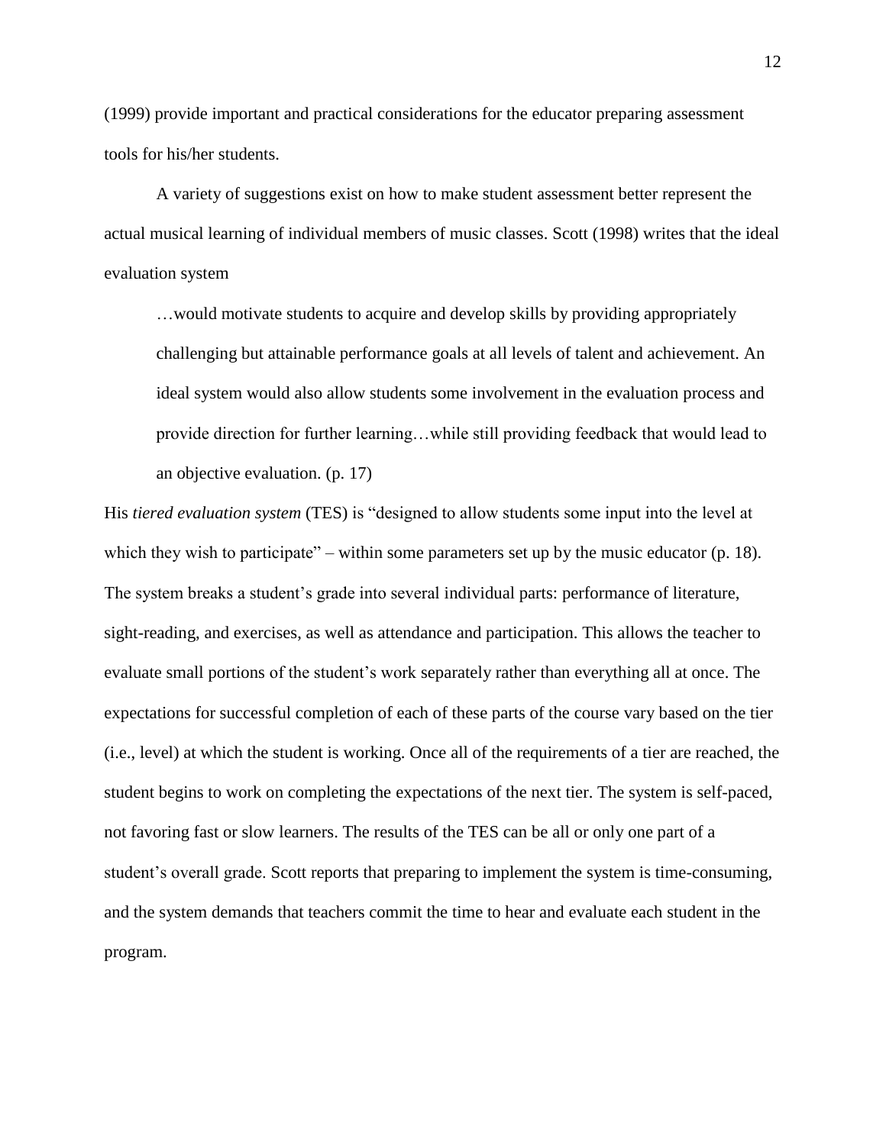(1999) provide important and practical considerations for the educator preparing assessment tools for his/her students.

A variety of suggestions exist on how to make student assessment better represent the actual musical learning of individual members of music classes. Scott (1998) writes that the ideal evaluation system

…would motivate students to acquire and develop skills by providing appropriately challenging but attainable performance goals at all levels of talent and achievement. An ideal system would also allow students some involvement in the evaluation process and provide direction for further learning…while still providing feedback that would lead to an objective evaluation. (p. 17)

His *tiered evaluation system* (TES) is "designed to allow students some input into the level at which they wish to participate" – within some parameters set up by the music educator (p. 18). The system breaks a student's grade into several individual parts: performance of literature, sight-reading, and exercises, as well as attendance and participation. This allows the teacher to evaluate small portions of the student's work separately rather than everything all at once. The expectations for successful completion of each of these parts of the course vary based on the tier (i.e., level) at which the student is working. Once all of the requirements of a tier are reached, the student begins to work on completing the expectations of the next tier. The system is self-paced, not favoring fast or slow learners. The results of the TES can be all or only one part of a student's overall grade. Scott reports that preparing to implement the system is time-consuming, and the system demands that teachers commit the time to hear and evaluate each student in the program.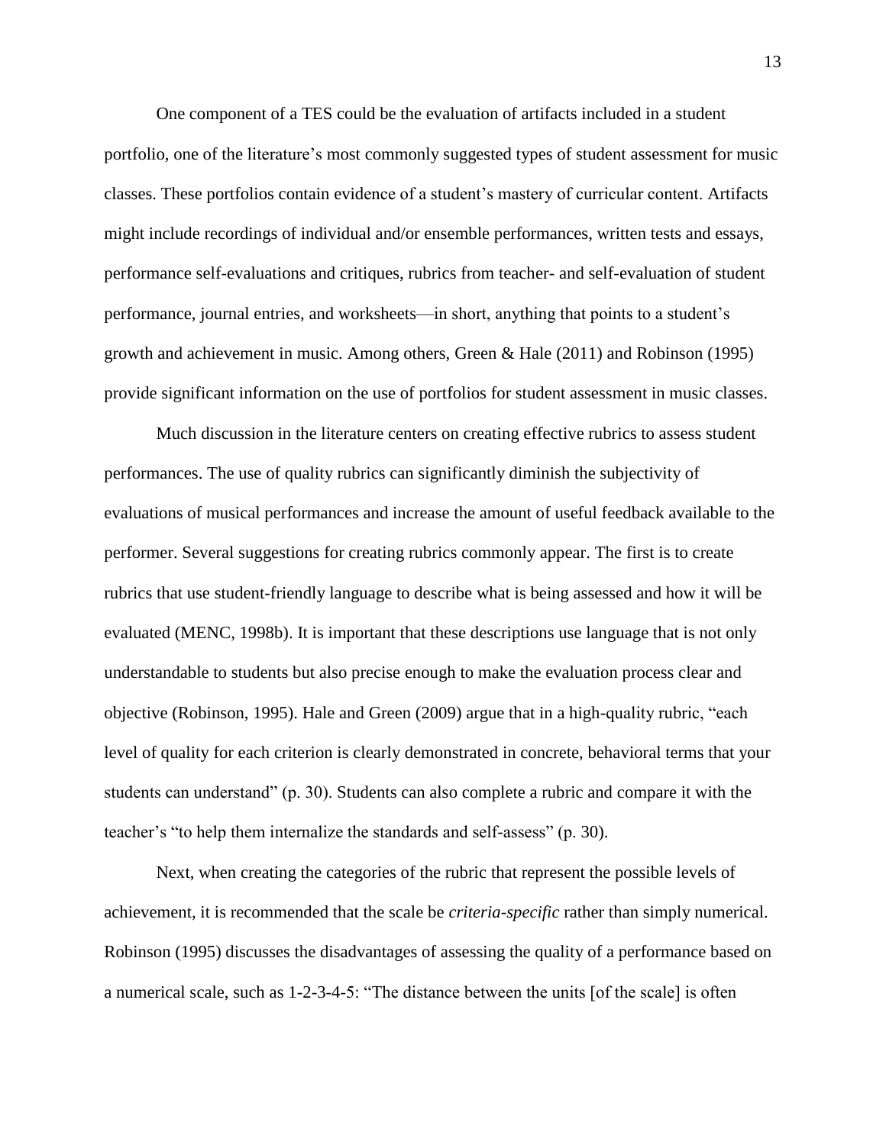One component of a TES could be the evaluation of artifacts included in a student portfolio, one of the literature's most commonly suggested types of student assessment for music classes. These portfolios contain evidence of a student's mastery of curricular content. Artifacts might include recordings of individual and/or ensemble performances, written tests and essays, performance self-evaluations and critiques, rubrics from teacher- and self-evaluation of student performance, journal entries, and worksheets—in short, anything that points to a student's growth and achievement in music. Among others, Green & Hale (2011) and Robinson (1995) provide significant information on the use of portfolios for student assessment in music classes.

Much discussion in the literature centers on creating effective rubrics to assess student performances. The use of quality rubrics can significantly diminish the subjectivity of evaluations of musical performances and increase the amount of useful feedback available to the performer. Several suggestions for creating rubrics commonly appear. The first is to create rubrics that use student-friendly language to describe what is being assessed and how it will be evaluated (MENC, 1998b). It is important that these descriptions use language that is not only understandable to students but also precise enough to make the evaluation process clear and objective (Robinson, 1995). Hale and Green (2009) argue that in a high-quality rubric, "each level of quality for each criterion is clearly demonstrated in concrete, behavioral terms that your students can understand" (p. 30). Students can also complete a rubric and compare it with the teacher's "to help them internalize the standards and self-assess" (p. 30).

Next, when creating the categories of the rubric that represent the possible levels of achievement, it is recommended that the scale be *criteria-specific* rather than simply numerical. Robinson (1995) discusses the disadvantages of assessing the quality of a performance based on a numerical scale, such as 1-2-3-4-5: "The distance between the units [of the scale] is often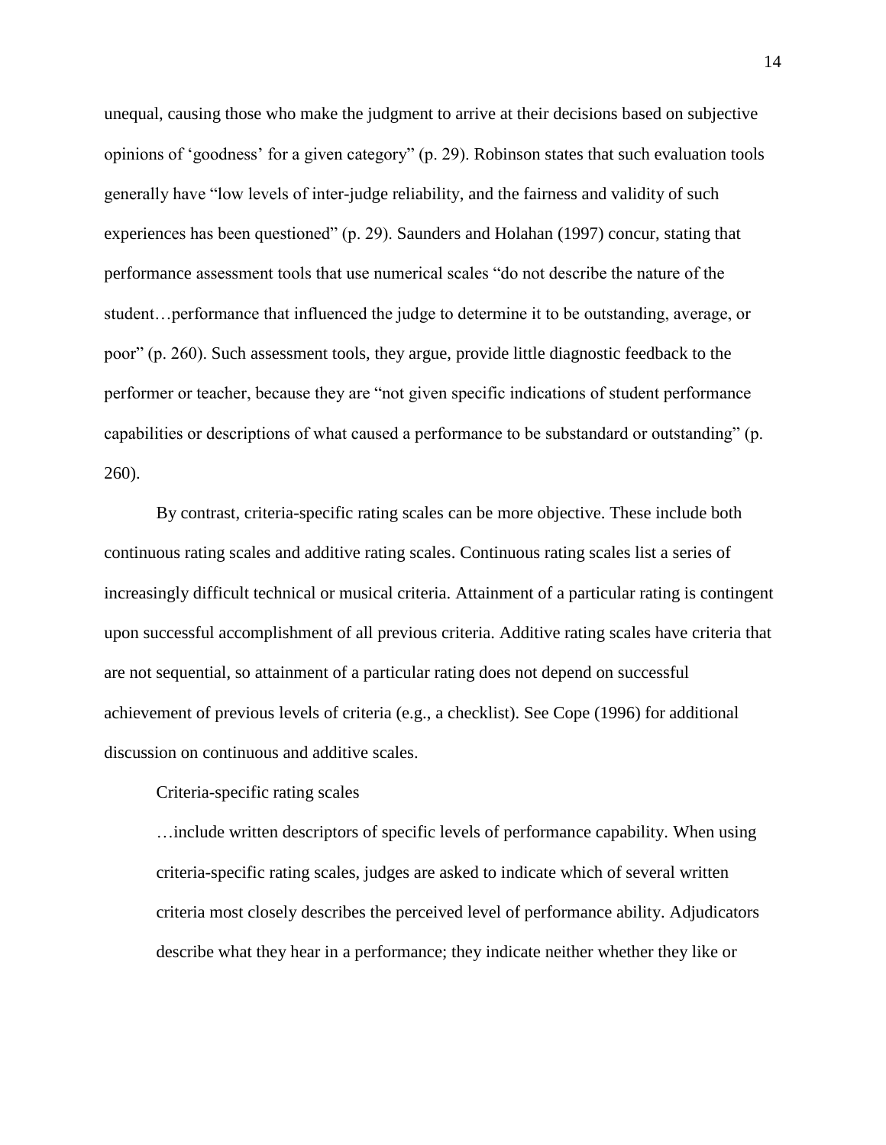unequal, causing those who make the judgment to arrive at their decisions based on subjective opinions of 'goodness' for a given category" (p. 29). Robinson states that such evaluation tools generally have "low levels of inter-judge reliability, and the fairness and validity of such experiences has been questioned" (p. 29). Saunders and Holahan (1997) concur, stating that performance assessment tools that use numerical scales "do not describe the nature of the student…performance that influenced the judge to determine it to be outstanding, average, or poor" (p. 260). Such assessment tools, they argue, provide little diagnostic feedback to the performer or teacher, because they are "not given specific indications of student performance capabilities or descriptions of what caused a performance to be substandard or outstanding" (p. 260).

By contrast, criteria-specific rating scales can be more objective. These include both continuous rating scales and additive rating scales. Continuous rating scales list a series of increasingly difficult technical or musical criteria. Attainment of a particular rating is contingent upon successful accomplishment of all previous criteria. Additive rating scales have criteria that are not sequential, so attainment of a particular rating does not depend on successful achievement of previous levels of criteria (e.g., a checklist). See Cope (1996) for additional discussion on continuous and additive scales.

Criteria-specific rating scales

…include written descriptors of specific levels of performance capability. When using criteria-specific rating scales, judges are asked to indicate which of several written criteria most closely describes the perceived level of performance ability. Adjudicators describe what they hear in a performance; they indicate neither whether they like or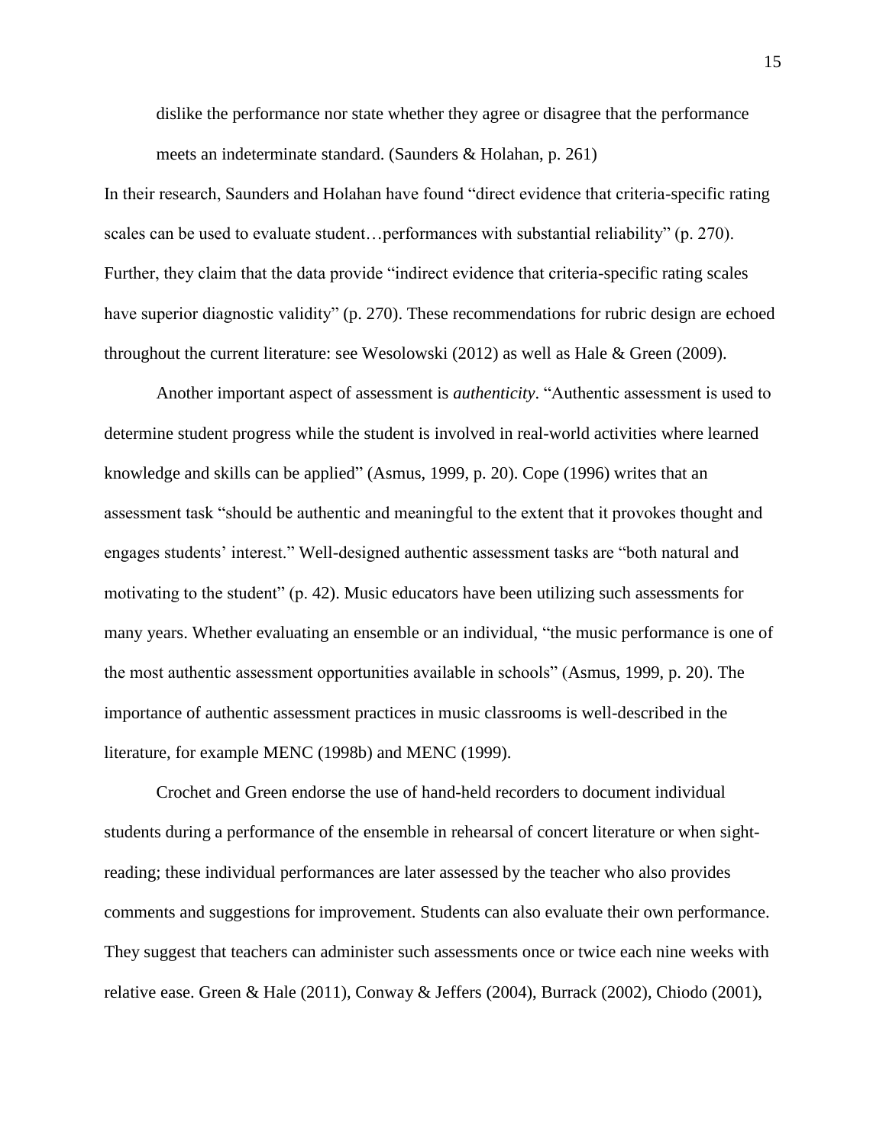dislike the performance nor state whether they agree or disagree that the performance meets an indeterminate standard. (Saunders & Holahan, p. 261)

In their research, Saunders and Holahan have found "direct evidence that criteria-specific rating scales can be used to evaluate student…performances with substantial reliability" (p. 270). Further, they claim that the data provide "indirect evidence that criteria-specific rating scales have superior diagnostic validity" (p. 270). These recommendations for rubric design are echoed throughout the current literature: see Wesolowski (2012) as well as Hale & Green (2009).

Another important aspect of assessment is *authenticity*. "Authentic assessment is used to determine student progress while the student is involved in real-world activities where learned knowledge and skills can be applied" (Asmus, 1999, p. 20). Cope (1996) writes that an assessment task "should be authentic and meaningful to the extent that it provokes thought and engages students' interest." Well-designed authentic assessment tasks are "both natural and motivating to the student" (p. 42). Music educators have been utilizing such assessments for many years. Whether evaluating an ensemble or an individual, "the music performance is one of the most authentic assessment opportunities available in schools" (Asmus, 1999, p. 20). The importance of authentic assessment practices in music classrooms is well-described in the literature, for example MENC (1998b) and MENC (1999).

Crochet and Green endorse the use of hand-held recorders to document individual students during a performance of the ensemble in rehearsal of concert literature or when sightreading; these individual performances are later assessed by the teacher who also provides comments and suggestions for improvement. Students can also evaluate their own performance. They suggest that teachers can administer such assessments once or twice each nine weeks with relative ease. Green & Hale (2011), Conway & Jeffers (2004), Burrack (2002), Chiodo (2001),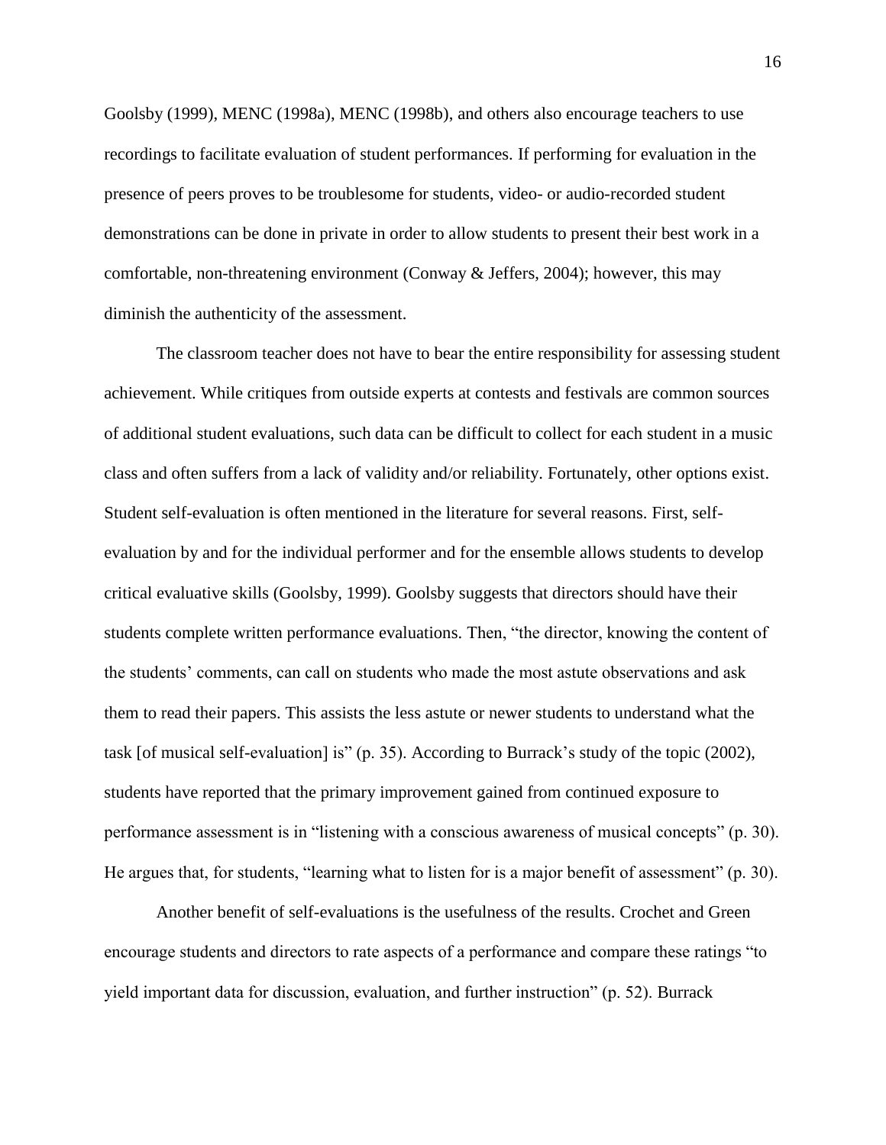Goolsby (1999), MENC (1998a), MENC (1998b), and others also encourage teachers to use recordings to facilitate evaluation of student performances. If performing for evaluation in the presence of peers proves to be troublesome for students, video- or audio-recorded student demonstrations can be done in private in order to allow students to present their best work in a comfortable, non-threatening environment (Conway  $\&$  Jeffers, 2004); however, this may diminish the authenticity of the assessment.

The classroom teacher does not have to bear the entire responsibility for assessing student achievement. While critiques from outside experts at contests and festivals are common sources of additional student evaluations, such data can be difficult to collect for each student in a music class and often suffers from a lack of validity and/or reliability. Fortunately, other options exist. Student self-evaluation is often mentioned in the literature for several reasons. First, selfevaluation by and for the individual performer and for the ensemble allows students to develop critical evaluative skills (Goolsby, 1999). Goolsby suggests that directors should have their students complete written performance evaluations. Then, "the director, knowing the content of the students' comments, can call on students who made the most astute observations and ask them to read their papers. This assists the less astute or newer students to understand what the task [of musical self-evaluation] is" (p. 35). According to Burrack's study of the topic (2002), students have reported that the primary improvement gained from continued exposure to performance assessment is in "listening with a conscious awareness of musical concepts" (p. 30). He argues that, for students, "learning what to listen for is a major benefit of assessment" (p. 30).

Another benefit of self-evaluations is the usefulness of the results. Crochet and Green encourage students and directors to rate aspects of a performance and compare these ratings "to yield important data for discussion, evaluation, and further instruction" (p. 52). Burrack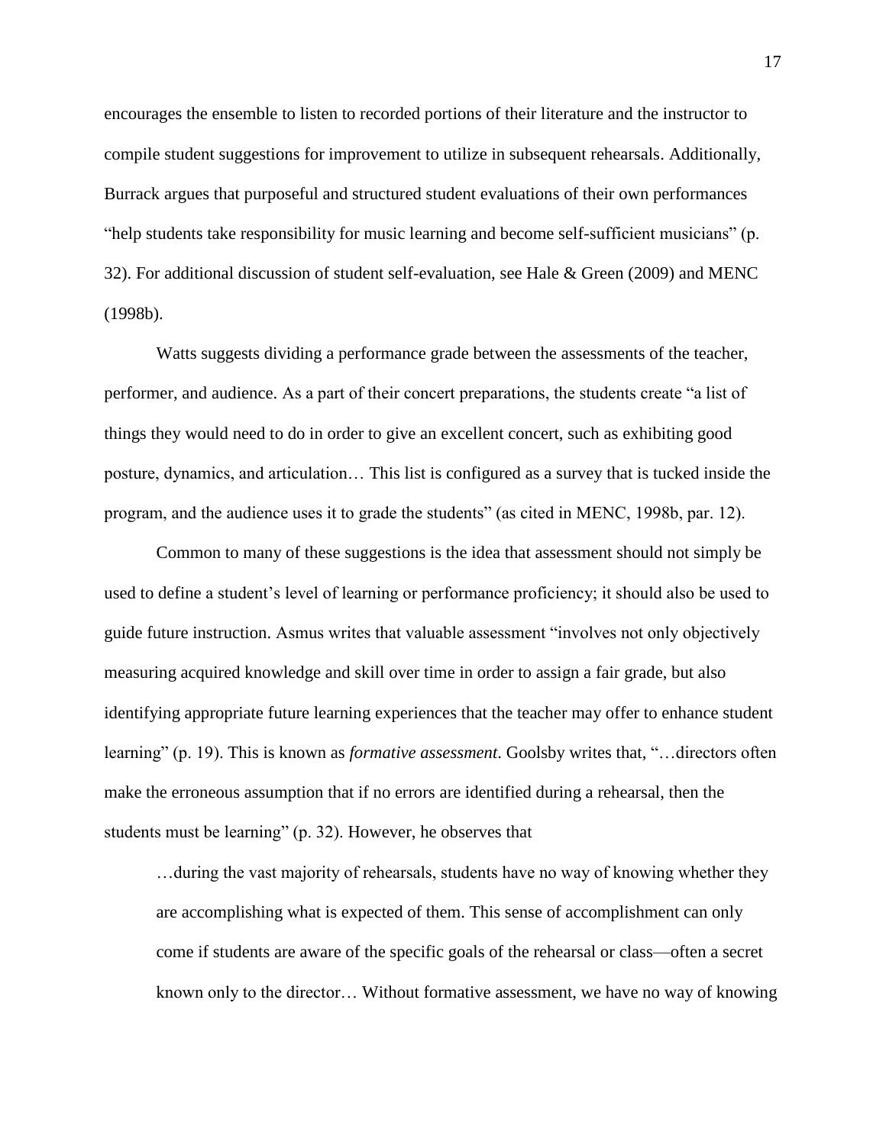encourages the ensemble to listen to recorded portions of their literature and the instructor to compile student suggestions for improvement to utilize in subsequent rehearsals. Additionally, Burrack argues that purposeful and structured student evaluations of their own performances "help students take responsibility for music learning and become self-sufficient musicians" (p. 32). For additional discussion of student self-evaluation, see Hale & Green (2009) and MENC (1998b).

Watts suggests dividing a performance grade between the assessments of the teacher, performer, and audience. As a part of their concert preparations, the students create "a list of things they would need to do in order to give an excellent concert, such as exhibiting good posture, dynamics, and articulation… This list is configured as a survey that is tucked inside the program, and the audience uses it to grade the students" (as cited in MENC, 1998b, par. 12).

Common to many of these suggestions is the idea that assessment should not simply be used to define a student's level of learning or performance proficiency; it should also be used to guide future instruction. Asmus writes that valuable assessment "involves not only objectively measuring acquired knowledge and skill over time in order to assign a fair grade, but also identifying appropriate future learning experiences that the teacher may offer to enhance student learning" (p. 19). This is known as *formative assessment*. Goolsby writes that, "…directors often make the erroneous assumption that if no errors are identified during a rehearsal, then the students must be learning" (p. 32). However, he observes that

…during the vast majority of rehearsals, students have no way of knowing whether they are accomplishing what is expected of them. This sense of accomplishment can only come if students are aware of the specific goals of the rehearsal or class—often a secret known only to the director… Without formative assessment, we have no way of knowing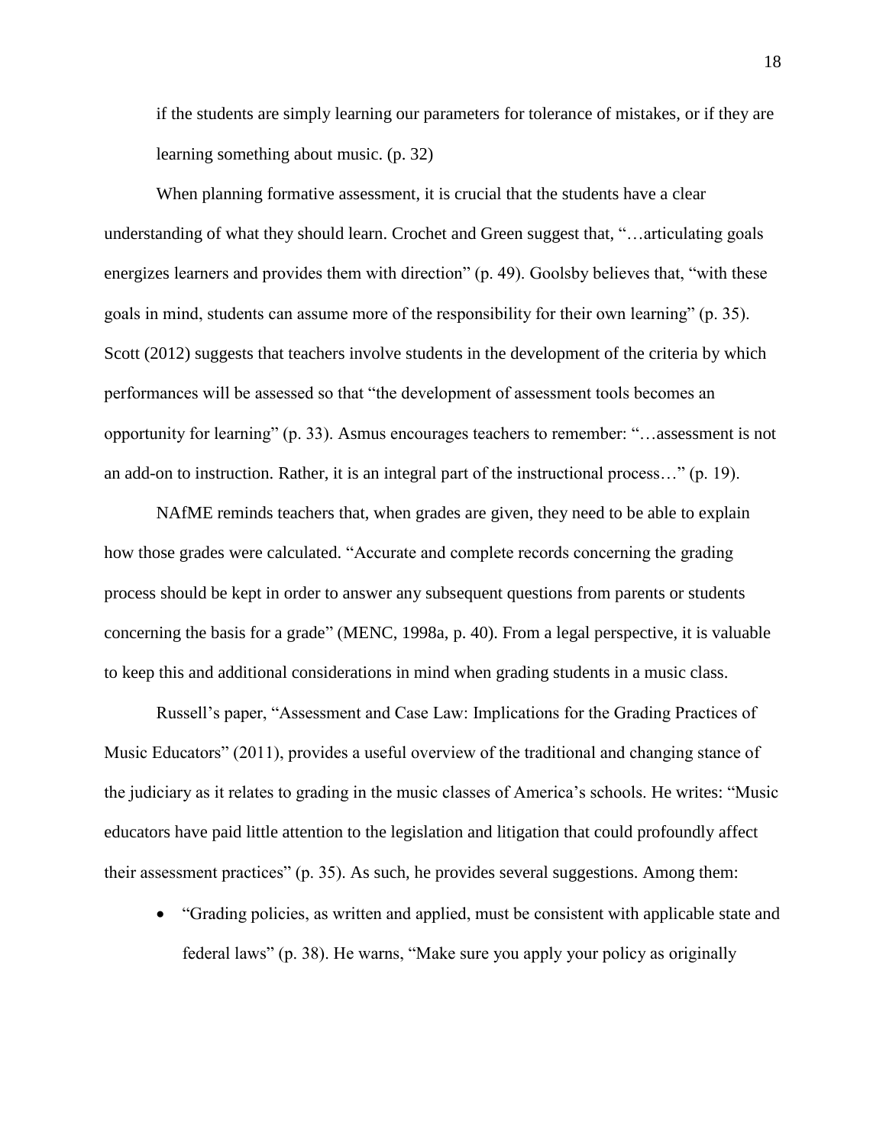if the students are simply learning our parameters for tolerance of mistakes, or if they are learning something about music. (p. 32)

When planning formative assessment, it is crucial that the students have a clear understanding of what they should learn. Crochet and Green suggest that, "…articulating goals energizes learners and provides them with direction" (p. 49). Goolsby believes that, "with these goals in mind, students can assume more of the responsibility for their own learning" (p. 35). Scott (2012) suggests that teachers involve students in the development of the criteria by which performances will be assessed so that "the development of assessment tools becomes an opportunity for learning" (p. 33). Asmus encourages teachers to remember: "…assessment is not an add-on to instruction. Rather, it is an integral part of the instructional process…" (p. 19).

NAfME reminds teachers that, when grades are given, they need to be able to explain how those grades were calculated. "Accurate and complete records concerning the grading process should be kept in order to answer any subsequent questions from parents or students concerning the basis for a grade" (MENC, 1998a, p. 40). From a legal perspective, it is valuable to keep this and additional considerations in mind when grading students in a music class.

Russell's paper, "Assessment and Case Law: Implications for the Grading Practices of Music Educators" (2011), provides a useful overview of the traditional and changing stance of the judiciary as it relates to grading in the music classes of America's schools. He writes: "Music educators have paid little attention to the legislation and litigation that could profoundly affect their assessment practices" (p. 35). As such, he provides several suggestions. Among them:

 "Grading policies, as written and applied, must be consistent with applicable state and federal laws" (p. 38). He warns, "Make sure you apply your policy as originally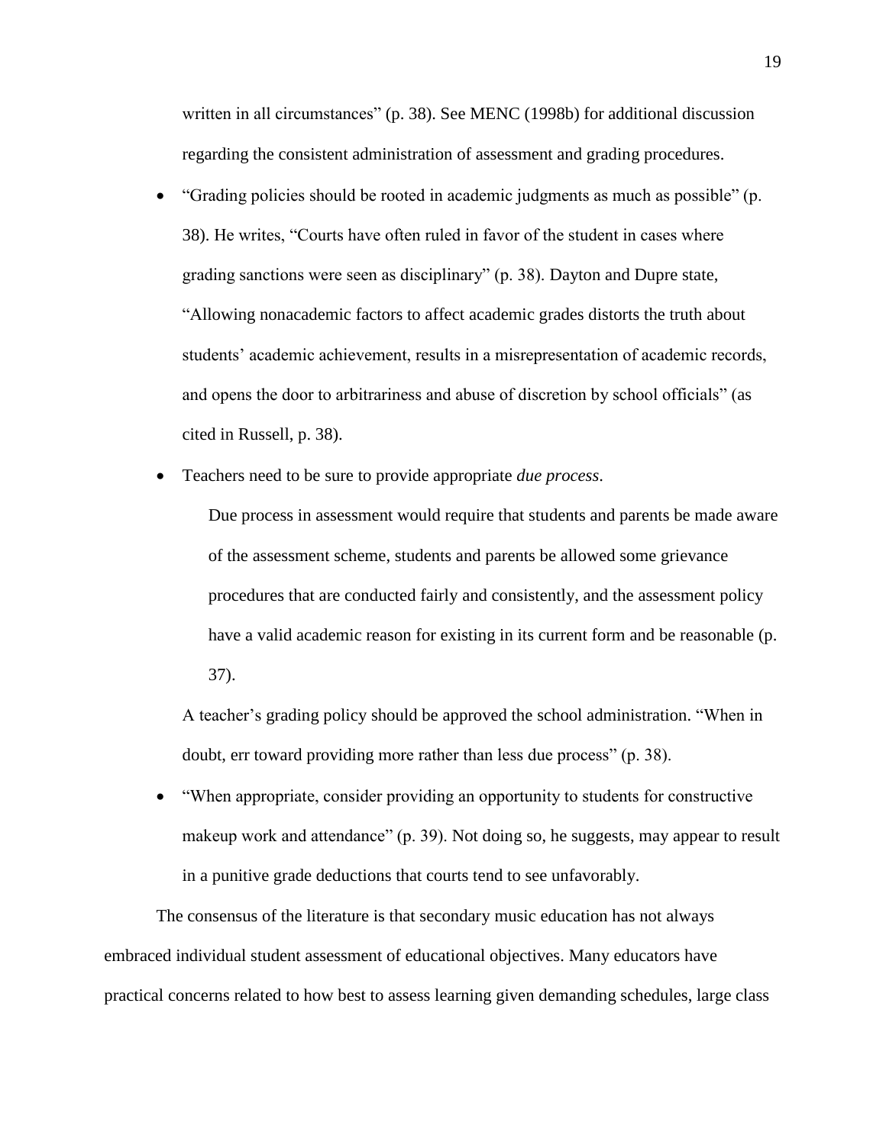written in all circumstances" (p. 38). See MENC (1998b) for additional discussion regarding the consistent administration of assessment and grading procedures.

- "Grading policies should be rooted in academic judgments as much as possible" (p. 38). He writes, "Courts have often ruled in favor of the student in cases where grading sanctions were seen as disciplinary" (p. 38). Dayton and Dupre state, "Allowing nonacademic factors to affect academic grades distorts the truth about students' academic achievement, results in a misrepresentation of academic records, and opens the door to arbitrariness and abuse of discretion by school officials" (as cited in Russell, p. 38).
- Teachers need to be sure to provide appropriate *due process*.

Due process in assessment would require that students and parents be made aware of the assessment scheme, students and parents be allowed some grievance procedures that are conducted fairly and consistently, and the assessment policy have a valid academic reason for existing in its current form and be reasonable (p. 37).

A teacher's grading policy should be approved the school administration. "When in doubt, err toward providing more rather than less due process" (p. 38).

 "When appropriate, consider providing an opportunity to students for constructive makeup work and attendance" (p. 39). Not doing so, he suggests, may appear to result in a punitive grade deductions that courts tend to see unfavorably.

The consensus of the literature is that secondary music education has not always embraced individual student assessment of educational objectives. Many educators have practical concerns related to how best to assess learning given demanding schedules, large class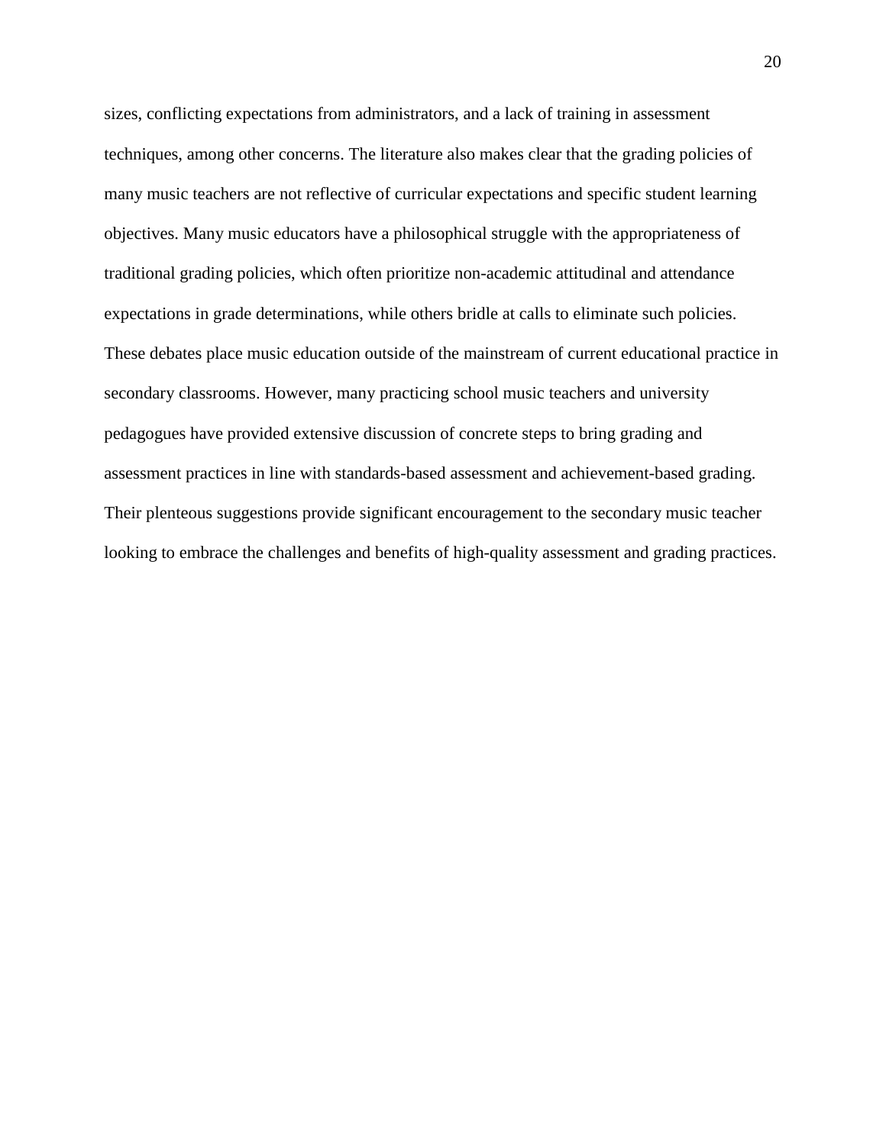sizes, conflicting expectations from administrators, and a lack of training in assessment techniques, among other concerns. The literature also makes clear that the grading policies of many music teachers are not reflective of curricular expectations and specific student learning objectives. Many music educators have a philosophical struggle with the appropriateness of traditional grading policies, which often prioritize non-academic attitudinal and attendance expectations in grade determinations, while others bridle at calls to eliminate such policies. These debates place music education outside of the mainstream of current educational practice in secondary classrooms. However, many practicing school music teachers and university pedagogues have provided extensive discussion of concrete steps to bring grading and assessment practices in line with standards-based assessment and achievement-based grading. Their plenteous suggestions provide significant encouragement to the secondary music teacher looking to embrace the challenges and benefits of high-quality assessment and grading practices.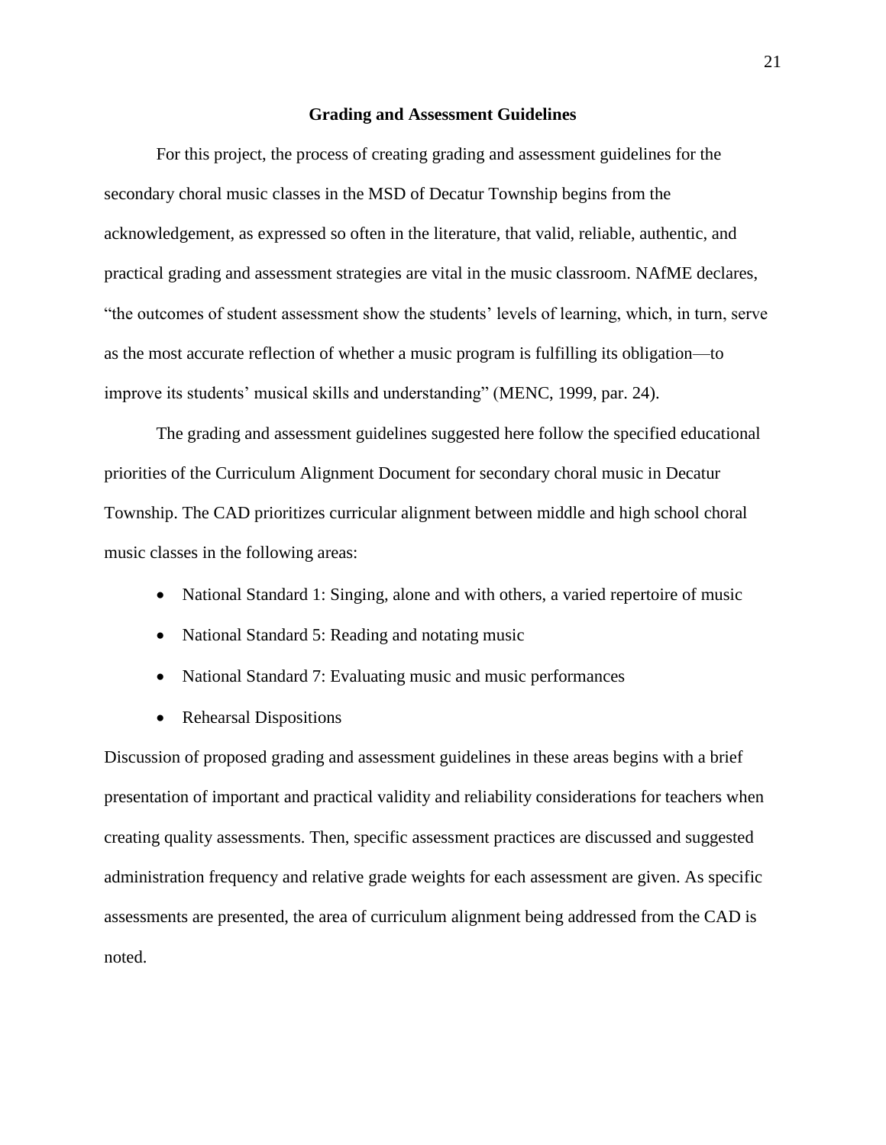#### **Grading and Assessment Guidelines**

For this project, the process of creating grading and assessment guidelines for the secondary choral music classes in the MSD of Decatur Township begins from the acknowledgement, as expressed so often in the literature, that valid, reliable, authentic, and practical grading and assessment strategies are vital in the music classroom. NAfME declares, "the outcomes of student assessment show the students' levels of learning, which, in turn, serve as the most accurate reflection of whether a music program is fulfilling its obligation—to improve its students' musical skills and understanding" (MENC, 1999, par. 24).

The grading and assessment guidelines suggested here follow the specified educational priorities of the Curriculum Alignment Document for secondary choral music in Decatur Township. The CAD prioritizes curricular alignment between middle and high school choral music classes in the following areas:

- National Standard 1: Singing, alone and with others, a varied repertoire of music
- National Standard 5: Reading and notating music
- National Standard 7: Evaluating music and music performances
- Rehearsal Dispositions

Discussion of proposed grading and assessment guidelines in these areas begins with a brief presentation of important and practical validity and reliability considerations for teachers when creating quality assessments. Then, specific assessment practices are discussed and suggested administration frequency and relative grade weights for each assessment are given. As specific assessments are presented, the area of curriculum alignment being addressed from the CAD is noted.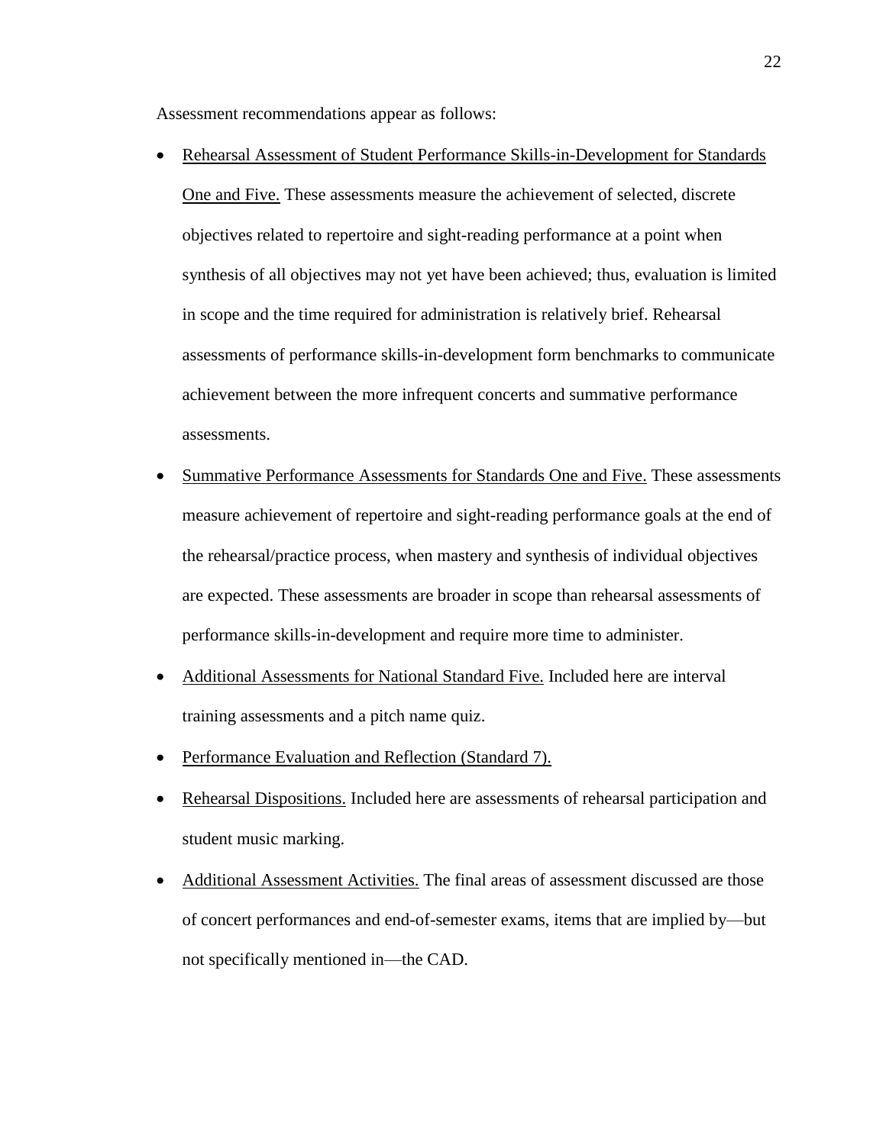Assessment recommendations appear as follows:

- Rehearsal Assessment of Student Performance Skills-in-Development for Standards One and Five. These assessments measure the achievement of selected, discrete objectives related to repertoire and sight-reading performance at a point when synthesis of all objectives may not yet have been achieved; thus, evaluation is limited in scope and the time required for administration is relatively brief. Rehearsal assessments of performance skills-in-development form benchmarks to communicate achievement between the more infrequent concerts and summative performance assessments.
- Summative Performance Assessments for Standards One and Five. These assessments measure achievement of repertoire and sight-reading performance goals at the end of the rehearsal/practice process, when mastery and synthesis of individual objectives are expected. These assessments are broader in scope than rehearsal assessments of performance skills-in-development and require more time to administer.
- Additional Assessments for National Standard Five. Included here are interval training assessments and a pitch name quiz.
- Performance Evaluation and Reflection (Standard 7).
- Rehearsal Dispositions. Included here are assessments of rehearsal participation and student music marking.
- Additional Assessment Activities. The final areas of assessment discussed are those of concert performances and end-of-semester exams, items that are implied by—but not specifically mentioned in—the CAD.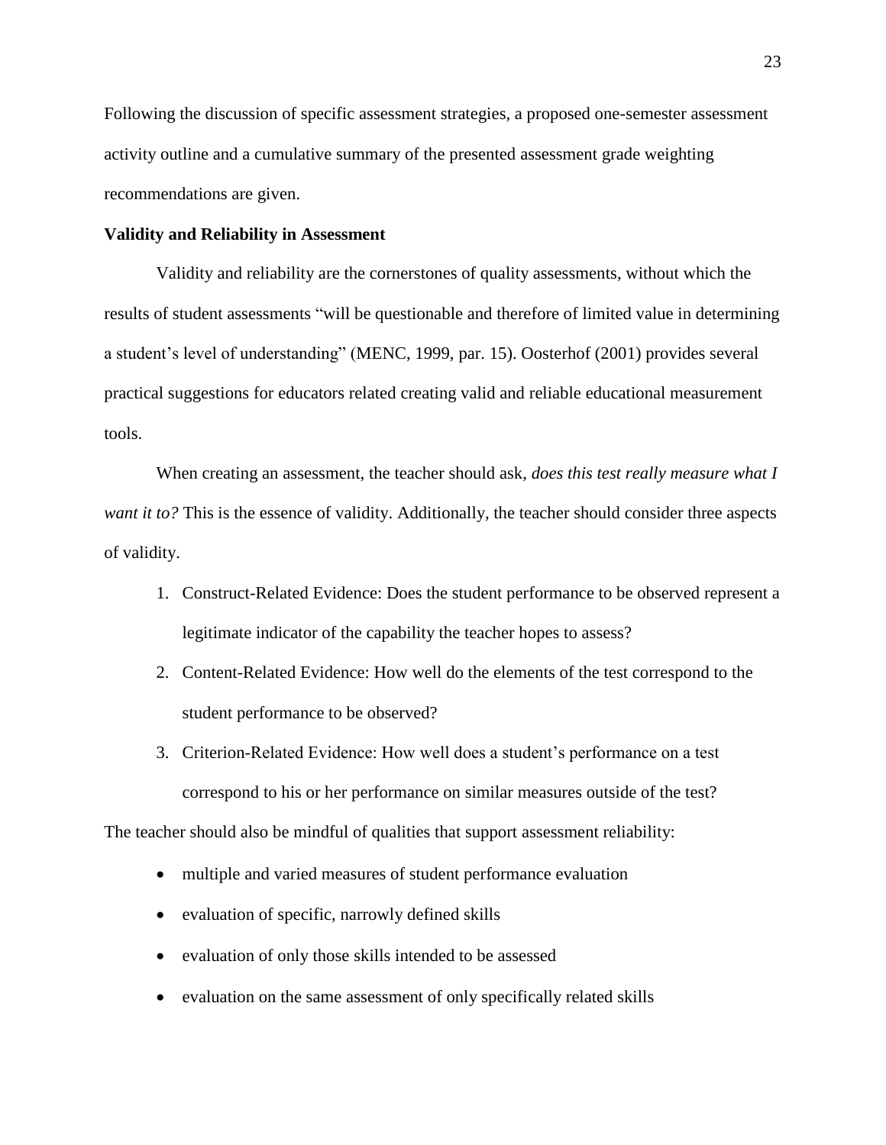Following the discussion of specific assessment strategies, a proposed one-semester assessment activity outline and a cumulative summary of the presented assessment grade weighting recommendations are given.

#### **Validity and Reliability in Assessment**

Validity and reliability are the cornerstones of quality assessments, without which the results of student assessments "will be questionable and therefore of limited value in determining a student's level of understanding" (MENC, 1999, par. 15). Oosterhof (2001) provides several practical suggestions for educators related creating valid and reliable educational measurement tools.

When creating an assessment, the teacher should ask, *does this test really measure what I want it to?* This is the essence of validity. Additionally, the teacher should consider three aspects of validity.

- 1. Construct-Related Evidence: Does the student performance to be observed represent a legitimate indicator of the capability the teacher hopes to assess?
- 2. Content-Related Evidence: How well do the elements of the test correspond to the student performance to be observed?
- 3. Criterion-Related Evidence: How well does a student's performance on a test correspond to his or her performance on similar measures outside of the test?

The teacher should also be mindful of qualities that support assessment reliability:

- multiple and varied measures of student performance evaluation
- evaluation of specific, narrowly defined skills
- evaluation of only those skills intended to be assessed
- evaluation on the same assessment of only specifically related skills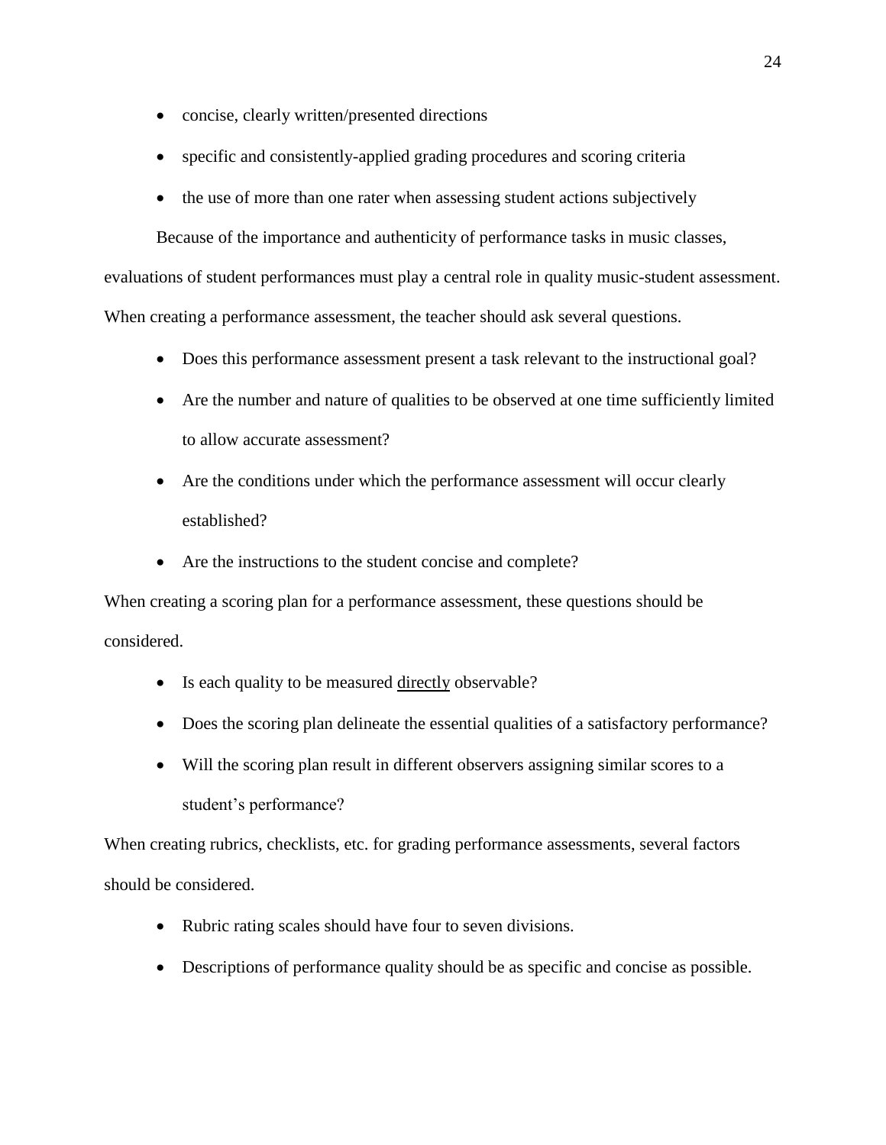- concise, clearly written/presented directions
- specific and consistently-applied grading procedures and scoring criteria
- the use of more than one rater when assessing student actions subjectively

Because of the importance and authenticity of performance tasks in music classes,

evaluations of student performances must play a central role in quality music-student assessment. When creating a performance assessment, the teacher should ask several questions.

- Does this performance assessment present a task relevant to the instructional goal?
- Are the number and nature of qualities to be observed at one time sufficiently limited to allow accurate assessment?
- Are the conditions under which the performance assessment will occur clearly established?
- Are the instructions to the student concise and complete?

When creating a scoring plan for a performance assessment, these questions should be considered.

- Is each quality to be measured directly observable?
- Does the scoring plan delineate the essential qualities of a satisfactory performance?
- Will the scoring plan result in different observers assigning similar scores to a student's performance?

When creating rubrics, checklists, etc. for grading performance assessments, several factors should be considered.

- Rubric rating scales should have four to seven divisions.
- Descriptions of performance quality should be as specific and concise as possible.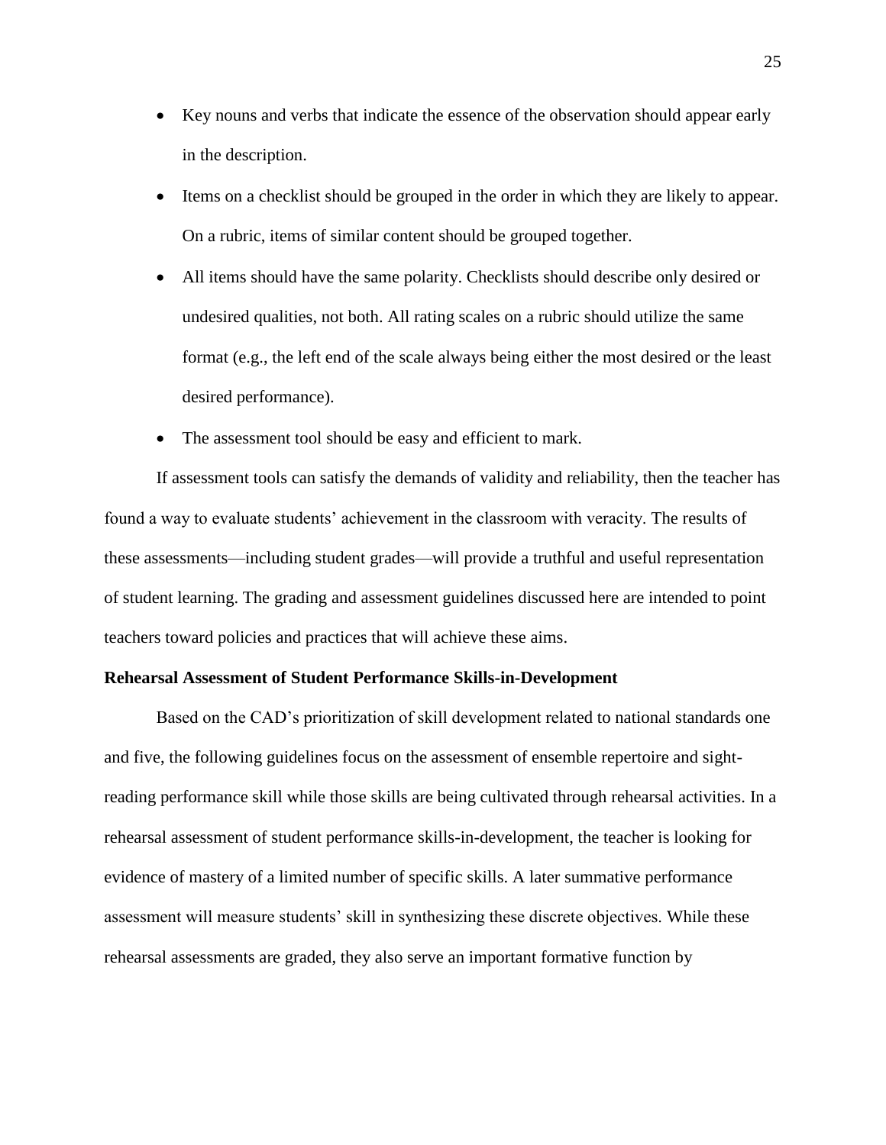- Key nouns and verbs that indicate the essence of the observation should appear early in the description.
- Items on a checklist should be grouped in the order in which they are likely to appear. On a rubric, items of similar content should be grouped together.
- All items should have the same polarity. Checklists should describe only desired or undesired qualities, not both. All rating scales on a rubric should utilize the same format (e.g., the left end of the scale always being either the most desired or the least desired performance).
- The assessment tool should be easy and efficient to mark.

If assessment tools can satisfy the demands of validity and reliability, then the teacher has found a way to evaluate students' achievement in the classroom with veracity. The results of these assessments—including student grades—will provide a truthful and useful representation of student learning. The grading and assessment guidelines discussed here are intended to point teachers toward policies and practices that will achieve these aims.

#### **Rehearsal Assessment of Student Performance Skills-in-Development**

Based on the CAD's prioritization of skill development related to national standards one and five, the following guidelines focus on the assessment of ensemble repertoire and sightreading performance skill while those skills are being cultivated through rehearsal activities. In a rehearsal assessment of student performance skills-in-development, the teacher is looking for evidence of mastery of a limited number of specific skills. A later summative performance assessment will measure students' skill in synthesizing these discrete objectives. While these rehearsal assessments are graded, they also serve an important formative function by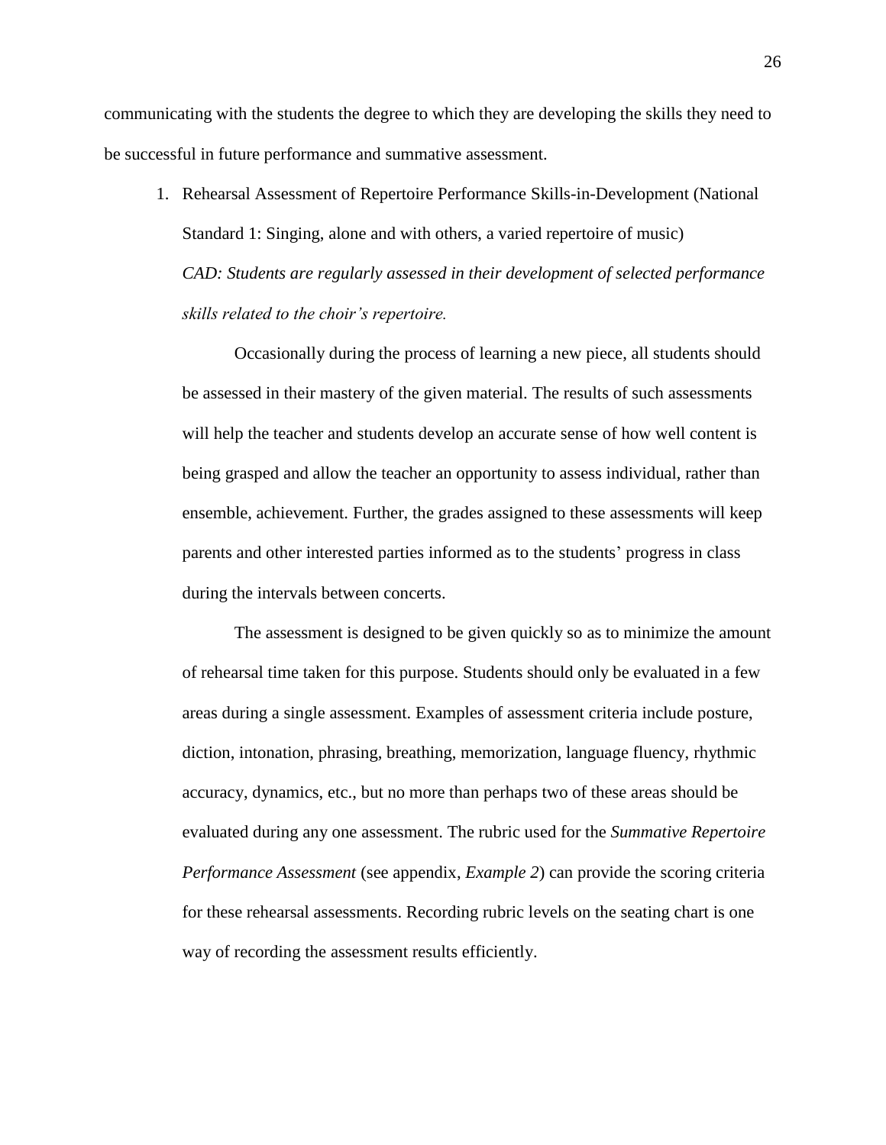communicating with the students the degree to which they are developing the skills they need to be successful in future performance and summative assessment.

1. Rehearsal Assessment of Repertoire Performance Skills-in-Development (National Standard 1: Singing, alone and with others, a varied repertoire of music) *CAD: Students are regularly assessed in their development of selected performance skills related to the choir's repertoire.*

Occasionally during the process of learning a new piece, all students should be assessed in their mastery of the given material. The results of such assessments will help the teacher and students develop an accurate sense of how well content is being grasped and allow the teacher an opportunity to assess individual, rather than ensemble, achievement. Further, the grades assigned to these assessments will keep parents and other interested parties informed as to the students' progress in class during the intervals between concerts.

The assessment is designed to be given quickly so as to minimize the amount of rehearsal time taken for this purpose. Students should only be evaluated in a few areas during a single assessment. Examples of assessment criteria include posture, diction, intonation, phrasing, breathing, memorization, language fluency, rhythmic accuracy, dynamics, etc., but no more than perhaps two of these areas should be evaluated during any one assessment. The rubric used for the *Summative Repertoire Performance Assessment* (see appendix, *Example 2*) can provide the scoring criteria for these rehearsal assessments. Recording rubric levels on the seating chart is one way of recording the assessment results efficiently.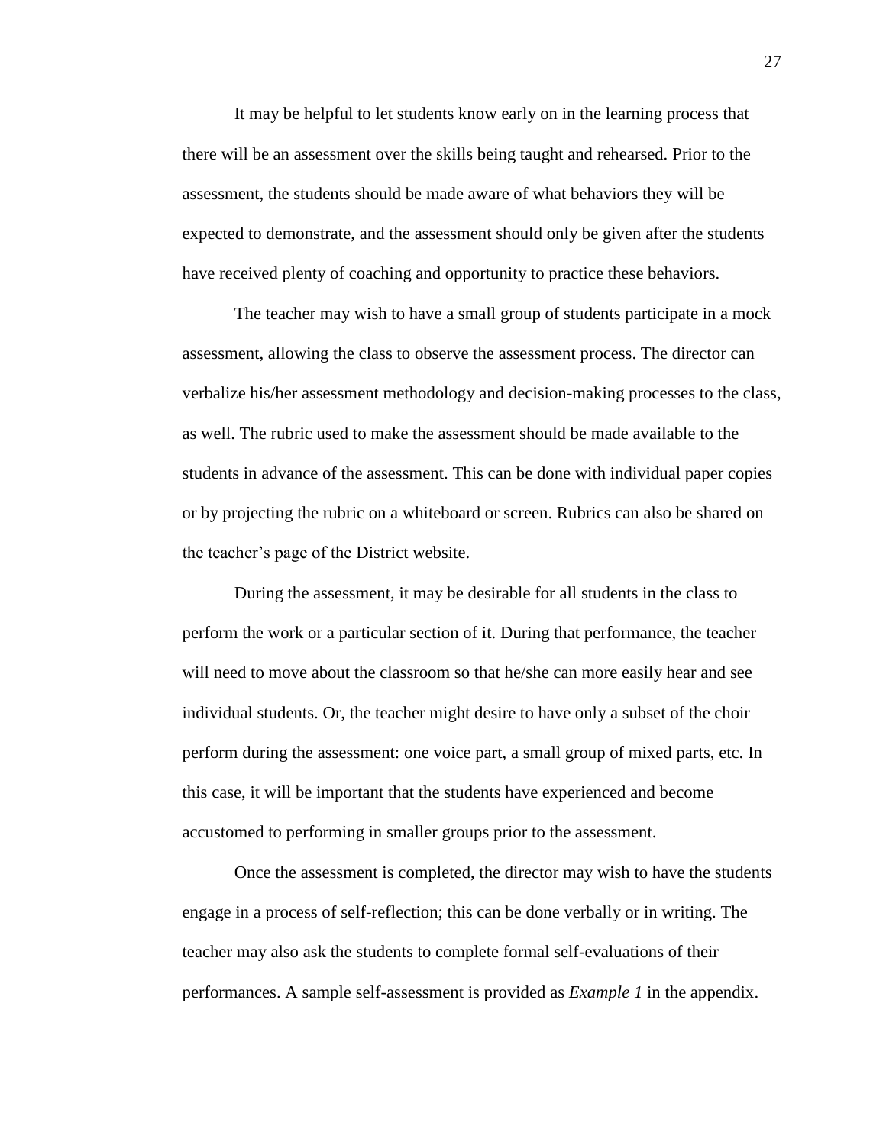It may be helpful to let students know early on in the learning process that there will be an assessment over the skills being taught and rehearsed. Prior to the assessment, the students should be made aware of what behaviors they will be expected to demonstrate, and the assessment should only be given after the students have received plenty of coaching and opportunity to practice these behaviors.

The teacher may wish to have a small group of students participate in a mock assessment, allowing the class to observe the assessment process. The director can verbalize his/her assessment methodology and decision-making processes to the class, as well. The rubric used to make the assessment should be made available to the students in advance of the assessment. This can be done with individual paper copies or by projecting the rubric on a whiteboard or screen. Rubrics can also be shared on the teacher's page of the District website.

During the assessment, it may be desirable for all students in the class to perform the work or a particular section of it. During that performance, the teacher will need to move about the classroom so that he/she can more easily hear and see individual students. Or, the teacher might desire to have only a subset of the choir perform during the assessment: one voice part, a small group of mixed parts, etc. In this case, it will be important that the students have experienced and become accustomed to performing in smaller groups prior to the assessment.

Once the assessment is completed, the director may wish to have the students engage in a process of self-reflection; this can be done verbally or in writing. The teacher may also ask the students to complete formal self-evaluations of their performances. A sample self-assessment is provided as *Example 1* in the appendix.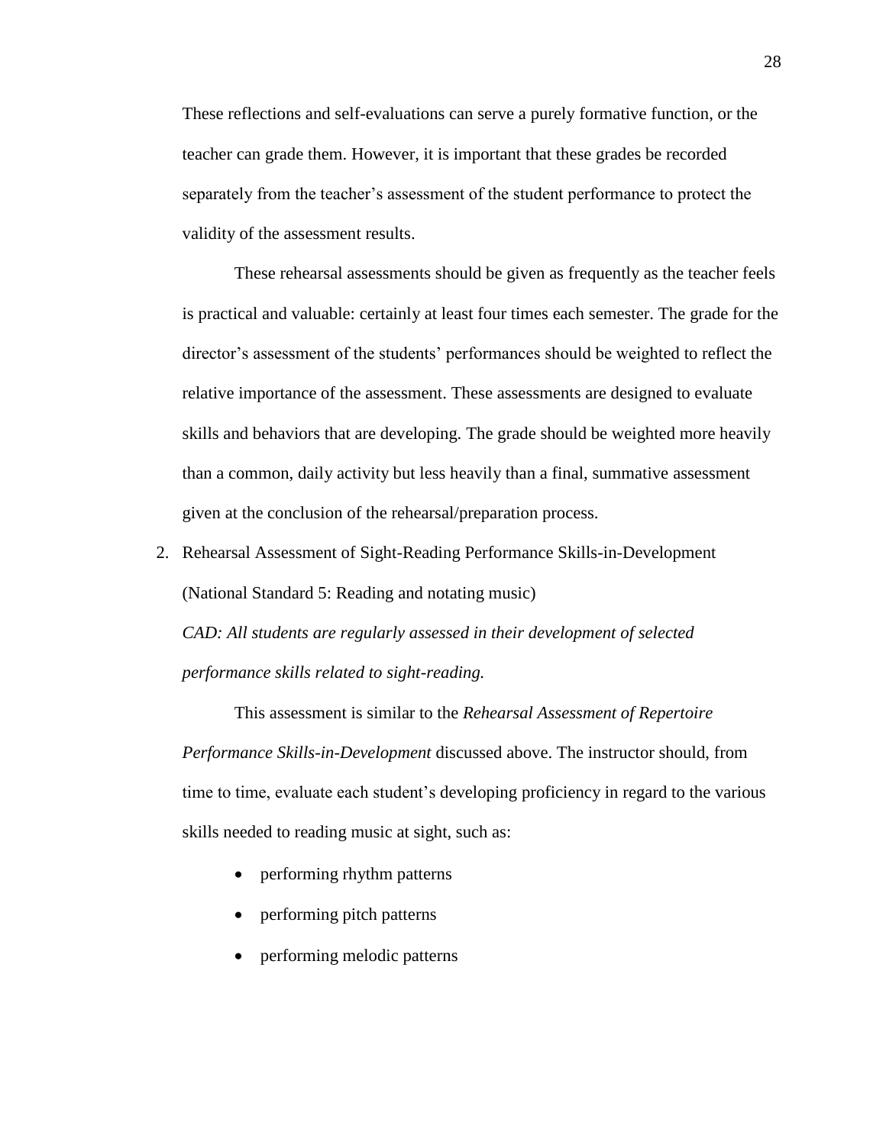These reflections and self-evaluations can serve a purely formative function, or the teacher can grade them. However, it is important that these grades be recorded separately from the teacher's assessment of the student performance to protect the validity of the assessment results.

These rehearsal assessments should be given as frequently as the teacher feels is practical and valuable: certainly at least four times each semester. The grade for the director's assessment of the students' performances should be weighted to reflect the relative importance of the assessment. These assessments are designed to evaluate skills and behaviors that are developing. The grade should be weighted more heavily than a common, daily activity but less heavily than a final, summative assessment given at the conclusion of the rehearsal/preparation process.

2. Rehearsal Assessment of Sight-Reading Performance Skills-in-Development (National Standard 5: Reading and notating music) *CAD: All students are regularly assessed in their development of selected performance skills related to sight-reading.*

This assessment is similar to the *Rehearsal Assessment of Repertoire Performance Skills-in-Development* discussed above. The instructor should, from time to time, evaluate each student's developing proficiency in regard to the various skills needed to reading music at sight, such as:

- performing rhythm patterns
- performing pitch patterns
- performing melodic patterns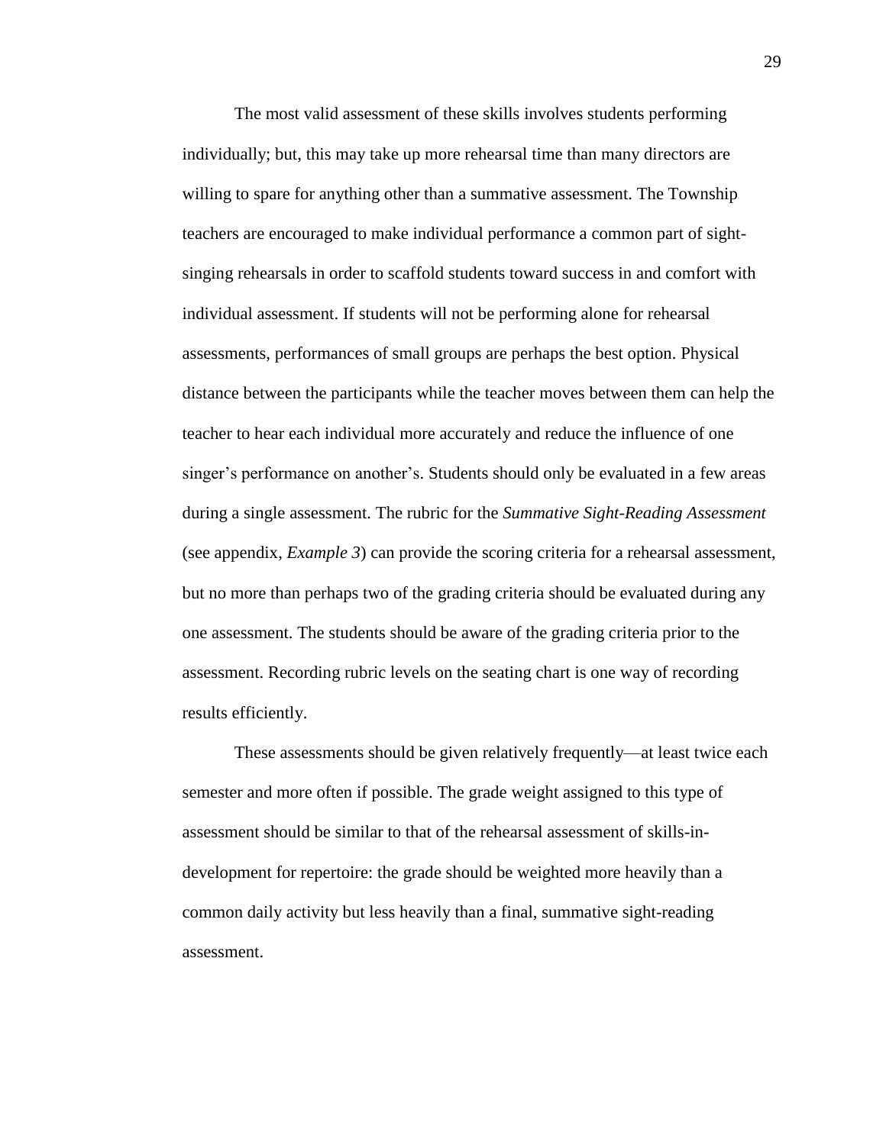The most valid assessment of these skills involves students performing individually; but, this may take up more rehearsal time than many directors are willing to spare for anything other than a summative assessment. The Township teachers are encouraged to make individual performance a common part of sightsinging rehearsals in order to scaffold students toward success in and comfort with individual assessment. If students will not be performing alone for rehearsal assessments, performances of small groups are perhaps the best option. Physical distance between the participants while the teacher moves between them can help the teacher to hear each individual more accurately and reduce the influence of one singer's performance on another's. Students should only be evaluated in a few areas during a single assessment. The rubric for the *Summative Sight-Reading Assessment* (see appendix, *Example 3*) can provide the scoring criteria for a rehearsal assessment, but no more than perhaps two of the grading criteria should be evaluated during any one assessment. The students should be aware of the grading criteria prior to the assessment. Recording rubric levels on the seating chart is one way of recording results efficiently.

These assessments should be given relatively frequently—at least twice each semester and more often if possible. The grade weight assigned to this type of assessment should be similar to that of the rehearsal assessment of skills-indevelopment for repertoire: the grade should be weighted more heavily than a common daily activity but less heavily than a final, summative sight-reading assessment.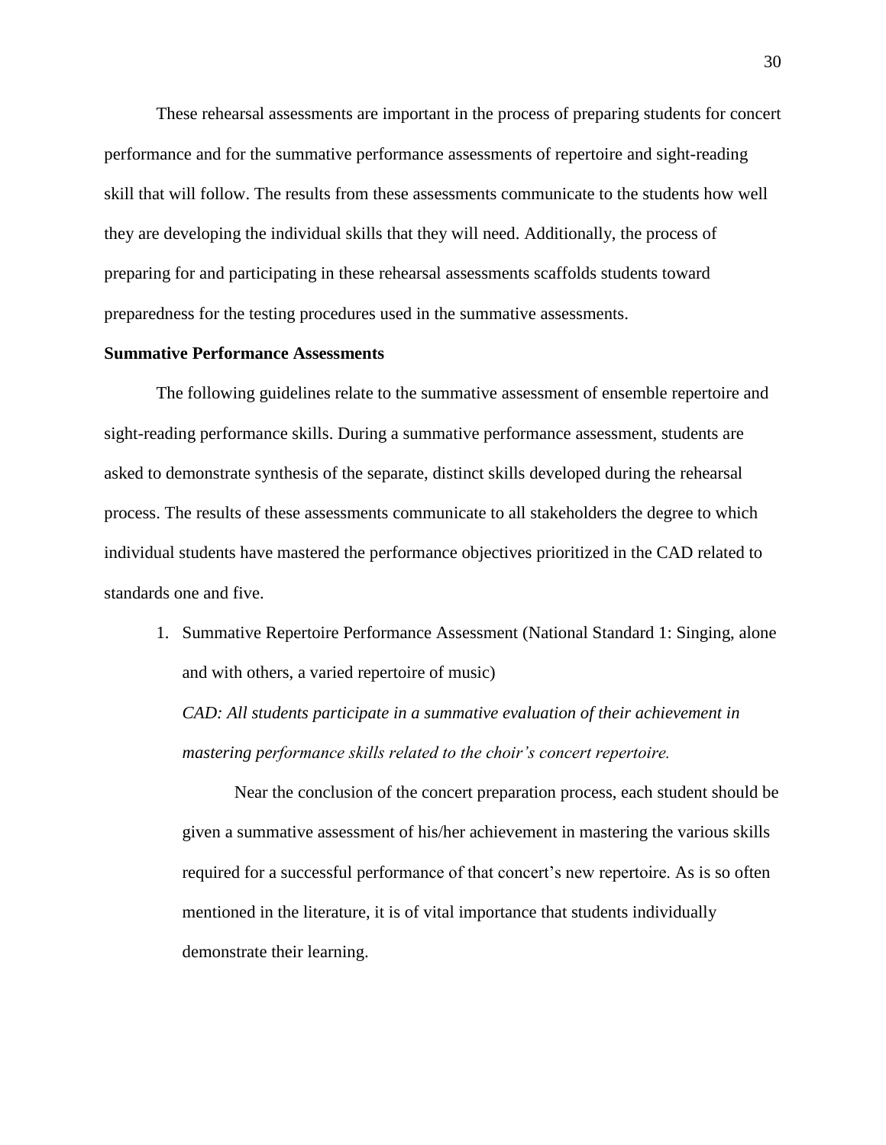These rehearsal assessments are important in the process of preparing students for concert performance and for the summative performance assessments of repertoire and sight-reading skill that will follow. The results from these assessments communicate to the students how well they are developing the individual skills that they will need. Additionally, the process of preparing for and participating in these rehearsal assessments scaffolds students toward preparedness for the testing procedures used in the summative assessments.

### **Summative Performance Assessments**

The following guidelines relate to the summative assessment of ensemble repertoire and sight-reading performance skills. During a summative performance assessment, students are asked to demonstrate synthesis of the separate, distinct skills developed during the rehearsal process. The results of these assessments communicate to all stakeholders the degree to which individual students have mastered the performance objectives prioritized in the CAD related to standards one and five.

1. Summative Repertoire Performance Assessment (National Standard 1: Singing, alone and with others, a varied repertoire of music)

*CAD: All students participate in a summative evaluation of their achievement in mastering performance skills related to the choir's concert repertoire.* 

Near the conclusion of the concert preparation process, each student should be given a summative assessment of his/her achievement in mastering the various skills required for a successful performance of that concert's new repertoire. As is so often mentioned in the literature, it is of vital importance that students individually demonstrate their learning.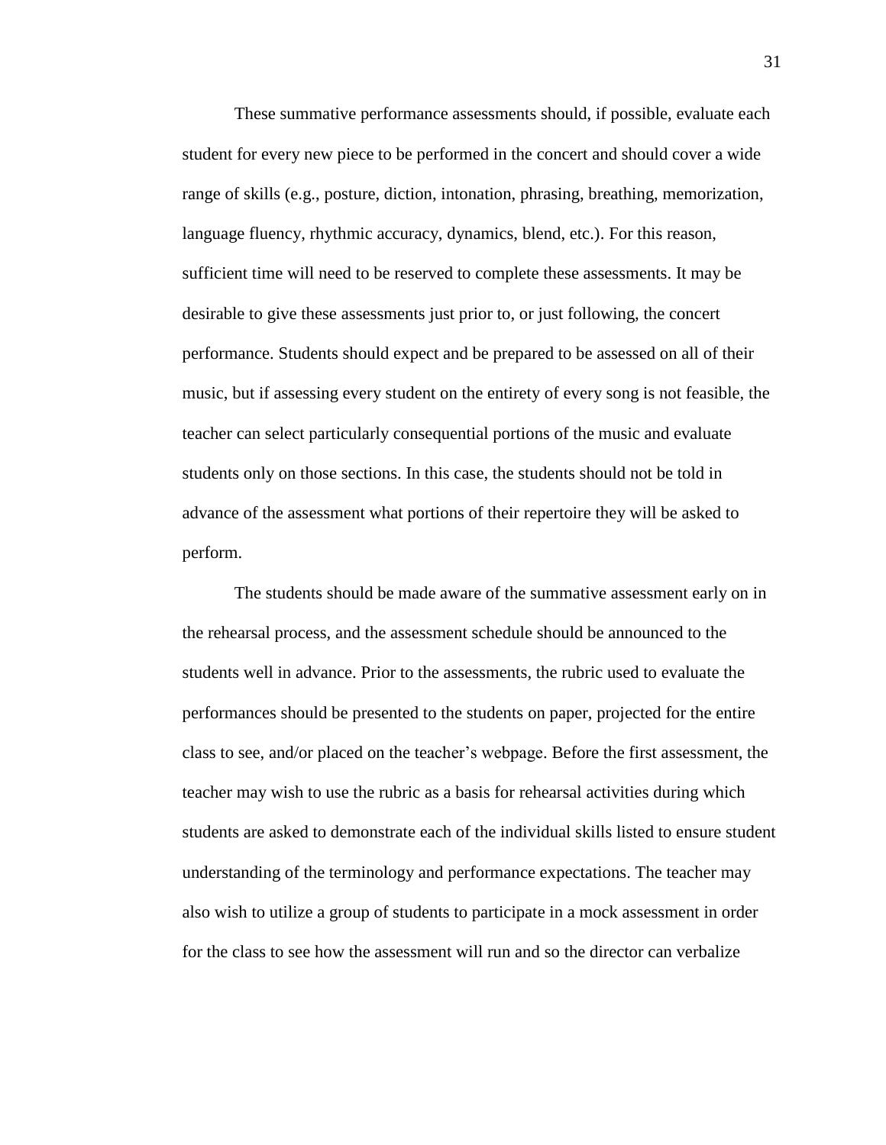These summative performance assessments should, if possible, evaluate each student for every new piece to be performed in the concert and should cover a wide range of skills (e.g., posture, diction, intonation, phrasing, breathing, memorization, language fluency, rhythmic accuracy, dynamics, blend, etc.). For this reason, sufficient time will need to be reserved to complete these assessments. It may be desirable to give these assessments just prior to, or just following, the concert performance. Students should expect and be prepared to be assessed on all of their music, but if assessing every student on the entirety of every song is not feasible, the teacher can select particularly consequential portions of the music and evaluate students only on those sections. In this case, the students should not be told in advance of the assessment what portions of their repertoire they will be asked to perform.

The students should be made aware of the summative assessment early on in the rehearsal process, and the assessment schedule should be announced to the students well in advance. Prior to the assessments, the rubric used to evaluate the performances should be presented to the students on paper, projected for the entire class to see, and/or placed on the teacher's webpage. Before the first assessment, the teacher may wish to use the rubric as a basis for rehearsal activities during which students are asked to demonstrate each of the individual skills listed to ensure student understanding of the terminology and performance expectations. The teacher may also wish to utilize a group of students to participate in a mock assessment in order for the class to see how the assessment will run and so the director can verbalize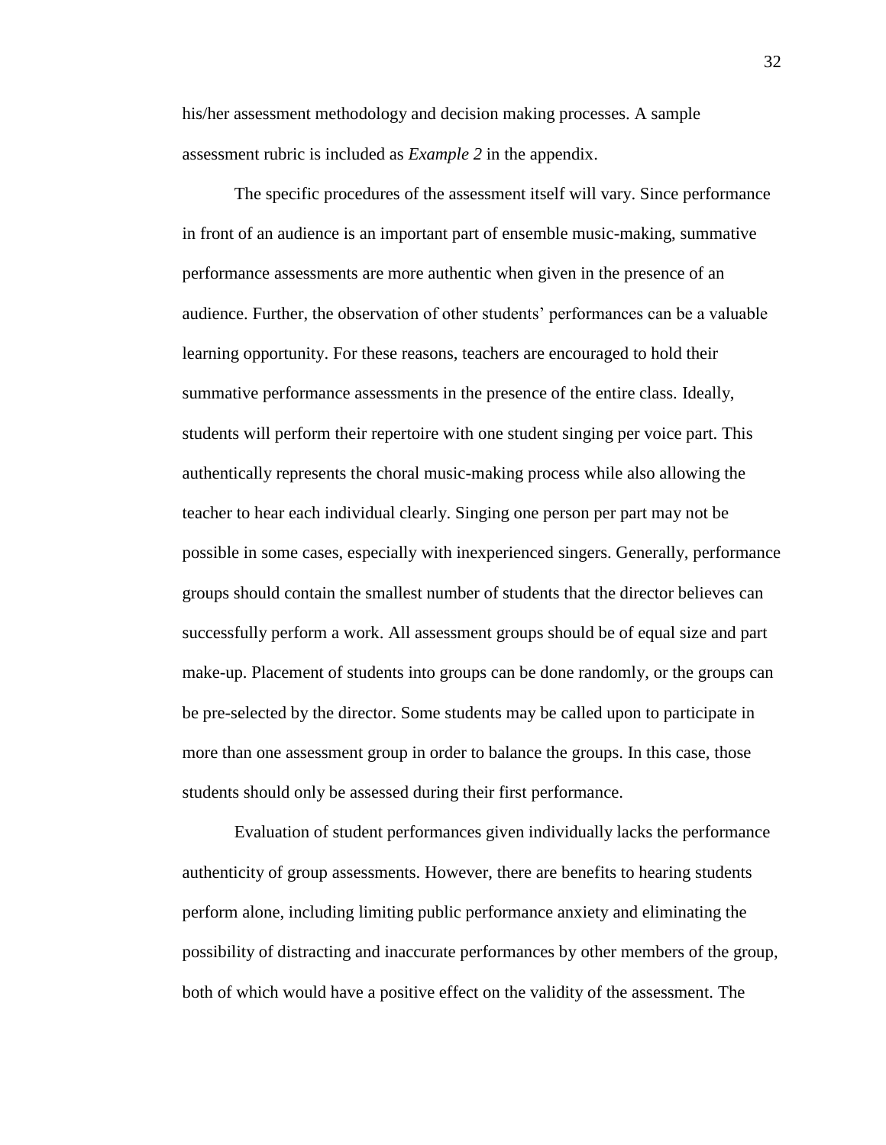his/her assessment methodology and decision making processes. A sample assessment rubric is included as *Example 2* in the appendix.

The specific procedures of the assessment itself will vary. Since performance in front of an audience is an important part of ensemble music-making, summative performance assessments are more authentic when given in the presence of an audience. Further, the observation of other students' performances can be a valuable learning opportunity. For these reasons, teachers are encouraged to hold their summative performance assessments in the presence of the entire class. Ideally, students will perform their repertoire with one student singing per voice part. This authentically represents the choral music-making process while also allowing the teacher to hear each individual clearly. Singing one person per part may not be possible in some cases, especially with inexperienced singers. Generally, performance groups should contain the smallest number of students that the director believes can successfully perform a work. All assessment groups should be of equal size and part make-up. Placement of students into groups can be done randomly, or the groups can be pre-selected by the director. Some students may be called upon to participate in more than one assessment group in order to balance the groups. In this case, those students should only be assessed during their first performance.

Evaluation of student performances given individually lacks the performance authenticity of group assessments. However, there are benefits to hearing students perform alone, including limiting public performance anxiety and eliminating the possibility of distracting and inaccurate performances by other members of the group, both of which would have a positive effect on the validity of the assessment. The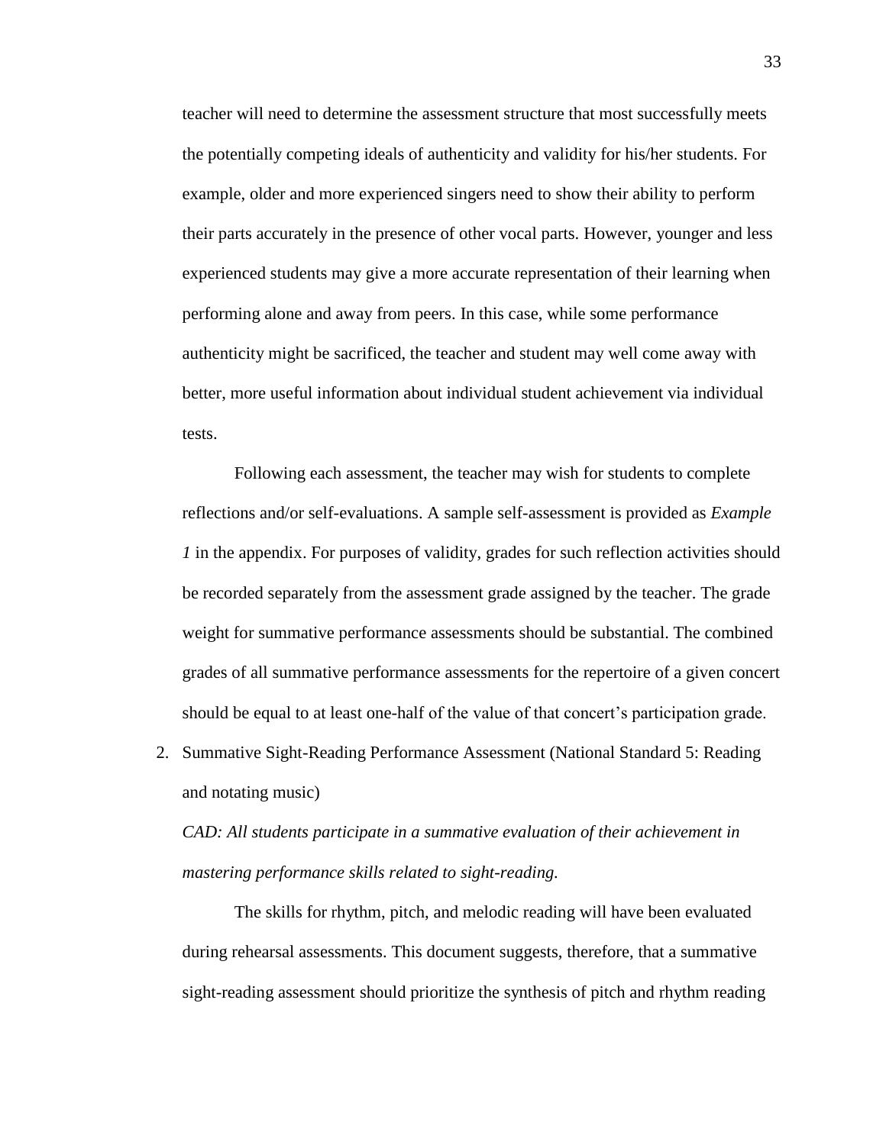teacher will need to determine the assessment structure that most successfully meets the potentially competing ideals of authenticity and validity for his/her students. For example, older and more experienced singers need to show their ability to perform their parts accurately in the presence of other vocal parts. However, younger and less experienced students may give a more accurate representation of their learning when performing alone and away from peers. In this case, while some performance authenticity might be sacrificed, the teacher and student may well come away with better, more useful information about individual student achievement via individual tests.

Following each assessment, the teacher may wish for students to complete reflections and/or self-evaluations. A sample self-assessment is provided as *Example 1* in the appendix. For purposes of validity, grades for such reflection activities should be recorded separately from the assessment grade assigned by the teacher. The grade weight for summative performance assessments should be substantial. The combined grades of all summative performance assessments for the repertoire of a given concert should be equal to at least one-half of the value of that concert's participation grade.

2. Summative Sight-Reading Performance Assessment (National Standard 5: Reading and notating music)

*CAD: All students participate in a summative evaluation of their achievement in mastering performance skills related to sight-reading.* 

The skills for rhythm, pitch, and melodic reading will have been evaluated during rehearsal assessments. This document suggests, therefore, that a summative sight-reading assessment should prioritize the synthesis of pitch and rhythm reading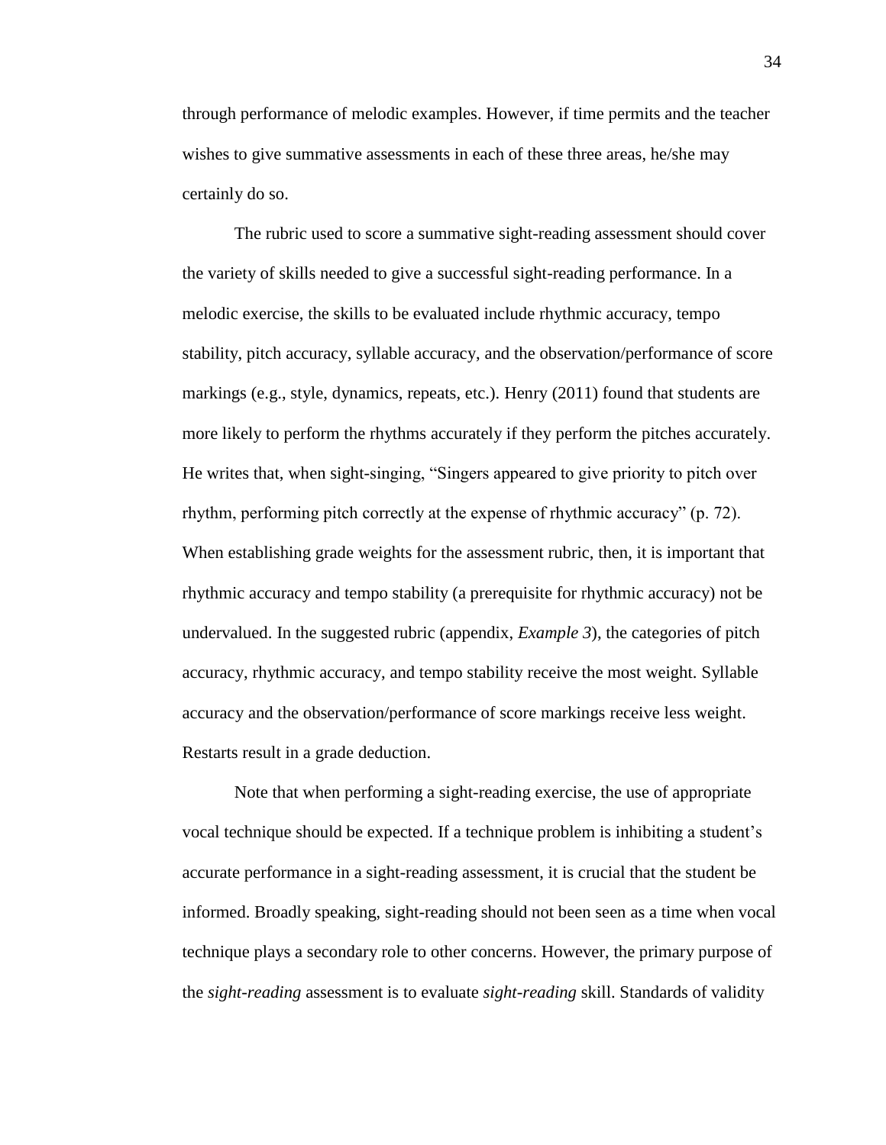through performance of melodic examples. However, if time permits and the teacher wishes to give summative assessments in each of these three areas, he/she may certainly do so.

The rubric used to score a summative sight-reading assessment should cover the variety of skills needed to give a successful sight-reading performance. In a melodic exercise, the skills to be evaluated include rhythmic accuracy, tempo stability, pitch accuracy, syllable accuracy, and the observation/performance of score markings (e.g., style, dynamics, repeats, etc.). Henry (2011) found that students are more likely to perform the rhythms accurately if they perform the pitches accurately. He writes that, when sight-singing, "Singers appeared to give priority to pitch over rhythm, performing pitch correctly at the expense of rhythmic accuracy" (p. 72). When establishing grade weights for the assessment rubric, then, it is important that rhythmic accuracy and tempo stability (a prerequisite for rhythmic accuracy) not be undervalued. In the suggested rubric (appendix, *Example 3*), the categories of pitch accuracy, rhythmic accuracy, and tempo stability receive the most weight. Syllable accuracy and the observation/performance of score markings receive less weight. Restarts result in a grade deduction.

Note that when performing a sight-reading exercise, the use of appropriate vocal technique should be expected. If a technique problem is inhibiting a student's accurate performance in a sight-reading assessment, it is crucial that the student be informed. Broadly speaking, sight-reading should not been seen as a time when vocal technique plays a secondary role to other concerns. However, the primary purpose of the *sight-reading* assessment is to evaluate *sight-reading* skill. Standards of validity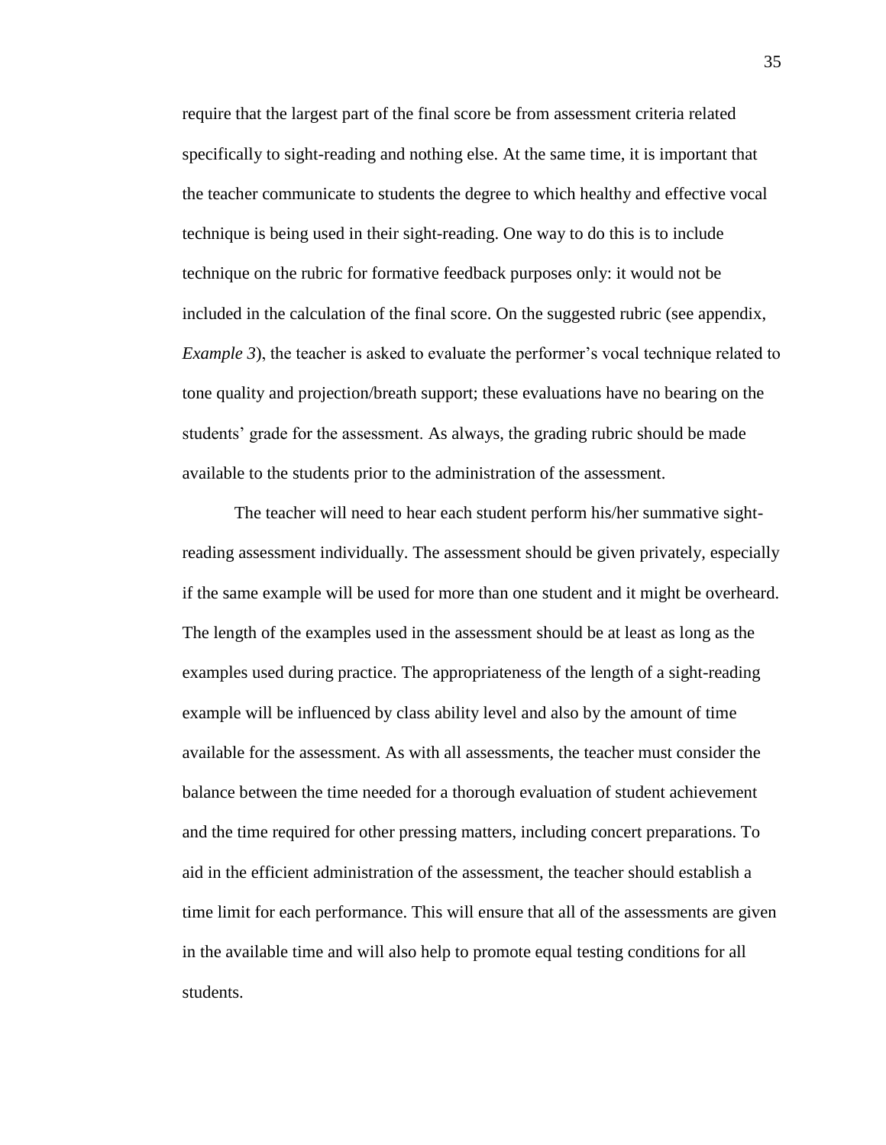require that the largest part of the final score be from assessment criteria related specifically to sight-reading and nothing else. At the same time, it is important that the teacher communicate to students the degree to which healthy and effective vocal technique is being used in their sight-reading. One way to do this is to include technique on the rubric for formative feedback purposes only: it would not be included in the calculation of the final score. On the suggested rubric (see appendix, *Example 3*), the teacher is asked to evaluate the performer's vocal technique related to tone quality and projection/breath support; these evaluations have no bearing on the students' grade for the assessment. As always, the grading rubric should be made available to the students prior to the administration of the assessment.

The teacher will need to hear each student perform his/her summative sightreading assessment individually. The assessment should be given privately, especially if the same example will be used for more than one student and it might be overheard. The length of the examples used in the assessment should be at least as long as the examples used during practice. The appropriateness of the length of a sight-reading example will be influenced by class ability level and also by the amount of time available for the assessment. As with all assessments, the teacher must consider the balance between the time needed for a thorough evaluation of student achievement and the time required for other pressing matters, including concert preparations. To aid in the efficient administration of the assessment, the teacher should establish a time limit for each performance. This will ensure that all of the assessments are given in the available time and will also help to promote equal testing conditions for all students.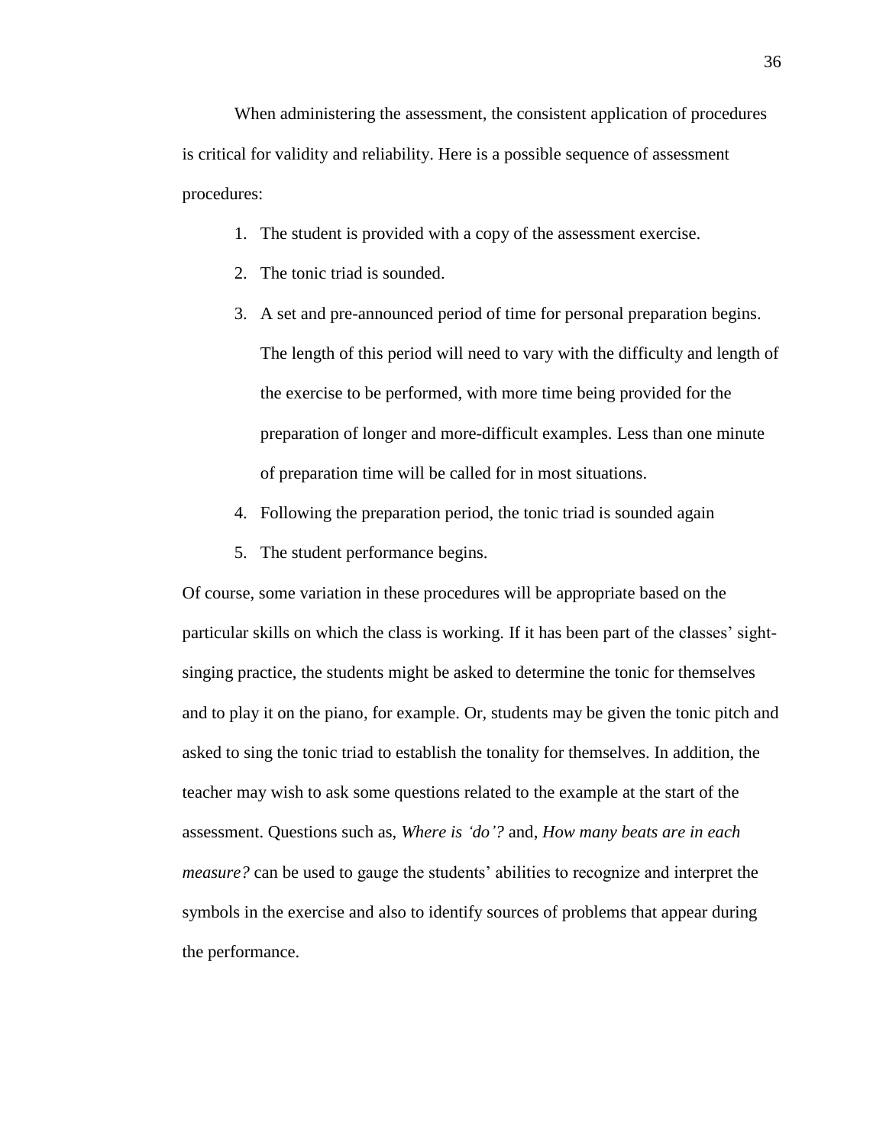When administering the assessment, the consistent application of procedures is critical for validity and reliability. Here is a possible sequence of assessment procedures:

- 1. The student is provided with a copy of the assessment exercise.
- 2. The tonic triad is sounded.
- 3. A set and pre-announced period of time for personal preparation begins. The length of this period will need to vary with the difficulty and length of the exercise to be performed, with more time being provided for the preparation of longer and more-difficult examples. Less than one minute of preparation time will be called for in most situations.
- 4. Following the preparation period, the tonic triad is sounded again
- 5. The student performance begins.

Of course, some variation in these procedures will be appropriate based on the particular skills on which the class is working. If it has been part of the classes' sightsinging practice, the students might be asked to determine the tonic for themselves and to play it on the piano, for example. Or, students may be given the tonic pitch and asked to sing the tonic triad to establish the tonality for themselves. In addition, the teacher may wish to ask some questions related to the example at the start of the assessment. Questions such as, *Where is 'do'?* and, *How many beats are in each measure?* can be used to gauge the students' abilities to recognize and interpret the symbols in the exercise and also to identify sources of problems that appear during the performance.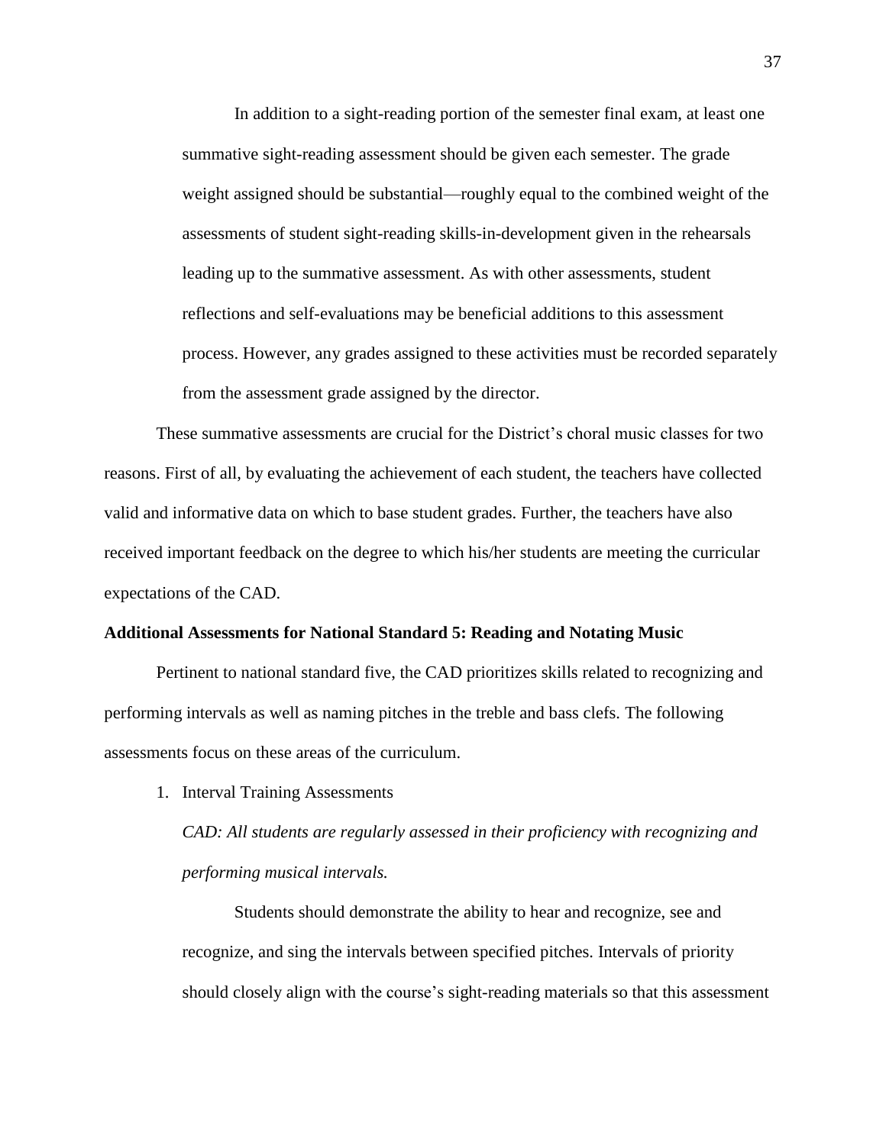In addition to a sight-reading portion of the semester final exam, at least one summative sight-reading assessment should be given each semester. The grade weight assigned should be substantial—roughly equal to the combined weight of the assessments of student sight-reading skills-in-development given in the rehearsals leading up to the summative assessment. As with other assessments, student reflections and self-evaluations may be beneficial additions to this assessment process. However, any grades assigned to these activities must be recorded separately from the assessment grade assigned by the director.

These summative assessments are crucial for the District's choral music classes for two reasons. First of all, by evaluating the achievement of each student, the teachers have collected valid and informative data on which to base student grades. Further, the teachers have also received important feedback on the degree to which his/her students are meeting the curricular expectations of the CAD.

#### **Additional Assessments for National Standard 5: Reading and Notating Music**

Pertinent to national standard five, the CAD prioritizes skills related to recognizing and performing intervals as well as naming pitches in the treble and bass clefs. The following assessments focus on these areas of the curriculum.

1. Interval Training Assessments

*CAD: All students are regularly assessed in their proficiency with recognizing and performing musical intervals.*

Students should demonstrate the ability to hear and recognize, see and recognize, and sing the intervals between specified pitches. Intervals of priority should closely align with the course's sight-reading materials so that this assessment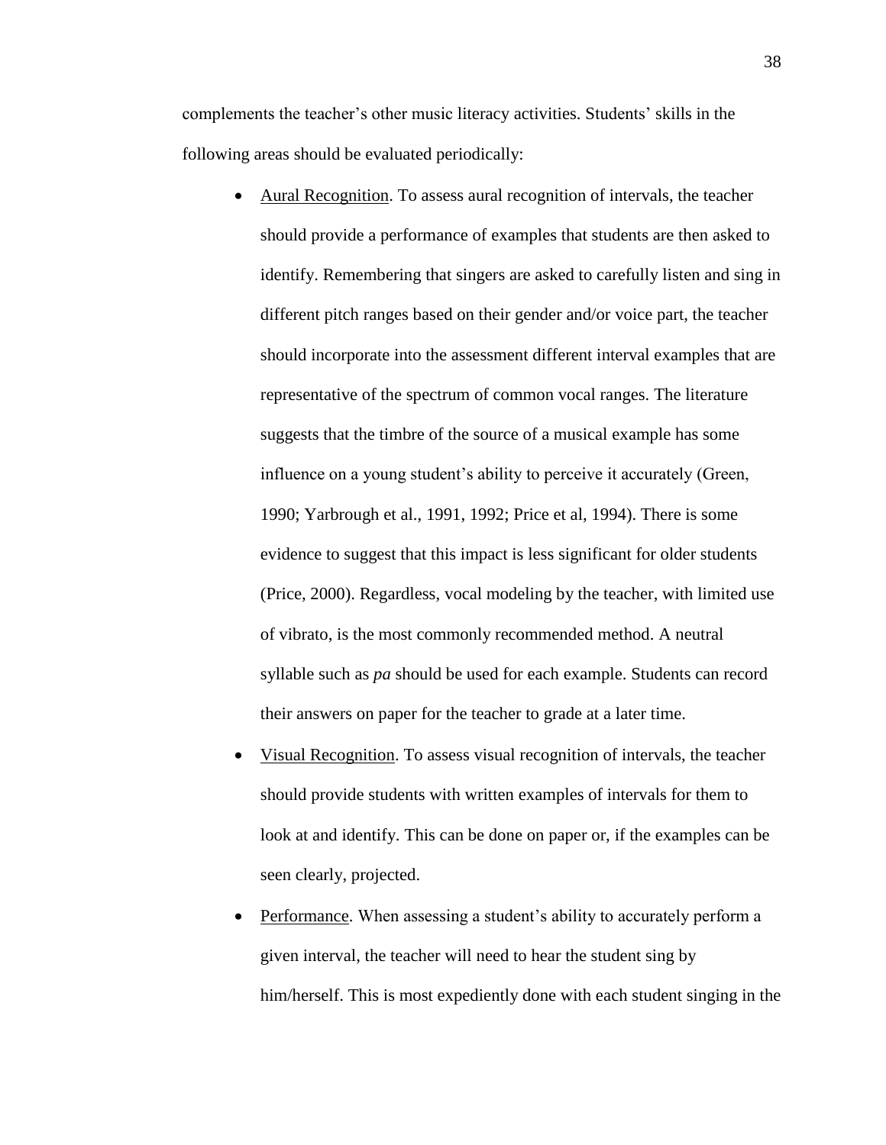complements the teacher's other music literacy activities. Students' skills in the following areas should be evaluated periodically:

- Aural Recognition. To assess aural recognition of intervals, the teacher should provide a performance of examples that students are then asked to identify. Remembering that singers are asked to carefully listen and sing in different pitch ranges based on their gender and/or voice part, the teacher should incorporate into the assessment different interval examples that are representative of the spectrum of common vocal ranges. The literature suggests that the timbre of the source of a musical example has some influence on a young student's ability to perceive it accurately (Green, 1990; Yarbrough et al., 1991, 1992; Price et al, 1994). There is some evidence to suggest that this impact is less significant for older students (Price, 2000). Regardless, vocal modeling by the teacher, with limited use of vibrato, is the most commonly recommended method. A neutral syllable such as *pa* should be used for each example. Students can record their answers on paper for the teacher to grade at a later time.
- Visual Recognition. To assess visual recognition of intervals, the teacher should provide students with written examples of intervals for them to look at and identify. This can be done on paper or, if the examples can be seen clearly, projected.
- Performance. When assessing a student's ability to accurately perform a given interval, the teacher will need to hear the student sing by him/herself. This is most expediently done with each student singing in the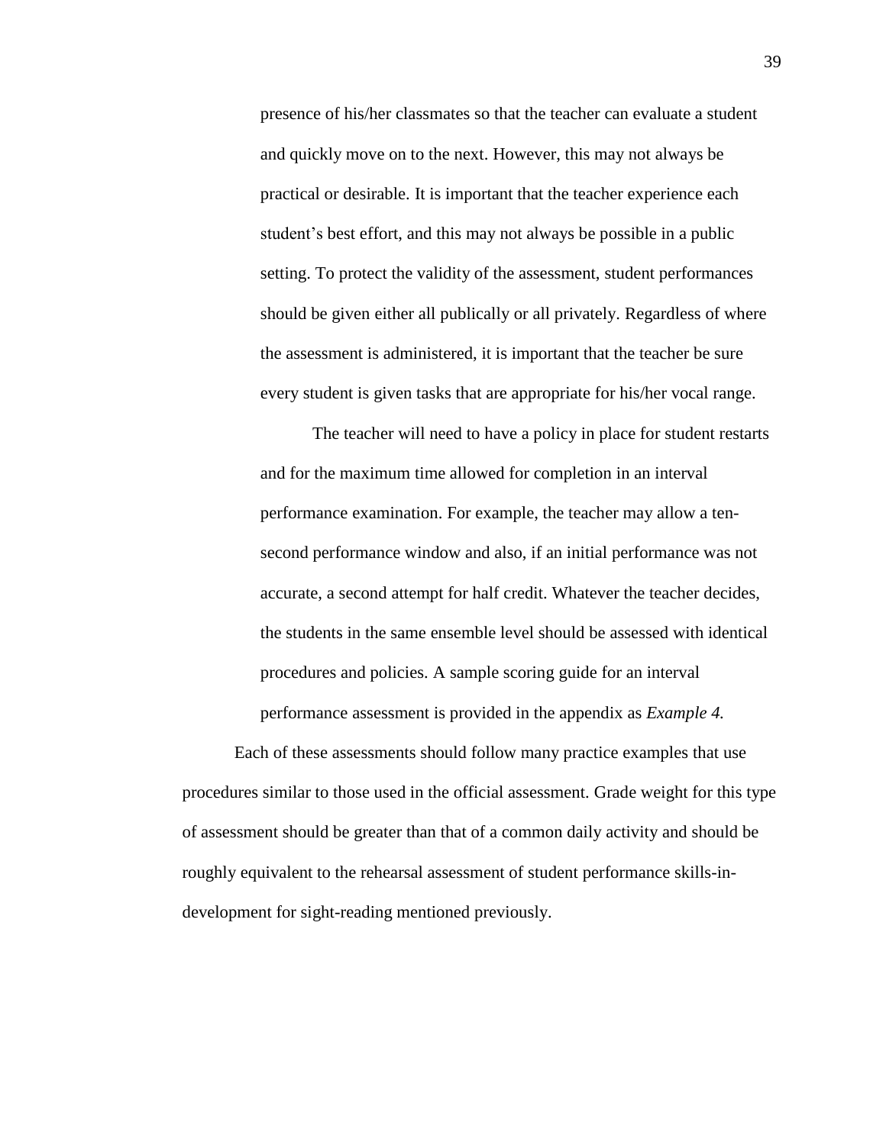presence of his/her classmates so that the teacher can evaluate a student and quickly move on to the next. However, this may not always be practical or desirable. It is important that the teacher experience each student's best effort, and this may not always be possible in a public setting. To protect the validity of the assessment, student performances should be given either all publically or all privately. Regardless of where the assessment is administered, it is important that the teacher be sure every student is given tasks that are appropriate for his/her vocal range.

The teacher will need to have a policy in place for student restarts and for the maximum time allowed for completion in an interval performance examination. For example, the teacher may allow a tensecond performance window and also, if an initial performance was not accurate, a second attempt for half credit. Whatever the teacher decides, the students in the same ensemble level should be assessed with identical procedures and policies. A sample scoring guide for an interval performance assessment is provided in the appendix as *Example 4.*

Each of these assessments should follow many practice examples that use procedures similar to those used in the official assessment. Grade weight for this type of assessment should be greater than that of a common daily activity and should be roughly equivalent to the rehearsal assessment of student performance skills-indevelopment for sight-reading mentioned previously.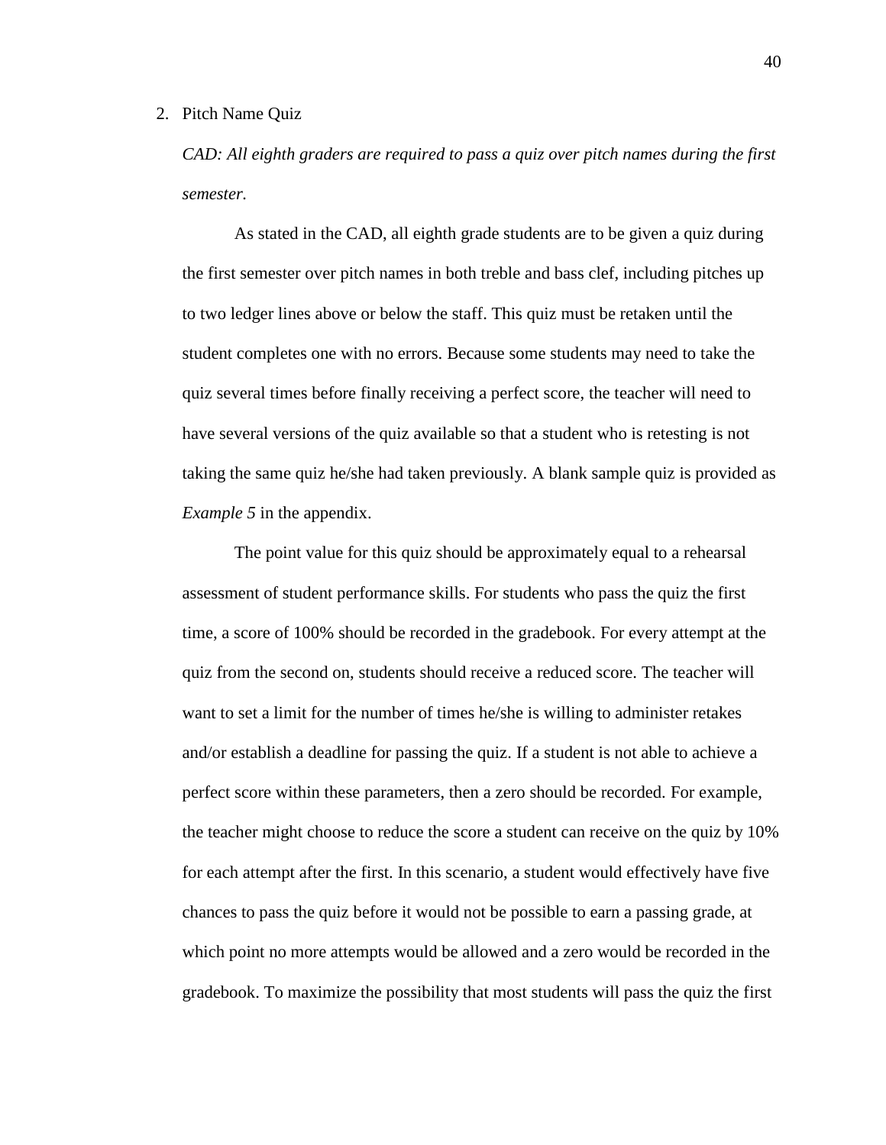#### 2. Pitch Name Quiz

*CAD: All eighth graders are required to pass a quiz over pitch names during the first semester.*

As stated in the CAD, all eighth grade students are to be given a quiz during the first semester over pitch names in both treble and bass clef, including pitches up to two ledger lines above or below the staff. This quiz must be retaken until the student completes one with no errors. Because some students may need to take the quiz several times before finally receiving a perfect score, the teacher will need to have several versions of the quiz available so that a student who is retesting is not taking the same quiz he/she had taken previously. A blank sample quiz is provided as *Example 5* in the appendix.

The point value for this quiz should be approximately equal to a rehearsal assessment of student performance skills. For students who pass the quiz the first time, a score of 100% should be recorded in the gradebook. For every attempt at the quiz from the second on, students should receive a reduced score. The teacher will want to set a limit for the number of times he/she is willing to administer retakes and/or establish a deadline for passing the quiz. If a student is not able to achieve a perfect score within these parameters, then a zero should be recorded. For example, the teacher might choose to reduce the score a student can receive on the quiz by 10% for each attempt after the first. In this scenario, a student would effectively have five chances to pass the quiz before it would not be possible to earn a passing grade, at which point no more attempts would be allowed and a zero would be recorded in the gradebook. To maximize the possibility that most students will pass the quiz the first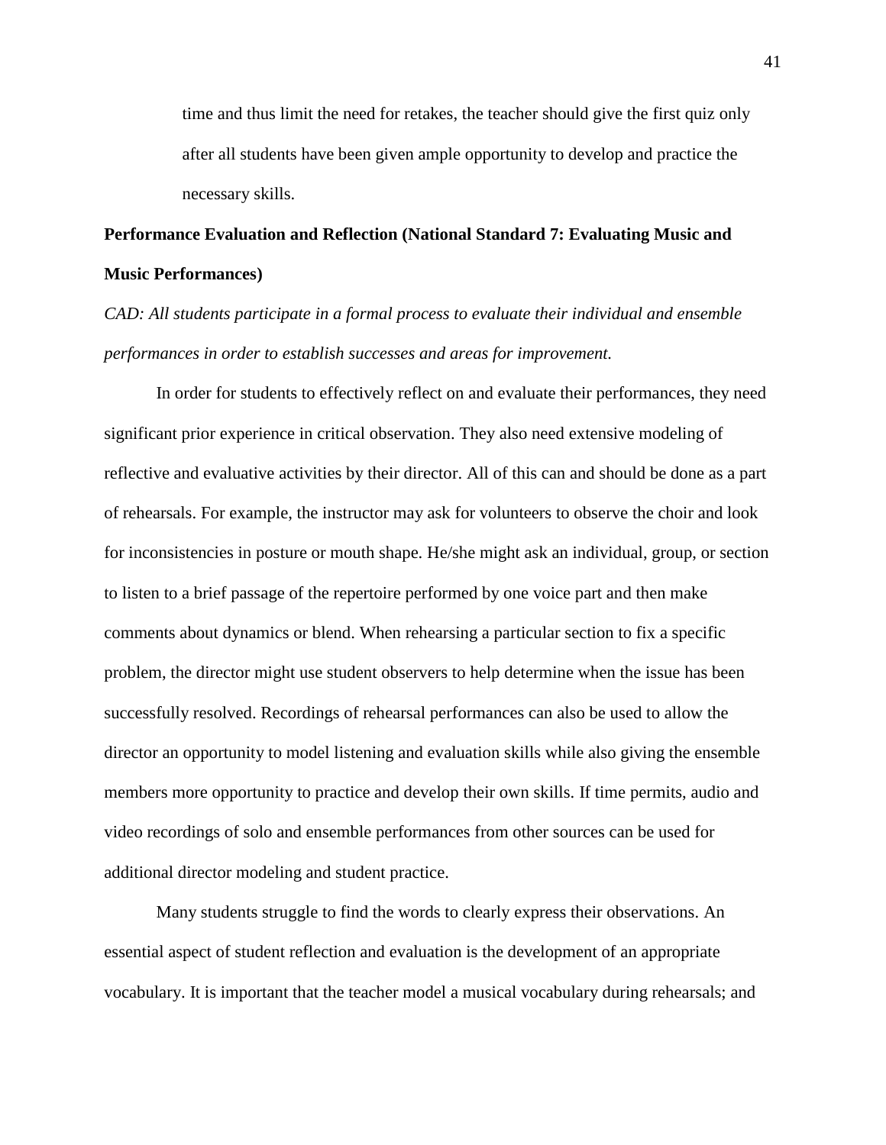time and thus limit the need for retakes, the teacher should give the first quiz only after all students have been given ample opportunity to develop and practice the necessary skills.

# **Performance Evaluation and Reflection (National Standard 7: Evaluating Music and Music Performances)**

*CAD: All students participate in a formal process to evaluate their individual and ensemble performances in order to establish successes and areas for improvement.*

In order for students to effectively reflect on and evaluate their performances, they need significant prior experience in critical observation. They also need extensive modeling of reflective and evaluative activities by their director. All of this can and should be done as a part of rehearsals. For example, the instructor may ask for volunteers to observe the choir and look for inconsistencies in posture or mouth shape. He/she might ask an individual, group, or section to listen to a brief passage of the repertoire performed by one voice part and then make comments about dynamics or blend. When rehearsing a particular section to fix a specific problem, the director might use student observers to help determine when the issue has been successfully resolved. Recordings of rehearsal performances can also be used to allow the director an opportunity to model listening and evaluation skills while also giving the ensemble members more opportunity to practice and develop their own skills. If time permits, audio and video recordings of solo and ensemble performances from other sources can be used for additional director modeling and student practice.

Many students struggle to find the words to clearly express their observations. An essential aspect of student reflection and evaluation is the development of an appropriate vocabulary. It is important that the teacher model a musical vocabulary during rehearsals; and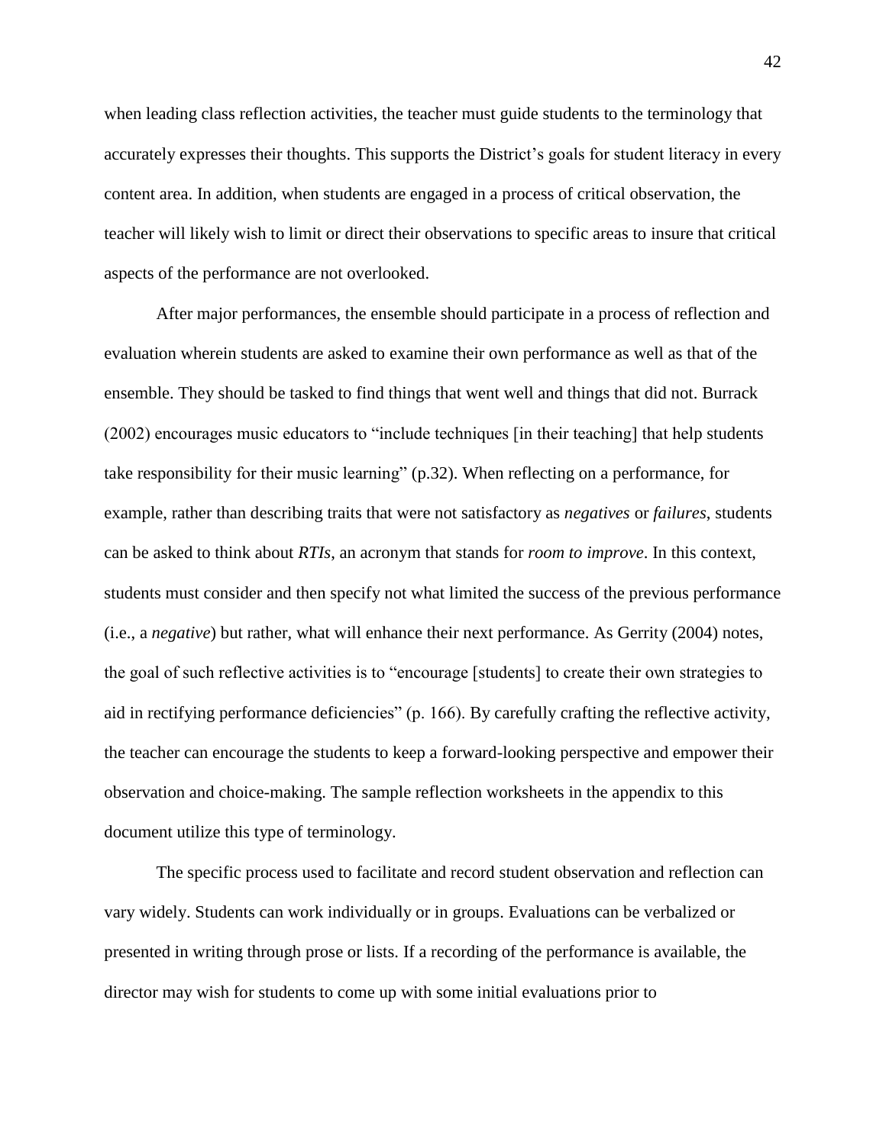when leading class reflection activities, the teacher must guide students to the terminology that accurately expresses their thoughts. This supports the District's goals for student literacy in every content area. In addition, when students are engaged in a process of critical observation, the teacher will likely wish to limit or direct their observations to specific areas to insure that critical aspects of the performance are not overlooked.

After major performances, the ensemble should participate in a process of reflection and evaluation wherein students are asked to examine their own performance as well as that of the ensemble. They should be tasked to find things that went well and things that did not. Burrack (2002) encourages music educators to "include techniques [in their teaching] that help students take responsibility for their music learning" (p.32). When reflecting on a performance, for example, rather than describing traits that were not satisfactory as *negatives* or *failures*, students can be asked to think about *RTIs*, an acronym that stands for *room to improve*. In this context, students must consider and then specify not what limited the success of the previous performance (i.e., a *negative*) but rather, what will enhance their next performance. As Gerrity (2004) notes, the goal of such reflective activities is to "encourage [students] to create their own strategies to aid in rectifying performance deficiencies" (p. 166). By carefully crafting the reflective activity, the teacher can encourage the students to keep a forward-looking perspective and empower their observation and choice-making. The sample reflection worksheets in the appendix to this document utilize this type of terminology.

The specific process used to facilitate and record student observation and reflection can vary widely. Students can work individually or in groups. Evaluations can be verbalized or presented in writing through prose or lists. If a recording of the performance is available, the director may wish for students to come up with some initial evaluations prior to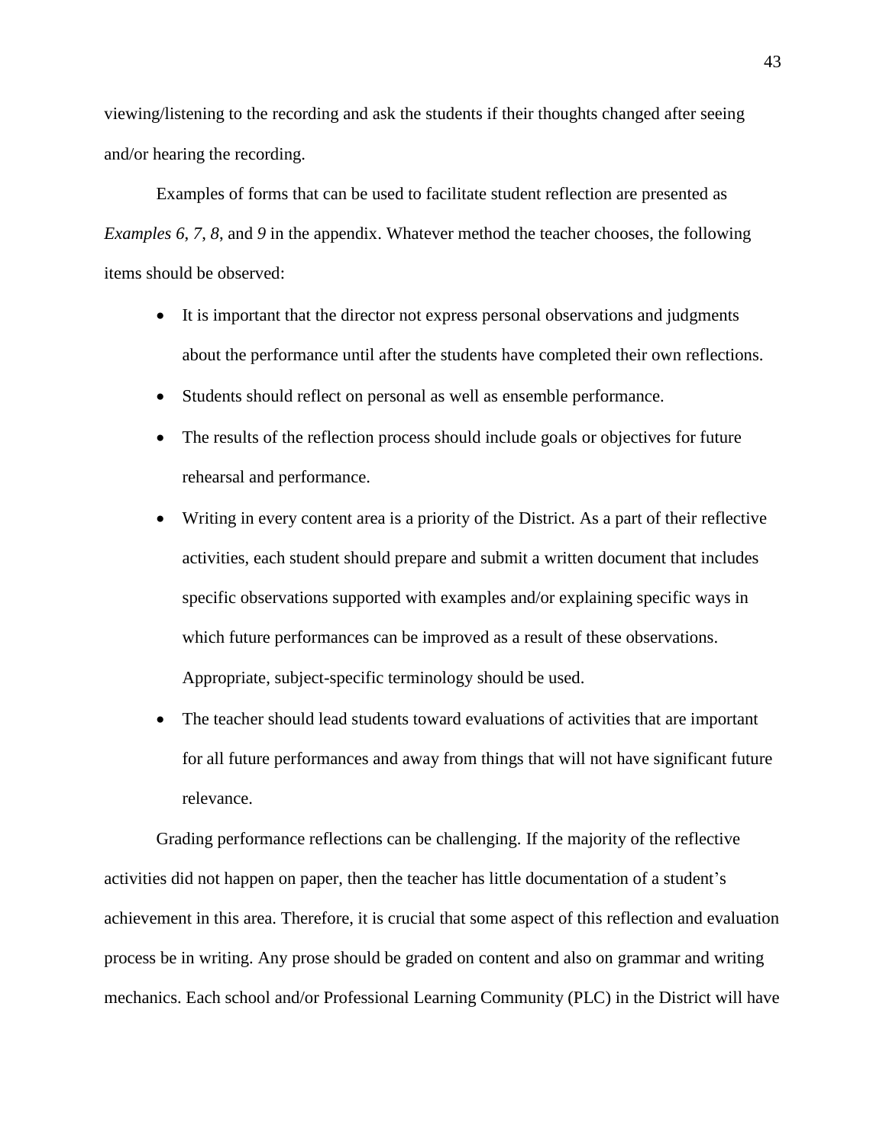viewing/listening to the recording and ask the students if their thoughts changed after seeing and/or hearing the recording.

Examples of forms that can be used to facilitate student reflection are presented as *Examples 6*, *7*, *8*, and *9* in the appendix. Whatever method the teacher chooses, the following items should be observed:

- It is important that the director not express personal observations and judgments about the performance until after the students have completed their own reflections.
- Students should reflect on personal as well as ensemble performance.
- The results of the reflection process should include goals or objectives for future rehearsal and performance.
- Writing in every content area is a priority of the District. As a part of their reflective activities, each student should prepare and submit a written document that includes specific observations supported with examples and/or explaining specific ways in which future performances can be improved as a result of these observations. Appropriate, subject-specific terminology should be used.
- The teacher should lead students toward evaluations of activities that are important for all future performances and away from things that will not have significant future relevance.

Grading performance reflections can be challenging. If the majority of the reflective activities did not happen on paper, then the teacher has little documentation of a student's achievement in this area. Therefore, it is crucial that some aspect of this reflection and evaluation process be in writing. Any prose should be graded on content and also on grammar and writing mechanics. Each school and/or Professional Learning Community (PLC) in the District will have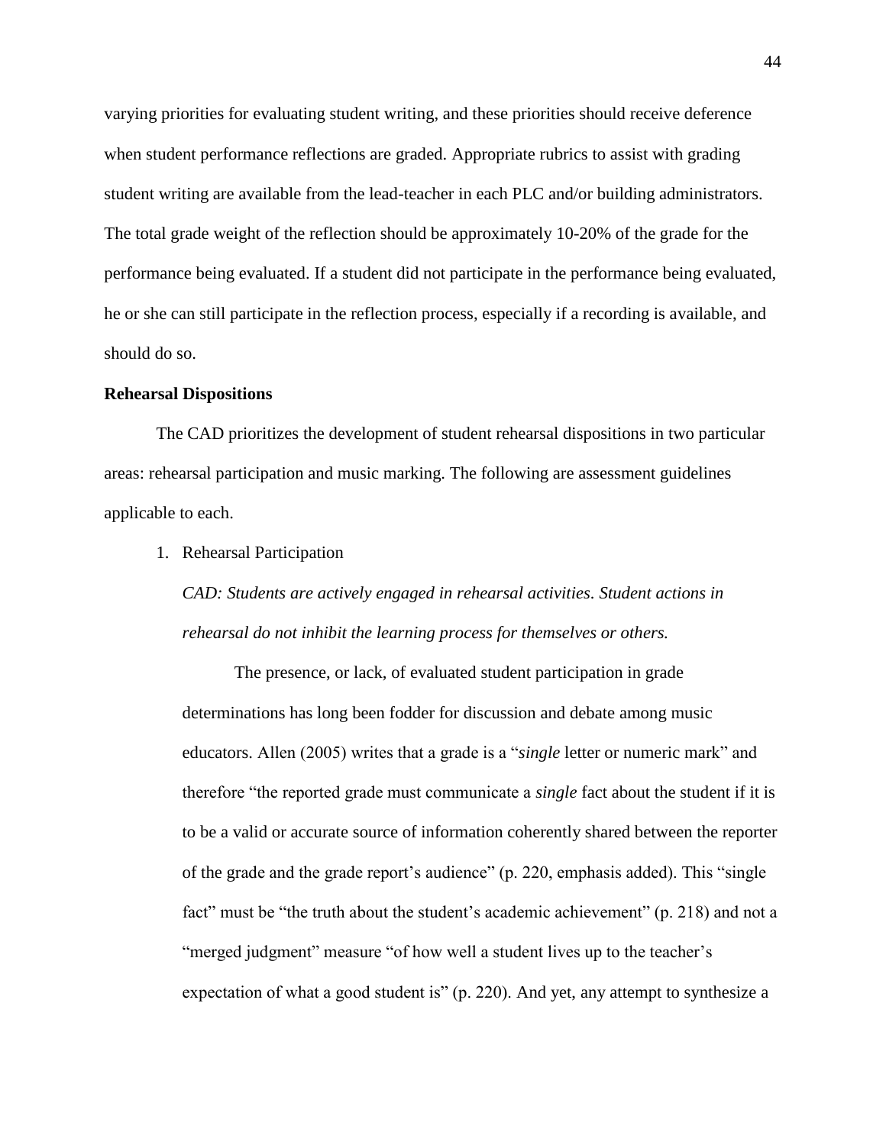varying priorities for evaluating student writing, and these priorities should receive deference when student performance reflections are graded. Appropriate rubrics to assist with grading student writing are available from the lead-teacher in each PLC and/or building administrators. The total grade weight of the reflection should be approximately 10-20% of the grade for the performance being evaluated. If a student did not participate in the performance being evaluated, he or she can still participate in the reflection process, especially if a recording is available, and should do so.

## **Rehearsal Dispositions**

The CAD prioritizes the development of student rehearsal dispositions in two particular areas: rehearsal participation and music marking. The following are assessment guidelines applicable to each.

1. Rehearsal Participation

*CAD: Students are actively engaged in rehearsal activities. Student actions in rehearsal do not inhibit the learning process for themselves or others.*

The presence, or lack, of evaluated student participation in grade determinations has long been fodder for discussion and debate among music educators. Allen (2005) writes that a grade is a "*single* letter or numeric mark" and therefore "the reported grade must communicate a *single* fact about the student if it is to be a valid or accurate source of information coherently shared between the reporter of the grade and the grade report's audience" (p. 220, emphasis added). This "single fact" must be "the truth about the student's academic achievement" (p. 218) and not a "merged judgment" measure "of how well a student lives up to the teacher's expectation of what a good student is" (p. 220). And yet, any attempt to synthesize a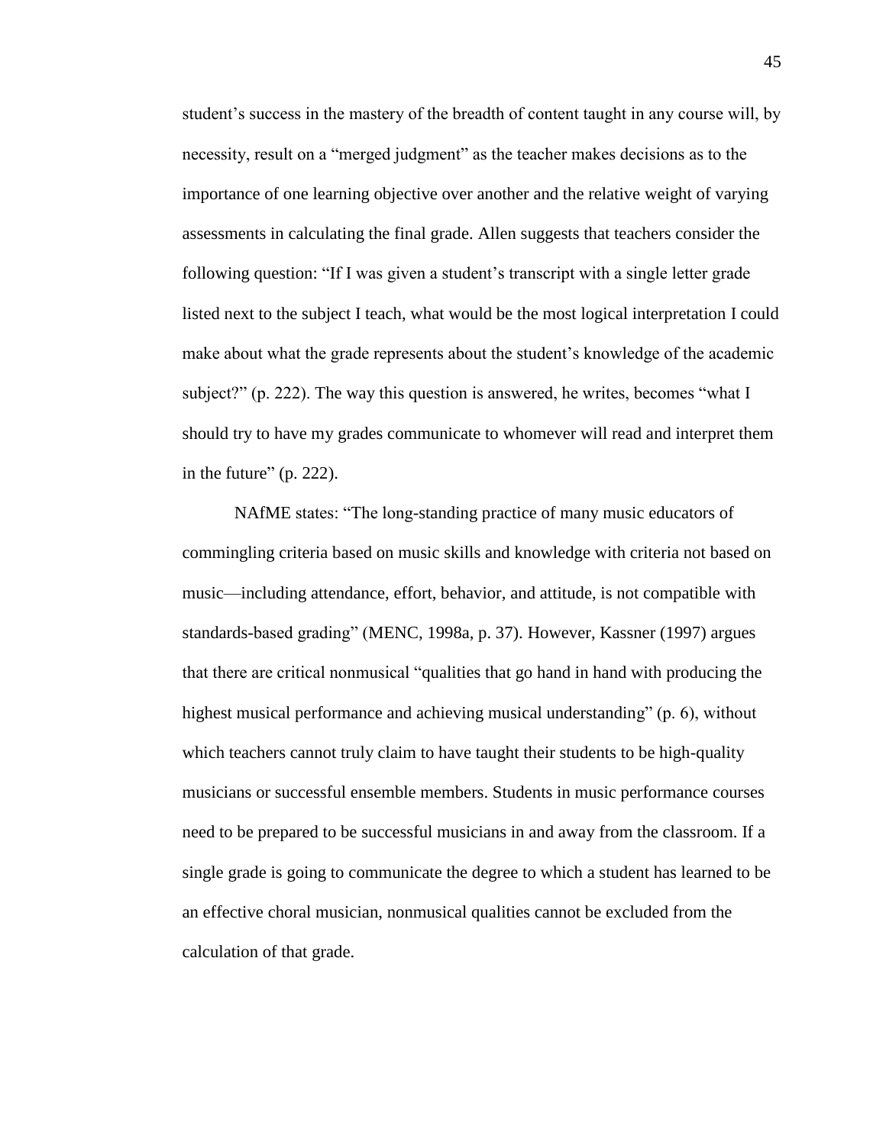student's success in the mastery of the breadth of content taught in any course will, by necessity, result on a "merged judgment" as the teacher makes decisions as to the importance of one learning objective over another and the relative weight of varying assessments in calculating the final grade. Allen suggests that teachers consider the following question: "If I was given a student's transcript with a single letter grade listed next to the subject I teach, what would be the most logical interpretation I could make about what the grade represents about the student's knowledge of the academic subject?" (p. 222). The way this question is answered, he writes, becomes "what I should try to have my grades communicate to whomever will read and interpret them in the future" (p. 222).

NAfME states: "The long-standing practice of many music educators of commingling criteria based on music skills and knowledge with criteria not based on music—including attendance, effort, behavior, and attitude, is not compatible with standards-based grading" (MENC, 1998a, p. 37). However, Kassner (1997) argues that there are critical nonmusical "qualities that go hand in hand with producing the highest musical performance and achieving musical understanding" (p. 6), without which teachers cannot truly claim to have taught their students to be high-quality musicians or successful ensemble members. Students in music performance courses need to be prepared to be successful musicians in and away from the classroom. If a single grade is going to communicate the degree to which a student has learned to be an effective choral musician, nonmusical qualities cannot be excluded from the calculation of that grade.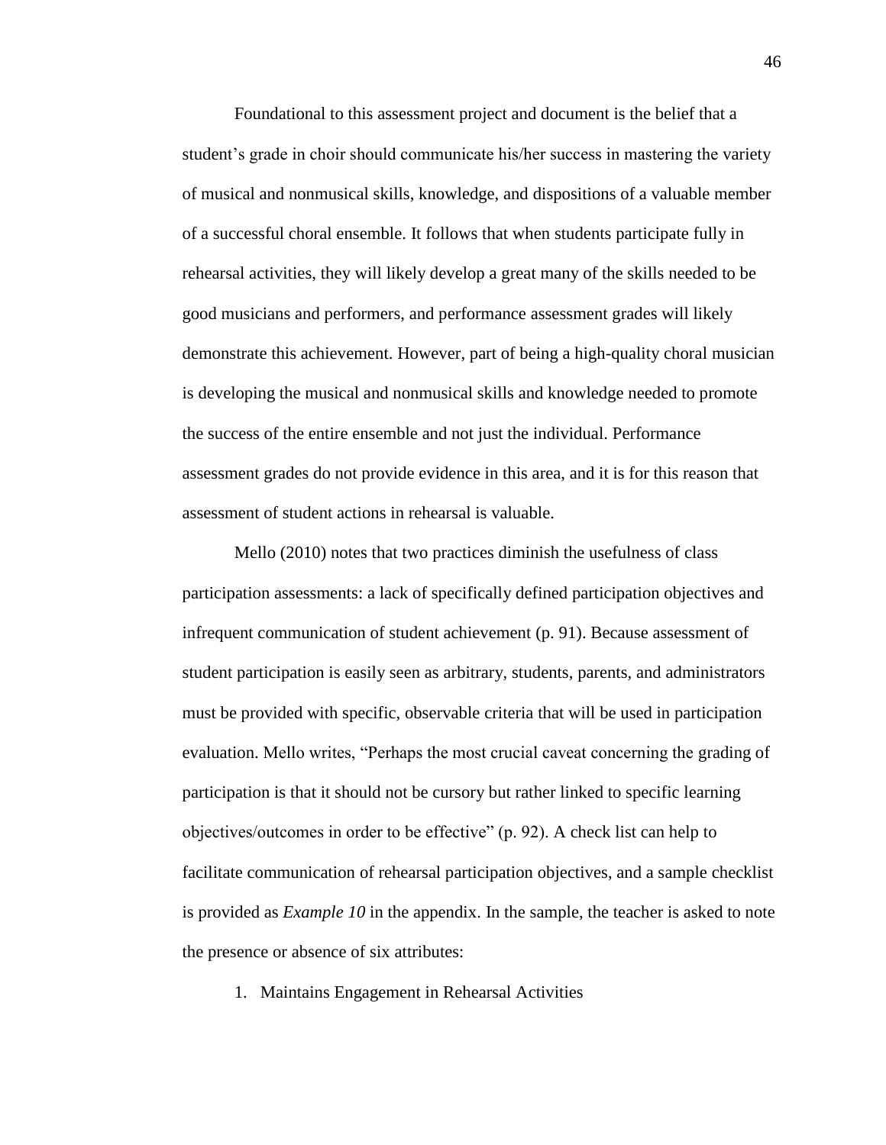Foundational to this assessment project and document is the belief that a student's grade in choir should communicate his/her success in mastering the variety of musical and nonmusical skills, knowledge, and dispositions of a valuable member of a successful choral ensemble. It follows that when students participate fully in rehearsal activities, they will likely develop a great many of the skills needed to be good musicians and performers, and performance assessment grades will likely demonstrate this achievement. However, part of being a high-quality choral musician is developing the musical and nonmusical skills and knowledge needed to promote the success of the entire ensemble and not just the individual. Performance assessment grades do not provide evidence in this area, and it is for this reason that assessment of student actions in rehearsal is valuable.

Mello (2010) notes that two practices diminish the usefulness of class participation assessments: a lack of specifically defined participation objectives and infrequent communication of student achievement (p. 91). Because assessment of student participation is easily seen as arbitrary, students, parents, and administrators must be provided with specific, observable criteria that will be used in participation evaluation. Mello writes, "Perhaps the most crucial caveat concerning the grading of participation is that it should not be cursory but rather linked to specific learning objectives/outcomes in order to be effective" (p. 92). A check list can help to facilitate communication of rehearsal participation objectives, and a sample checklist is provided as *Example 10* in the appendix. In the sample, the teacher is asked to note the presence or absence of six attributes:

1. Maintains Engagement in Rehearsal Activities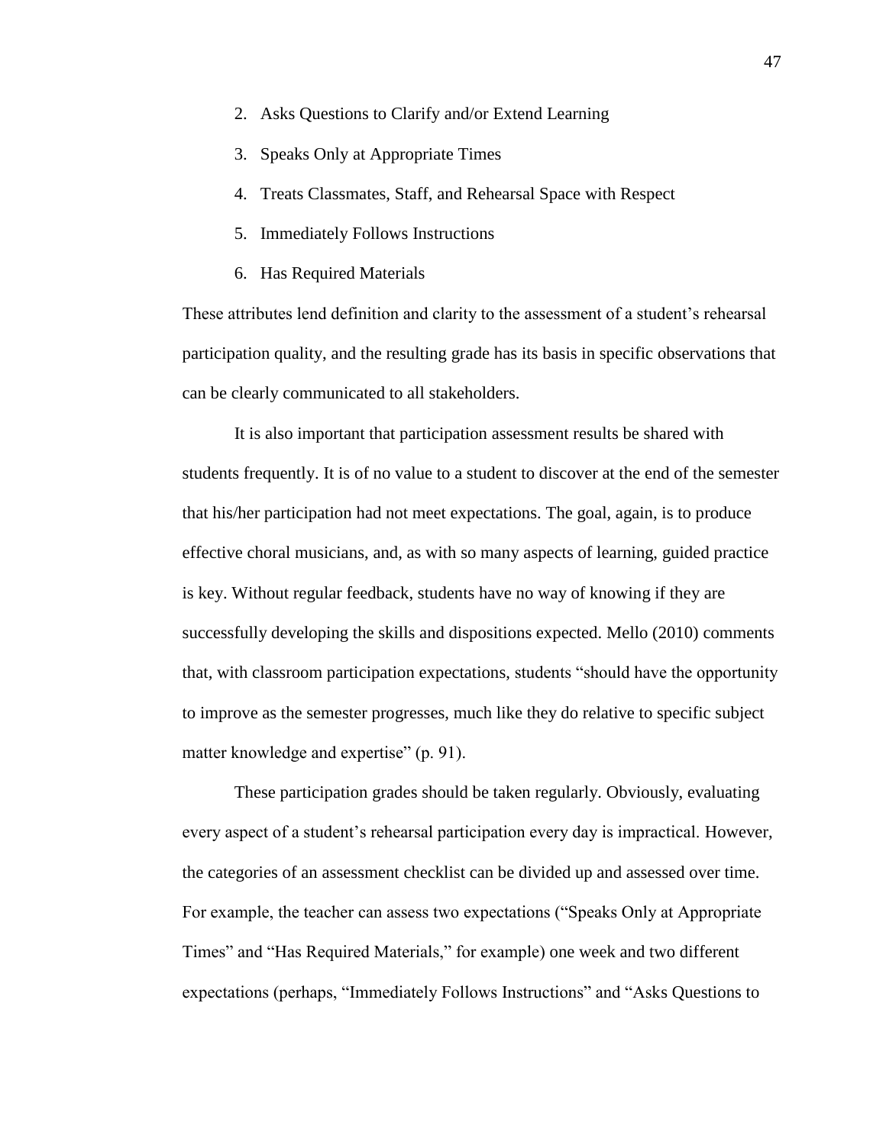- 2. Asks Questions to Clarify and/or Extend Learning
- 3. Speaks Only at Appropriate Times
- 4. Treats Classmates, Staff, and Rehearsal Space with Respect
- 5. Immediately Follows Instructions
- 6. Has Required Materials

These attributes lend definition and clarity to the assessment of a student's rehearsal participation quality, and the resulting grade has its basis in specific observations that can be clearly communicated to all stakeholders.

It is also important that participation assessment results be shared with students frequently. It is of no value to a student to discover at the end of the semester that his/her participation had not meet expectations. The goal, again, is to produce effective choral musicians, and, as with so many aspects of learning, guided practice is key. Without regular feedback, students have no way of knowing if they are successfully developing the skills and dispositions expected. Mello (2010) comments that, with classroom participation expectations, students "should have the opportunity to improve as the semester progresses, much like they do relative to specific subject matter knowledge and expertise" (p. 91).

These participation grades should be taken regularly. Obviously, evaluating every aspect of a student's rehearsal participation every day is impractical. However, the categories of an assessment checklist can be divided up and assessed over time. For example, the teacher can assess two expectations ("Speaks Only at Appropriate Times" and "Has Required Materials," for example) one week and two different expectations (perhaps, "Immediately Follows Instructions" and "Asks Questions to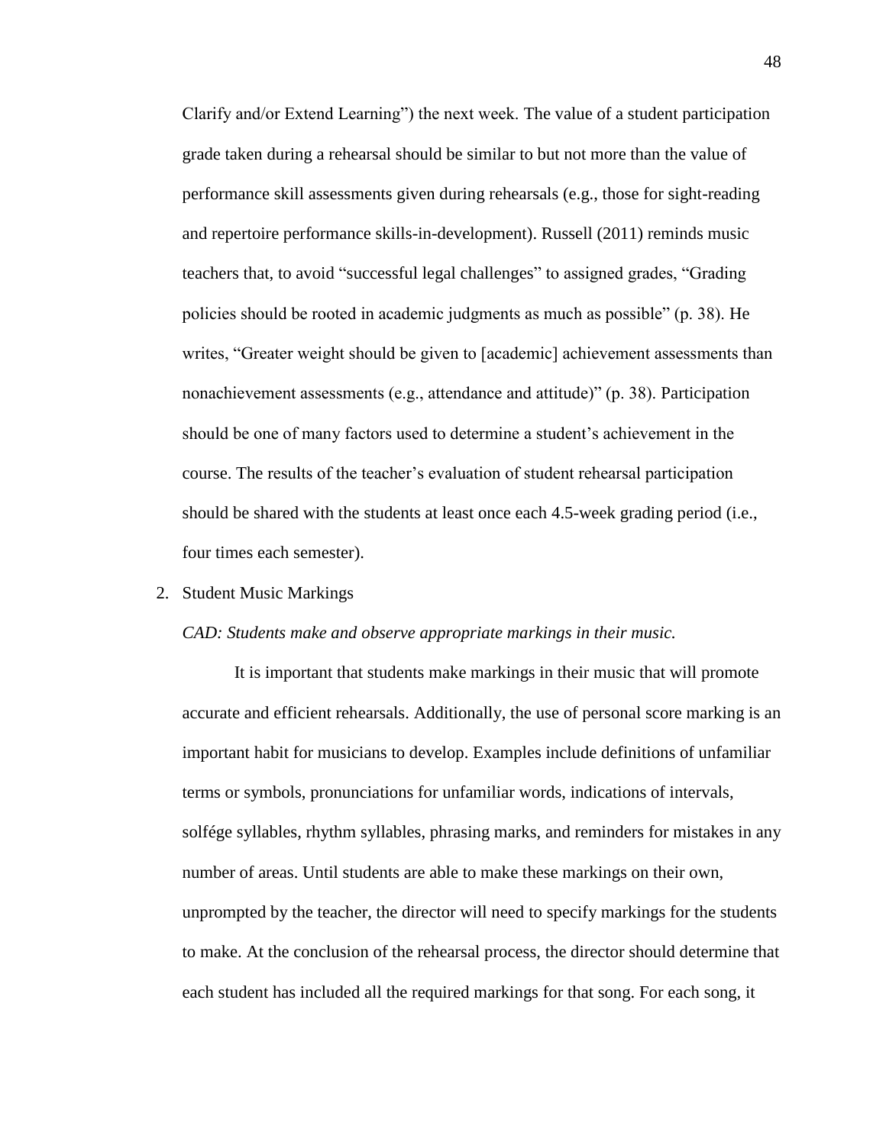Clarify and/or Extend Learning") the next week. The value of a student participation grade taken during a rehearsal should be similar to but not more than the value of performance skill assessments given during rehearsals (e.g., those for sight-reading and repertoire performance skills-in-development). Russell (2011) reminds music teachers that, to avoid "successful legal challenges" to assigned grades, "Grading policies should be rooted in academic judgments as much as possible" (p. 38). He writes, "Greater weight should be given to [academic] achievement assessments than nonachievement assessments (e.g., attendance and attitude)" (p. 38). Participation should be one of many factors used to determine a student's achievement in the course. The results of the teacher's evaluation of student rehearsal participation should be shared with the students at least once each 4.5-week grading period (i.e., four times each semester).

#### 2. Student Music Markings

#### *CAD: Students make and observe appropriate markings in their music.*

It is important that students make markings in their music that will promote accurate and efficient rehearsals. Additionally, the use of personal score marking is an important habit for musicians to develop. Examples include definitions of unfamiliar terms or symbols, pronunciations for unfamiliar words, indications of intervals, solfége syllables, rhythm syllables, phrasing marks, and reminders for mistakes in any number of areas. Until students are able to make these markings on their own, unprompted by the teacher, the director will need to specify markings for the students to make. At the conclusion of the rehearsal process, the director should determine that each student has included all the required markings for that song. For each song, it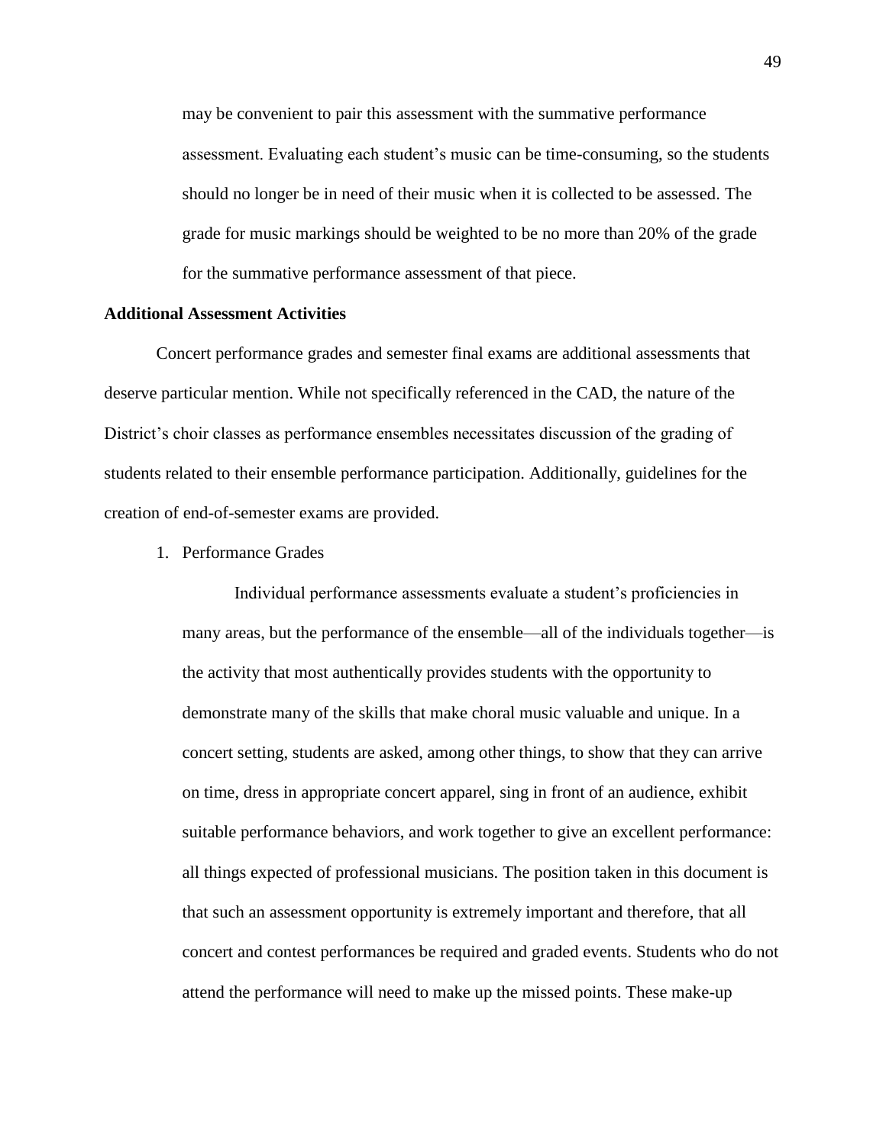may be convenient to pair this assessment with the summative performance assessment. Evaluating each student's music can be time-consuming, so the students should no longer be in need of their music when it is collected to be assessed. The grade for music markings should be weighted to be no more than 20% of the grade for the summative performance assessment of that piece.

### **Additional Assessment Activities**

Concert performance grades and semester final exams are additional assessments that deserve particular mention. While not specifically referenced in the CAD, the nature of the District's choir classes as performance ensembles necessitates discussion of the grading of students related to their ensemble performance participation. Additionally, guidelines for the creation of end-of-semester exams are provided.

1. Performance Grades

Individual performance assessments evaluate a student's proficiencies in many areas, but the performance of the ensemble—all of the individuals together—is the activity that most authentically provides students with the opportunity to demonstrate many of the skills that make choral music valuable and unique. In a concert setting, students are asked, among other things, to show that they can arrive on time, dress in appropriate concert apparel, sing in front of an audience, exhibit suitable performance behaviors, and work together to give an excellent performance: all things expected of professional musicians. The position taken in this document is that such an assessment opportunity is extremely important and therefore, that all concert and contest performances be required and graded events. Students who do not attend the performance will need to make up the missed points. These make-up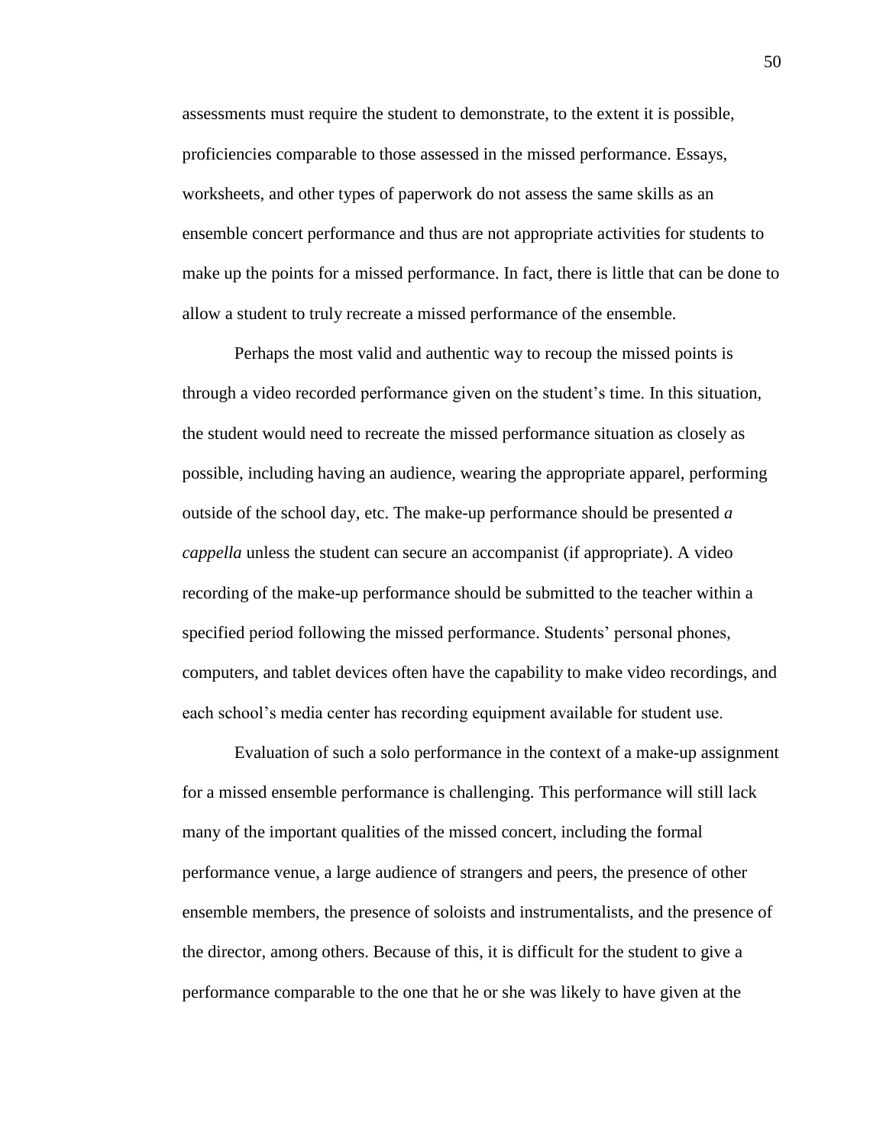assessments must require the student to demonstrate, to the extent it is possible, proficiencies comparable to those assessed in the missed performance. Essays, worksheets, and other types of paperwork do not assess the same skills as an ensemble concert performance and thus are not appropriate activities for students to make up the points for a missed performance. In fact, there is little that can be done to allow a student to truly recreate a missed performance of the ensemble.

Perhaps the most valid and authentic way to recoup the missed points is through a video recorded performance given on the student's time. In this situation, the student would need to recreate the missed performance situation as closely as possible, including having an audience, wearing the appropriate apparel, performing outside of the school day, etc. The make-up performance should be presented *a cappella* unless the student can secure an accompanist (if appropriate). A video recording of the make-up performance should be submitted to the teacher within a specified period following the missed performance. Students' personal phones, computers, and tablet devices often have the capability to make video recordings, and each school's media center has recording equipment available for student use.

Evaluation of such a solo performance in the context of a make-up assignment for a missed ensemble performance is challenging. This performance will still lack many of the important qualities of the missed concert, including the formal performance venue, a large audience of strangers and peers, the presence of other ensemble members, the presence of soloists and instrumentalists, and the presence of the director, among others. Because of this, it is difficult for the student to give a performance comparable to the one that he or she was likely to have given at the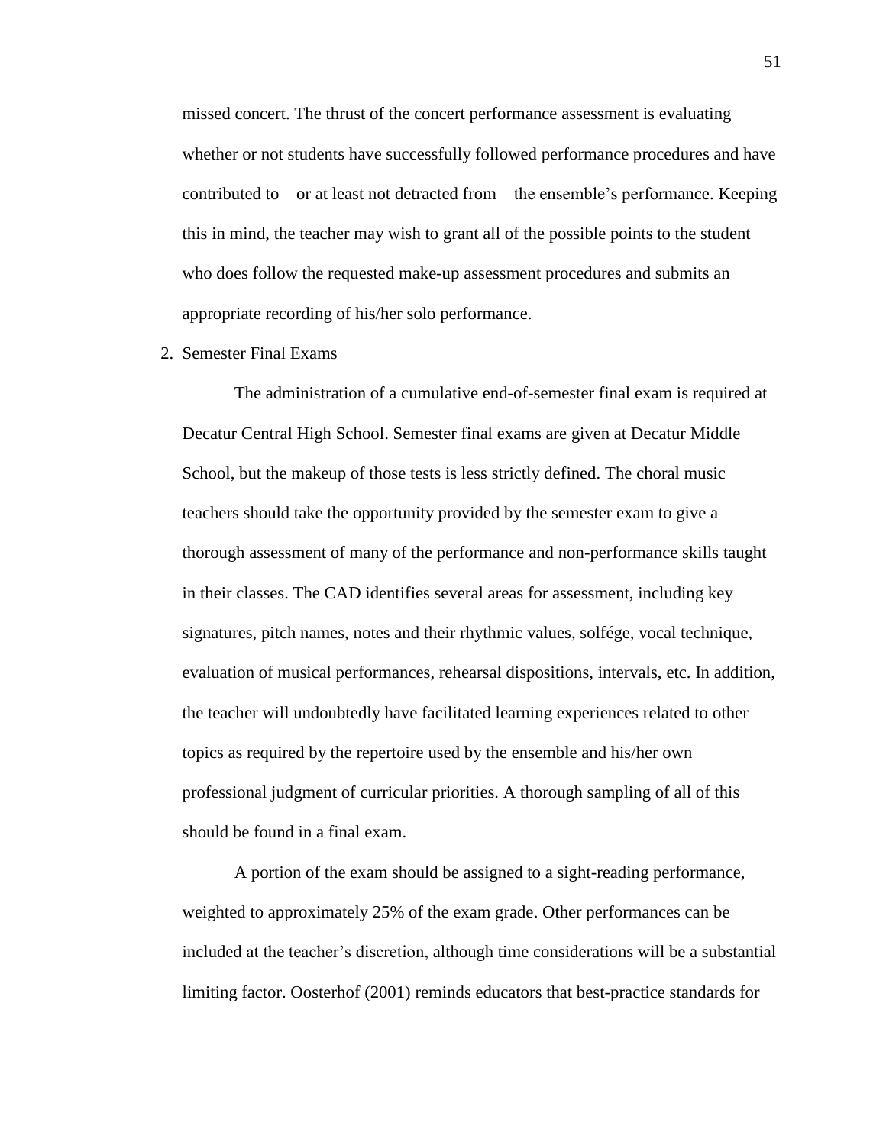missed concert. The thrust of the concert performance assessment is evaluating whether or not students have successfully followed performance procedures and have contributed to—or at least not detracted from—the ensemble's performance. Keeping this in mind, the teacher may wish to grant all of the possible points to the student who does follow the requested make-up assessment procedures and submits an appropriate recording of his/her solo performance.

2. Semester Final Exams

The administration of a cumulative end-of-semester final exam is required at Decatur Central High School. Semester final exams are given at Decatur Middle School, but the makeup of those tests is less strictly defined. The choral music teachers should take the opportunity provided by the semester exam to give a thorough assessment of many of the performance and non-performance skills taught in their classes. The CAD identifies several areas for assessment, including key signatures, pitch names, notes and their rhythmic values, solfége, vocal technique, evaluation of musical performances, rehearsal dispositions, intervals, etc. In addition, the teacher will undoubtedly have facilitated learning experiences related to other topics as required by the repertoire used by the ensemble and his/her own professional judgment of curricular priorities. A thorough sampling of all of this should be found in a final exam.

A portion of the exam should be assigned to a sight-reading performance, weighted to approximately 25% of the exam grade. Other performances can be included at the teacher's discretion, although time considerations will be a substantial limiting factor. Oosterhof (2001) reminds educators that best-practice standards for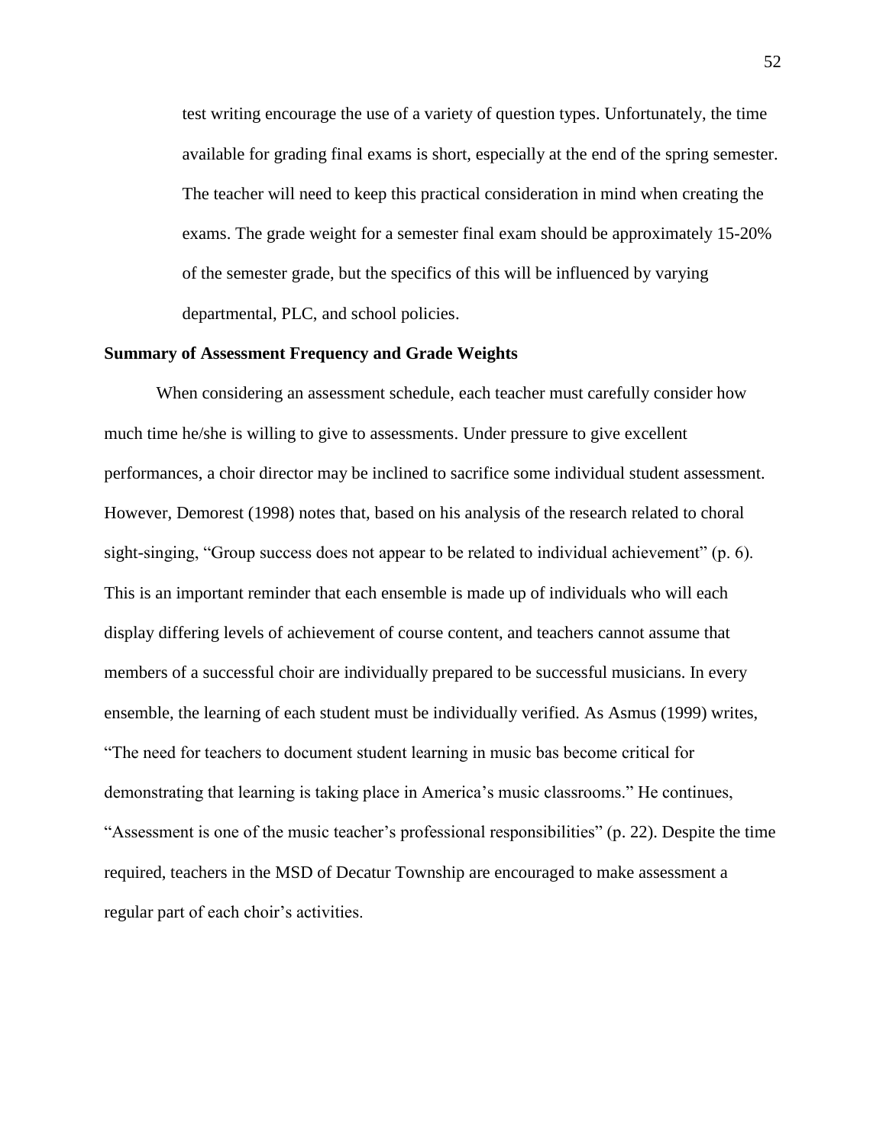test writing encourage the use of a variety of question types. Unfortunately, the time available for grading final exams is short, especially at the end of the spring semester. The teacher will need to keep this practical consideration in mind when creating the exams. The grade weight for a semester final exam should be approximately 15-20% of the semester grade, but the specifics of this will be influenced by varying departmental, PLC, and school policies.

### **Summary of Assessment Frequency and Grade Weights**

When considering an assessment schedule, each teacher must carefully consider how much time he/she is willing to give to assessments. Under pressure to give excellent performances, a choir director may be inclined to sacrifice some individual student assessment. However, Demorest (1998) notes that, based on his analysis of the research related to choral sight-singing, "Group success does not appear to be related to individual achievement" (p. 6). This is an important reminder that each ensemble is made up of individuals who will each display differing levels of achievement of course content, and teachers cannot assume that members of a successful choir are individually prepared to be successful musicians. In every ensemble, the learning of each student must be individually verified. As Asmus (1999) writes, "The need for teachers to document student learning in music bas become critical for demonstrating that learning is taking place in America's music classrooms." He continues, "Assessment is one of the music teacher's professional responsibilities" (p. 22). Despite the time required, teachers in the MSD of Decatur Township are encouraged to make assessment a regular part of each choir's activities.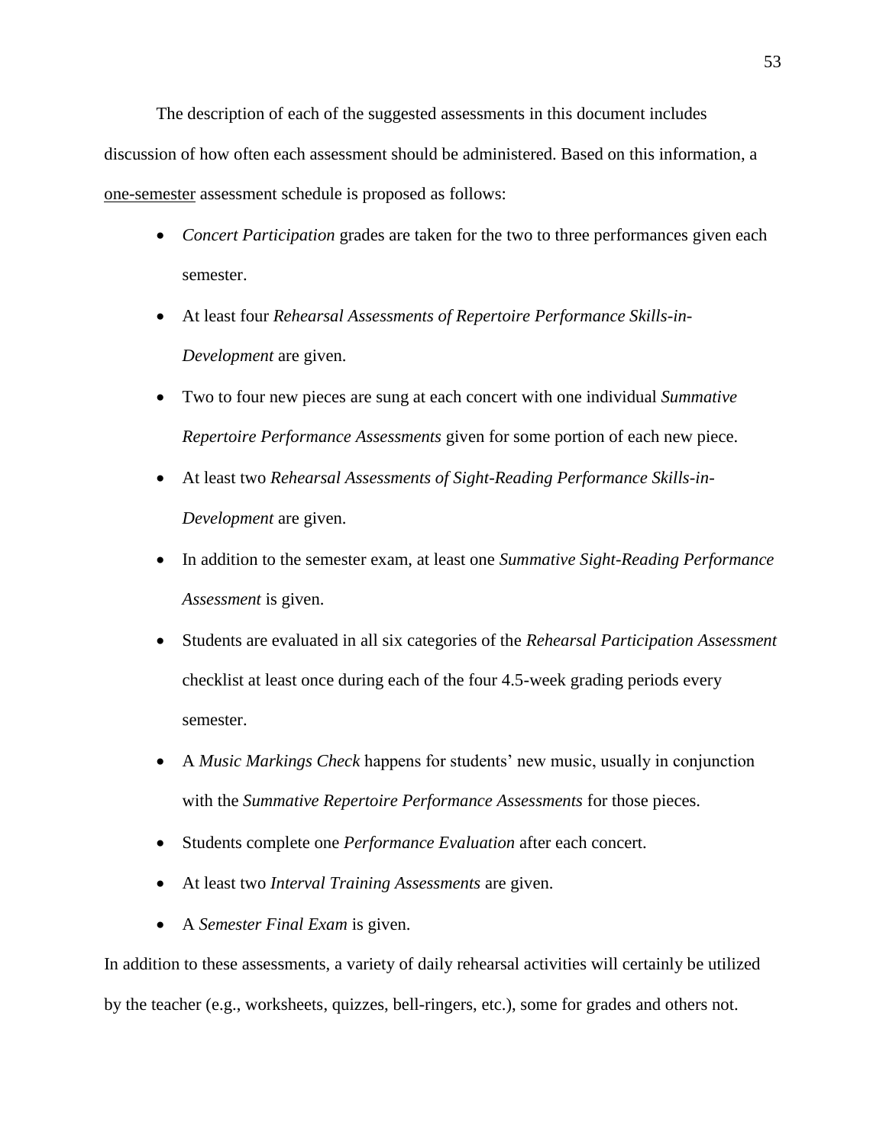The description of each of the suggested assessments in this document includes discussion of how often each assessment should be administered. Based on this information, a one-semester assessment schedule is proposed as follows:

- *Concert Participation* grades are taken for the two to three performances given each semester.
- At least four *Rehearsal Assessments of Repertoire Performance Skills-in-Development* are given.
- Two to four new pieces are sung at each concert with one individual *Summative Repertoire Performance Assessments* given for some portion of each new piece.
- At least two *Rehearsal Assessments of Sight-Reading Performance Skills-in-Development* are given.
- In addition to the semester exam, at least one *Summative Sight-Reading Performance Assessment* is given.
- Students are evaluated in all six categories of the *Rehearsal Participation Assessment* checklist at least once during each of the four 4.5-week grading periods every semester.
- A *Music Markings Check* happens for students' new music, usually in conjunction with the *Summative Repertoire Performance Assessments* for those pieces.
- Students complete one *Performance Evaluation* after each concert.
- At least two *Interval Training Assessments* are given.
- A *Semester Final Exam* is given.

In addition to these assessments, a variety of daily rehearsal activities will certainly be utilized by the teacher (e.g., worksheets, quizzes, bell-ringers, etc.), some for grades and others not.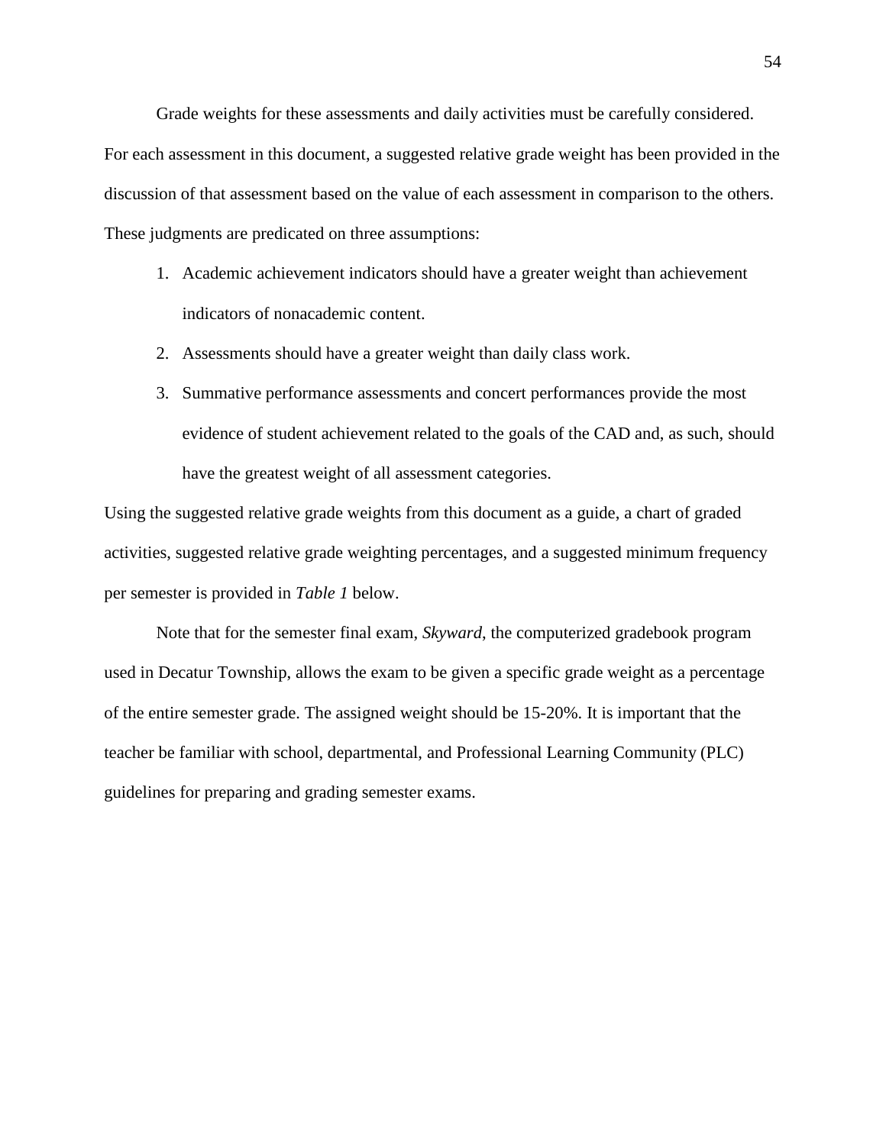Grade weights for these assessments and daily activities must be carefully considered. For each assessment in this document, a suggested relative grade weight has been provided in the discussion of that assessment based on the value of each assessment in comparison to the others. These judgments are predicated on three assumptions:

- 1. Academic achievement indicators should have a greater weight than achievement indicators of nonacademic content.
- 2. Assessments should have a greater weight than daily class work.
- 3. Summative performance assessments and concert performances provide the most evidence of student achievement related to the goals of the CAD and, as such, should have the greatest weight of all assessment categories.

Using the suggested relative grade weights from this document as a guide, a chart of graded activities, suggested relative grade weighting percentages, and a suggested minimum frequency per semester is provided in *Table 1* below.

Note that for the semester final exam, *Skyward*, the computerized gradebook program used in Decatur Township, allows the exam to be given a specific grade weight as a percentage of the entire semester grade. The assigned weight should be 15-20%. It is important that the teacher be familiar with school, departmental, and Professional Learning Community (PLC) guidelines for preparing and grading semester exams.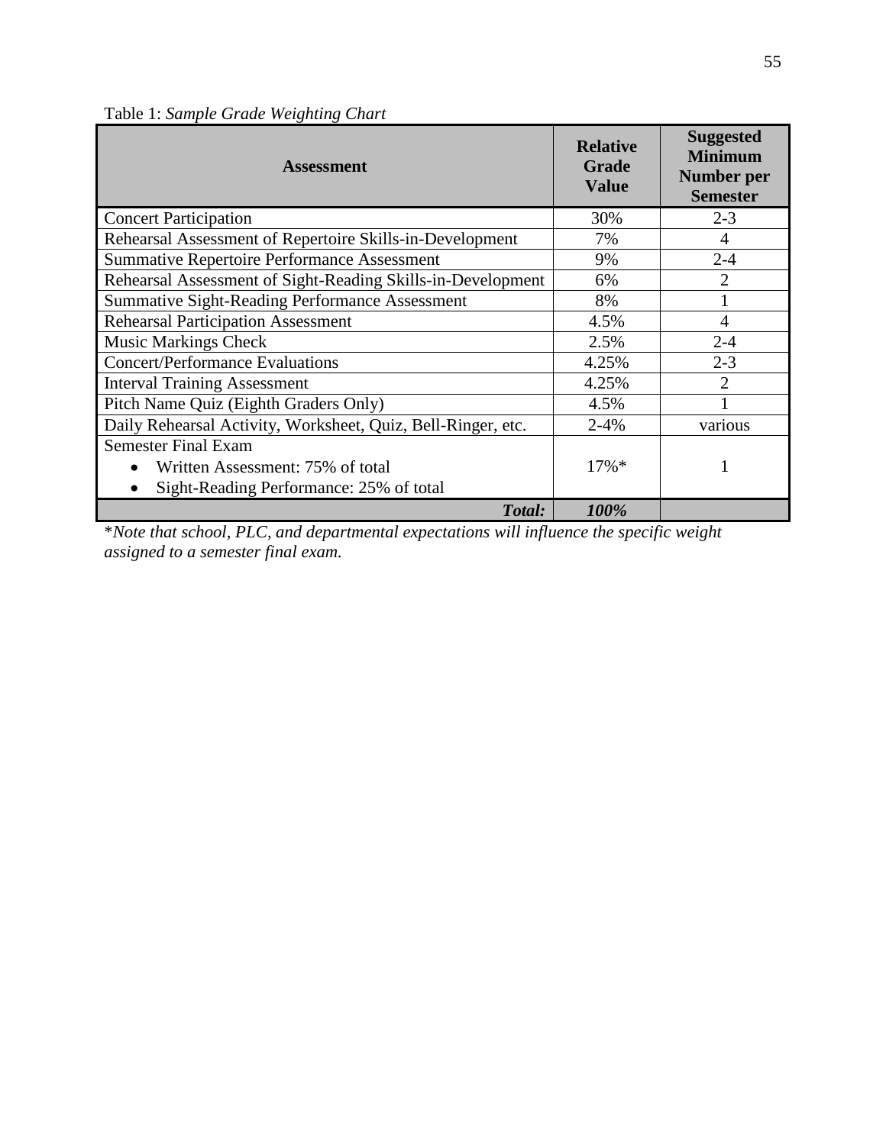| <b>Assessment</b>                                            | <b>Relative</b><br><b>Grade</b><br><b>Value</b> | <b>Suggested</b><br><b>Minimum</b><br>Number per<br><b>Semester</b> |
|--------------------------------------------------------------|-------------------------------------------------|---------------------------------------------------------------------|
| <b>Concert Participation</b>                                 | 30%                                             | $2 - 3$                                                             |
| Rehearsal Assessment of Repertoire Skills-in-Development     | 7%                                              | $\overline{4}$                                                      |
| <b>Summative Repertoire Performance Assessment</b>           | 9%                                              | $2 - 4$                                                             |
| Rehearsal Assessment of Sight-Reading Skills-in-Development  | 6%                                              | $\overline{2}$                                                      |
| Summative Sight-Reading Performance Assessment               | 8%                                              |                                                                     |
| <b>Rehearsal Participation Assessment</b>                    | 4.5%                                            | $\overline{4}$                                                      |
| <b>Music Markings Check</b>                                  | 2.5%                                            | $2 - 4$                                                             |
| <b>Concert/Performance Evaluations</b>                       | 4.25%                                           | $2 - 3$                                                             |
| <b>Interval Training Assessment</b>                          | 4.25%                                           | $\overline{2}$                                                      |
| Pitch Name Quiz (Eighth Graders Only)                        | 4.5%                                            |                                                                     |
| Daily Rehearsal Activity, Worksheet, Quiz, Bell-Ringer, etc. | $2 - 4%$                                        | various                                                             |
| <b>Semester Final Exam</b>                                   |                                                 |                                                                     |
| Written Assessment: 75% of total                             | $17\%$ *                                        |                                                                     |
| Sight-Reading Performance: 25% of total                      |                                                 |                                                                     |
| Total:                                                       | 100%                                            |                                                                     |

Table 1: *Sample Grade Weighting Chart*

\**Note that school, PLC, and departmental expectations will influence the specific weight assigned to a semester final exam.*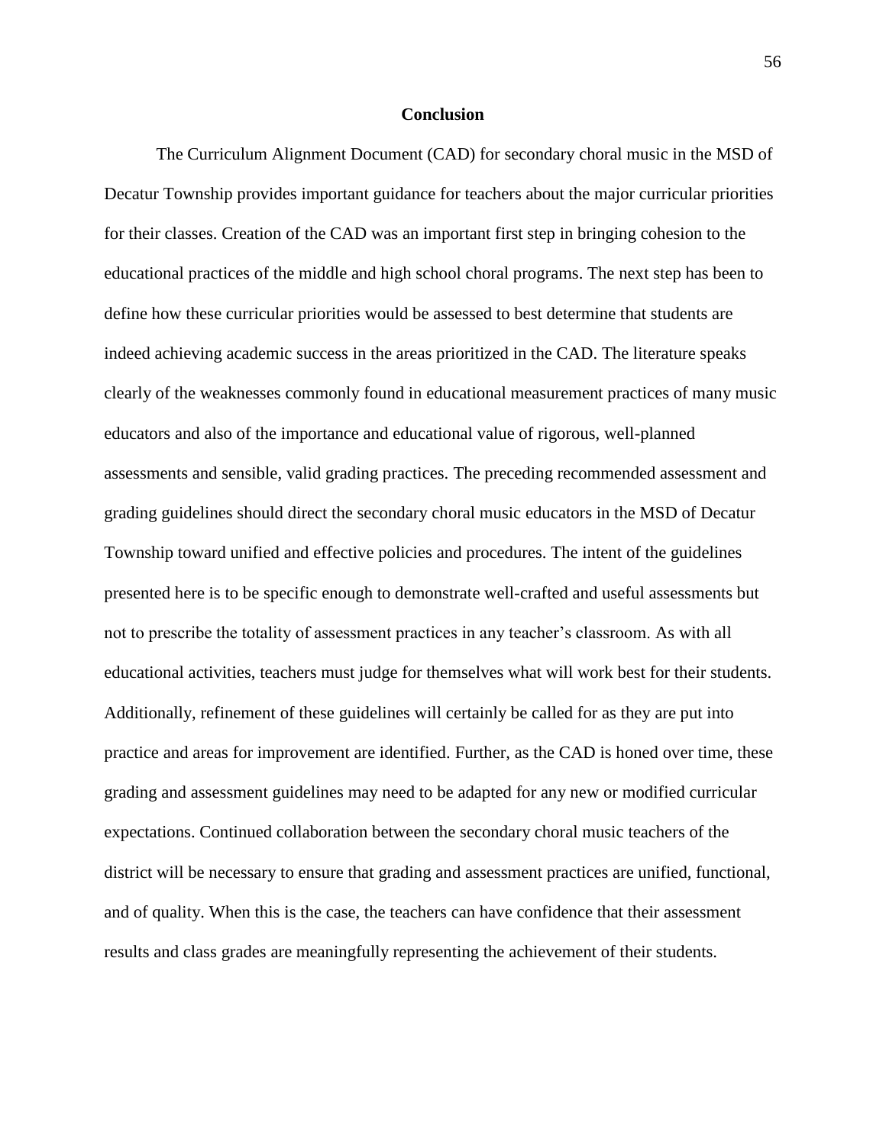### **Conclusion**

The Curriculum Alignment Document (CAD) for secondary choral music in the MSD of Decatur Township provides important guidance for teachers about the major curricular priorities for their classes. Creation of the CAD was an important first step in bringing cohesion to the educational practices of the middle and high school choral programs. The next step has been to define how these curricular priorities would be assessed to best determine that students are indeed achieving academic success in the areas prioritized in the CAD. The literature speaks clearly of the weaknesses commonly found in educational measurement practices of many music educators and also of the importance and educational value of rigorous, well-planned assessments and sensible, valid grading practices. The preceding recommended assessment and grading guidelines should direct the secondary choral music educators in the MSD of Decatur Township toward unified and effective policies and procedures. The intent of the guidelines presented here is to be specific enough to demonstrate well-crafted and useful assessments but not to prescribe the totality of assessment practices in any teacher's classroom. As with all educational activities, teachers must judge for themselves what will work best for their students. Additionally, refinement of these guidelines will certainly be called for as they are put into practice and areas for improvement are identified. Further, as the CAD is honed over time, these grading and assessment guidelines may need to be adapted for any new or modified curricular expectations. Continued collaboration between the secondary choral music teachers of the district will be necessary to ensure that grading and assessment practices are unified, functional, and of quality. When this is the case, the teachers can have confidence that their assessment results and class grades are meaningfully representing the achievement of their students.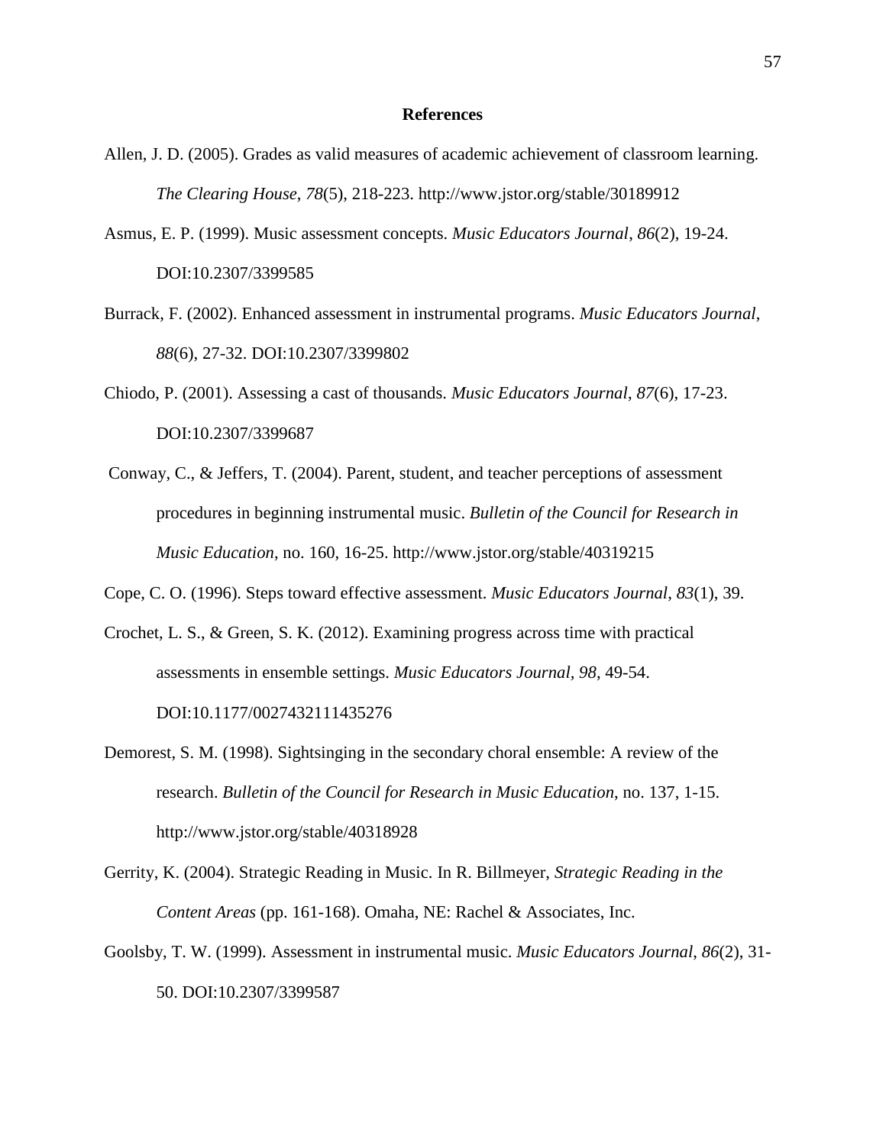#### **References**

- Allen, J. D. (2005). Grades as valid measures of academic achievement of classroom learning. *The Clearing House*, *78*(5), 218-223. http://www.jstor.org/stable/30189912
- Asmus, E. P. (1999). Music assessment concepts. *Music Educators Journal*, *86*(2), 19-24. DOI:10.2307/3399585
- Burrack, F. (2002). Enhanced assessment in instrumental programs. *Music Educators Journal*, *88*(6), 27-32. DOI:10.2307/3399802
- Chiodo, P. (2001). Assessing a cast of thousands. *Music Educators Journal*, *87*(6), 17-23. DOI:10.2307/3399687
- Conway, C., & Jeffers, T. (2004). Parent, student, and teacher perceptions of assessment procedures in beginning instrumental music. *Bulletin of the Council for Research in Music Education*, no. 160, 16-25. http://www.jstor.org/stable/40319215

Cope, C. O. (1996). Steps toward effective assessment. *Music Educators Journal*, *83*(1), 39.

- Crochet, L. S., & Green, S. K. (2012). Examining progress across time with practical assessments in ensemble settings. *Music Educators Journal, 98*, 49-54. DOI:10.1177/0027432111435276
- Demorest, S. M. (1998). Sightsinging in the secondary choral ensemble: A review of the research. *Bulletin of the Council for Research in Music Education*, no. 137, 1-15. http://www.jstor.org/stable/40318928
- Gerrity, K. (2004). Strategic Reading in Music. In R. Billmeyer, *Strategic Reading in the Content Areas* (pp. 161-168). Omaha, NE: Rachel & Associates, Inc.
- Goolsby, T. W. (1999). Assessment in instrumental music. *Music Educators Journal*, *86*(2), 31- 50. DOI:10.2307/3399587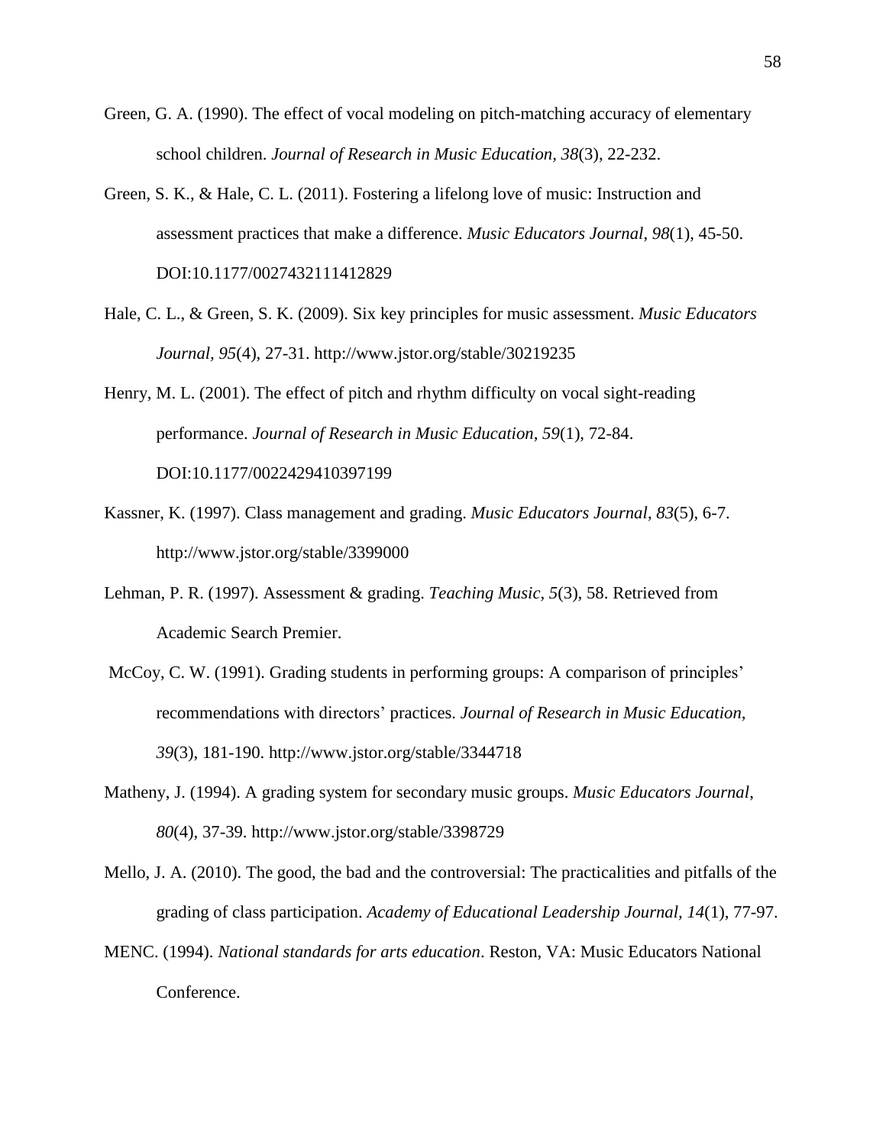- Green, G. A. (1990). The effect of vocal modeling on pitch-matching accuracy of elementary school children. *Journal of Research in Music Education, 38*(3), 22-232.
- Green, S. K., & Hale, C. L. (2011). Fostering a lifelong love of music: Instruction and assessment practices that make a difference. *Music Educators Journal*, *98*(1), 45-50. DOI:10.1177/0027432111412829
- Hale, C. L., & Green, S. K. (2009). Six key principles for music assessment. *Music Educators Journal, 95*(4), 27-31. http://www.jstor.org/stable/30219235
- Henry, M. L. (2001). The effect of pitch and rhythm difficulty on vocal sight-reading performance. *Journal of Research in Music Education, 59*(1), 72-84. DOI:10.1177/0022429410397199
- Kassner, K. (1997). Class management and grading. *Music Educators Journal*, *83*(5), 6-7. http://www.jstor.org/stable/3399000
- Lehman, P. R. (1997). Assessment & grading. *Teaching Music*, *5*(3), 58. Retrieved from Academic Search Premier.
- McCoy, C. W. (1991). Grading students in performing groups: A comparison of principles' recommendations with directors' practices. *Journal of Research in Music Education, 39*(3), 181-190. http://www.jstor.org/stable/3344718
- Matheny, J. (1994). A grading system for secondary music groups. *Music Educators Journal*, *80*(4), 37-39. http://www.jstor.org/stable/3398729
- Mello, J. A. (2010). The good, the bad and the controversial: The practicalities and pitfalls of the grading of class participation. *Academy of Educational Leadership Journal, 14*(1), 77-97.
- MENC. (1994). *National standards for arts education*. Reston, VA: Music Educators National Conference.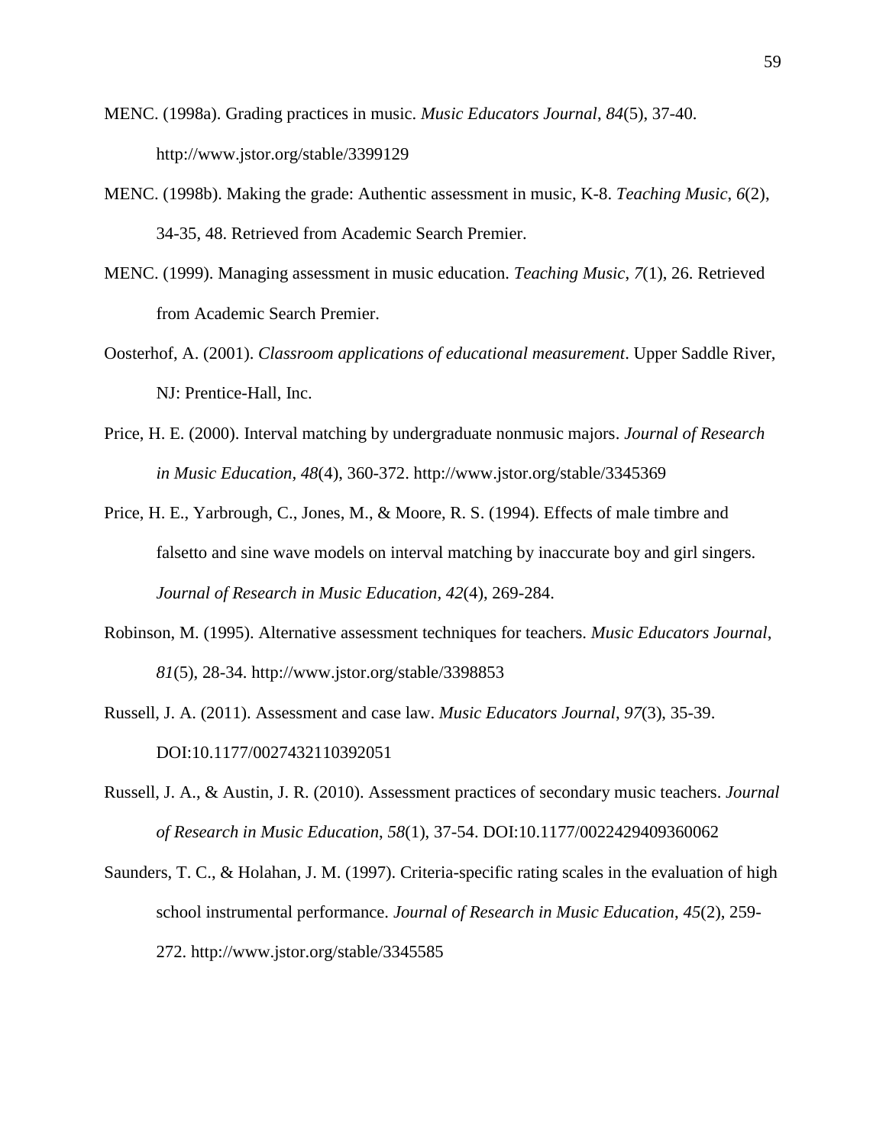- MENC. (1998a). Grading practices in music. *Music Educators Journal*, *84*(5), 37-40. http://www.jstor.org/stable/3399129
- MENC. (1998b). Making the grade: Authentic assessment in music, K-8. *Teaching Music*, *6*(2), 34-35, 48. Retrieved from Academic Search Premier.
- MENC. (1999). Managing assessment in music education. *Teaching Music*, *7*(1), 26. Retrieved from Academic Search Premier.
- Oosterhof, A. (2001). *Classroom applications of educational measurement*. Upper Saddle River, NJ: Prentice-Hall, Inc.
- Price, H. E. (2000). Interval matching by undergraduate nonmusic majors. *Journal of Research in Music Education, 48*(4), 360-372. http://www.jstor.org/stable/3345369
- Price, H. E., Yarbrough, C., Jones, M., & Moore, R. S. (1994). Effects of male timbre and falsetto and sine wave models on interval matching by inaccurate boy and girl singers. *Journal of Research in Music Education, 42*(4), 269-284.
- Robinson, M. (1995). Alternative assessment techniques for teachers. *Music Educators Journal*, *81*(5), 28-34. http://www.jstor.org/stable/3398853
- Russell, J. A. (2011). Assessment and case law. *Music Educators Journal*, *97*(3), 35-39. DOI:10.1177/0027432110392051
- Russell, J. A., & Austin, J. R. (2010). Assessment practices of secondary music teachers. *Journal of Research in Music Education*, *58*(1), 37-54. DOI:10.1177/0022429409360062
- Saunders, T. C., & Holahan, J. M. (1997). Criteria-specific rating scales in the evaluation of high school instrumental performance. *Journal of Research in Music Education*, *45*(2), 259- 272. http://www.jstor.org/stable/3345585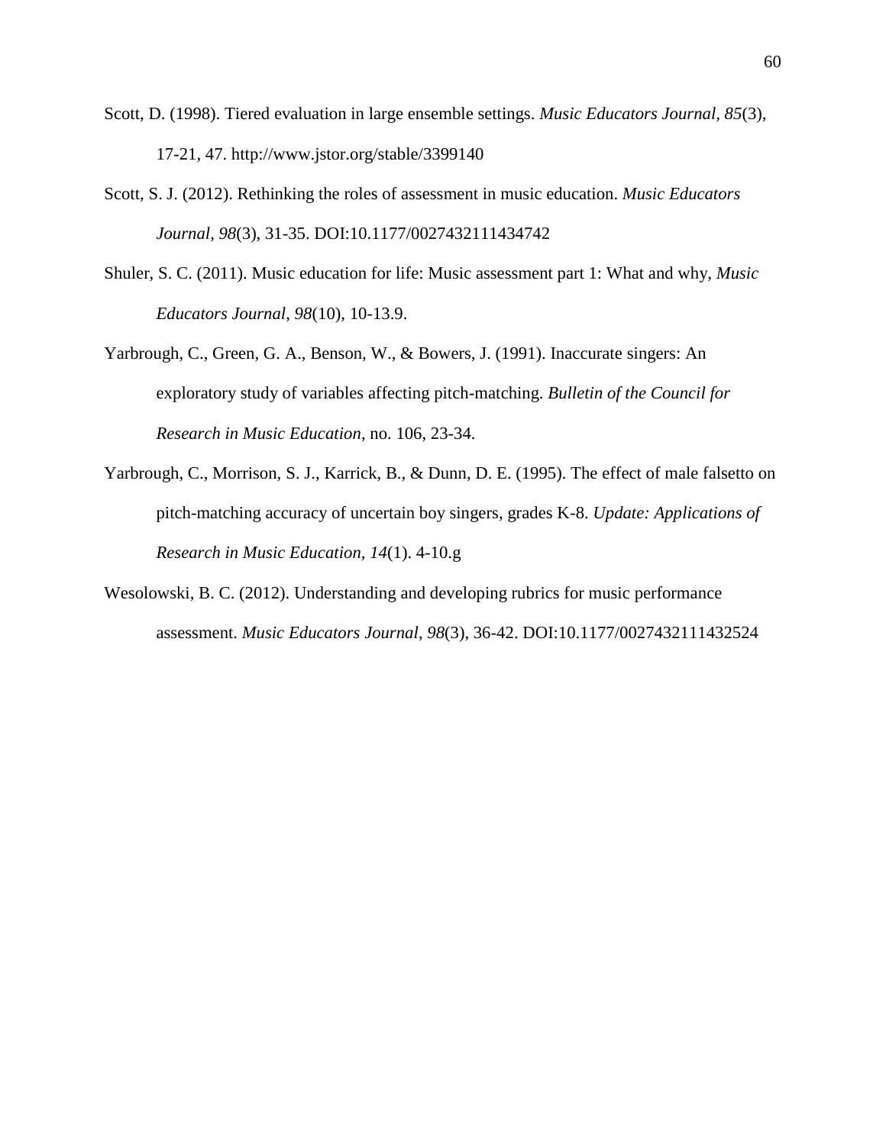- Scott, D. (1998). Tiered evaluation in large ensemble settings. *Music Educators Journal, 85*(3), 17-21, 47. http://www.jstor.org/stable/3399140
- Scott, S. J. (2012). Rethinking the roles of assessment in music education. *Music Educators Journal*, *98*(3), 31-35. DOI:10.1177/0027432111434742
- Shuler, S. C. (2011). Music education for life: Music assessment part 1: What and why, *Music Educators Journal*, *98*(10), 10-13.9.
- Yarbrough, C., Green, G. A., Benson, W., & Bowers, J. (1991). Inaccurate singers: An exploratory study of variables affecting pitch-matching. *Bulletin of the Council for Research in Music Education*, no. 106, 23-34.
- Yarbrough, C., Morrison, S. J., Karrick, B., & Dunn, D. E. (1995). The effect of male falsetto on pitch-matching accuracy of uncertain boy singers, grades K-8. *Update: Applications of Research in Music Education, 14*(1). 4-10.g
- Wesolowski, B. C. (2012). Understanding and developing rubrics for music performance assessment. *Music Educators Journal*, *98*(3), 36-42. DOI:10.1177/0027432111432524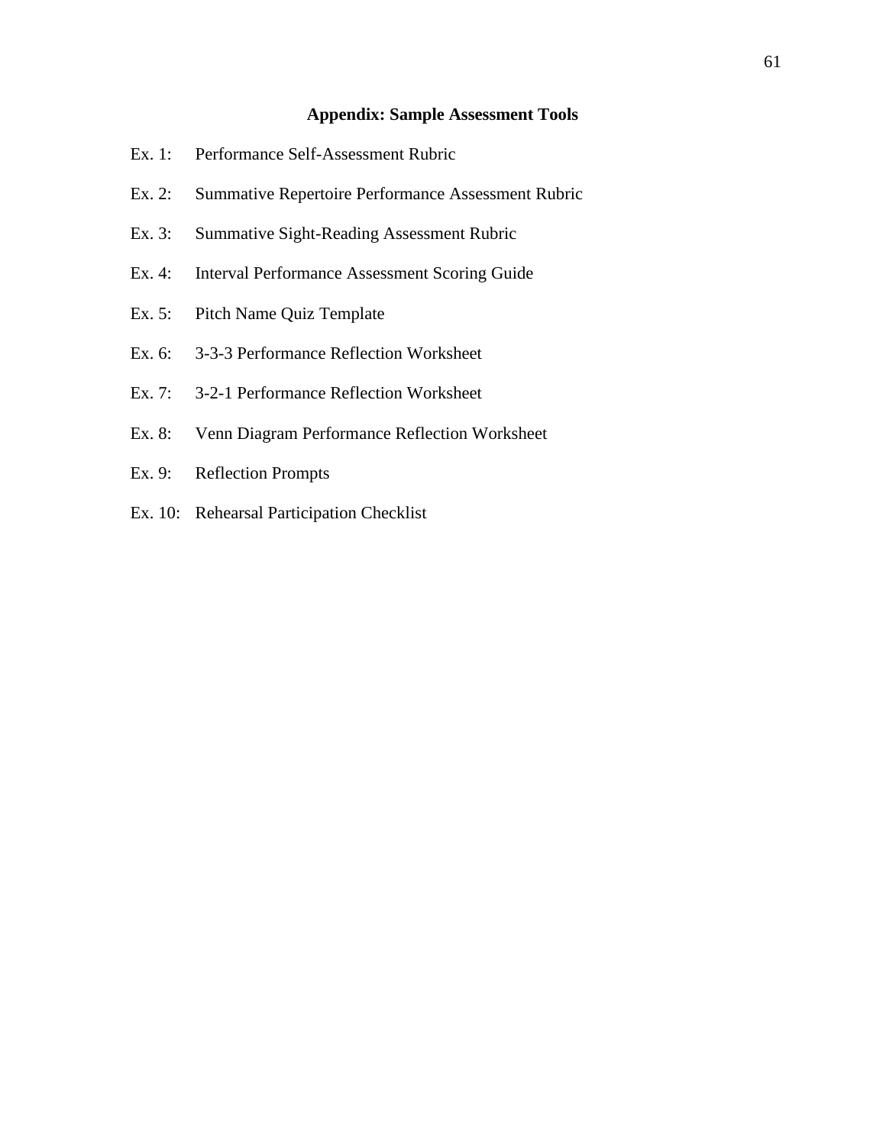## **Appendix: Sample Assessment Tools**

- Ex. 1: Performance Self-Assessment Rubric
- Ex. 2: Summative Repertoire Performance Assessment Rubric
- Ex. 3: Summative Sight-Reading Assessment Rubric
- Ex. 4: Interval Performance Assessment Scoring Guide
- Ex. 5: Pitch Name Quiz Template
- Ex. 6: 3-3-3 Performance Reflection Worksheet
- Ex. 7: 3-2-1 Performance Reflection Worksheet
- Ex. 8: Venn Diagram Performance Reflection Worksheet
- Ex. 9: Reflection Prompts
- Ex. 10: Rehearsal Participation Checklist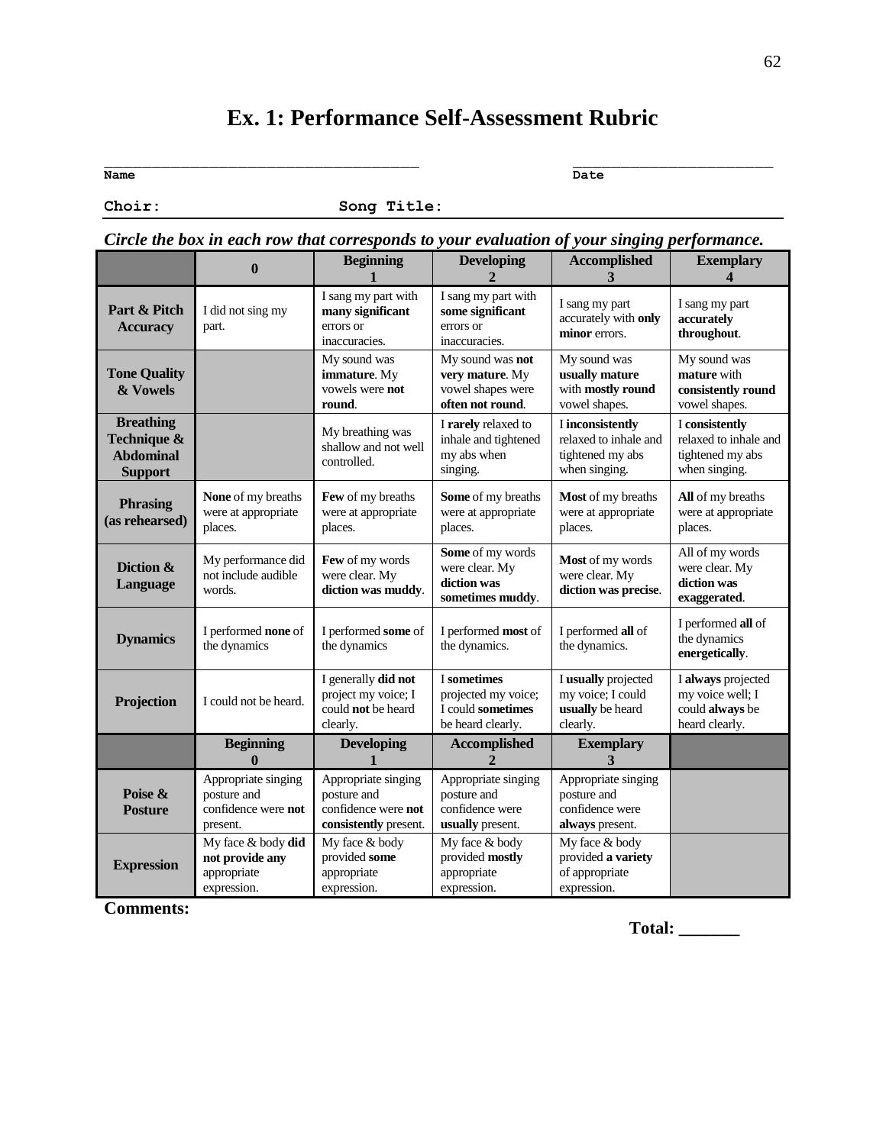# **Ex. 1: Performance Self-Assessment Rubric**

**Name Date**

**Choir: Song Title:**

|  |  | Circle the box in each row that corresponds to your evaluation of your singing performance. |
|--|--|---------------------------------------------------------------------------------------------|
|  |  |                                                                                             |

|                                                                       | $\mathbf{0}$                                                          | <b>Beginning</b>                                                                   | <b>Developing</b>                                                            | <b>Accomplished</b><br>3                                                       | <b>Exemplary</b><br>4                                                        |
|-----------------------------------------------------------------------|-----------------------------------------------------------------------|------------------------------------------------------------------------------------|------------------------------------------------------------------------------|--------------------------------------------------------------------------------|------------------------------------------------------------------------------|
| Part & Pitch<br><b>Accuracy</b>                                       | I did not sing my<br>part.                                            | I sang my part with<br>many significant<br>errors or<br>inaccuracies.              | I sang my part with<br>some significant<br>errors or<br>inaccuracies.        | I sang my part<br>accurately with only<br>minor errors.                        | I sang my part<br>accurately<br>throughout.                                  |
| <b>Tone Quality</b><br>& Vowels                                       |                                                                       | My sound was<br>immature. My<br>vowels were not<br>round.                          | My sound was not<br>very mature. My<br>vowel shapes were<br>often not round. | My sound was<br>usually mature<br>with mostly round<br>vowel shapes.           | My sound was<br>mature with<br>consistently round<br>vowel shapes.           |
| <b>Breathing</b><br>Technique &<br><b>Abdominal</b><br><b>Support</b> |                                                                       | My breathing was<br>shallow and not well<br>controlled.                            | I rarely relaxed to<br>inhale and tightened<br>my abs when<br>singing.       | I inconsistently<br>relaxed to inhale and<br>tightened my abs<br>when singing. | I consistently<br>relaxed to inhale and<br>tightened my abs<br>when singing. |
| <b>Phrasing</b><br>(as rehearsed)                                     | None of my breaths<br>were at appropriate<br>places.                  | Few of my breaths<br>were at appropriate<br>places.                                | Some of my breaths<br>were at appropriate<br>places.                         | Most of my breaths<br>were at appropriate<br>places.                           | All of my breaths<br>were at appropriate<br>places.                          |
| Diction &<br>Language                                                 | My performance did<br>not include audible<br>words.                   | Few of my words<br>were clear. My<br>diction was muddy.                            | Some of my words<br>were clear. My<br>diction was<br>sometimes muddy.        | Most of my words<br>were clear. My<br>diction was precise.                     | All of my words<br>were clear. My<br>diction was<br>exaggerated.             |
| <b>Dynamics</b>                                                       | I performed none of<br>the dynamics                                   | I performed some of<br>the dynamics                                                | I performed most of<br>the dynamics.                                         | I performed all of<br>the dynamics.                                            | I performed all of<br>the dynamics<br>energetically.                         |
| Projection                                                            | I could not be heard.                                                 | I generally did not<br>project my voice; I<br>could not be heard<br>clearly.       | I sometimes<br>projected my voice;<br>I could sometimes<br>be heard clearly. | I usually projected<br>my voice; I could<br>usually be heard<br>clearly.       | I always projected<br>my voice well; I<br>could always be<br>heard clearly.  |
|                                                                       | <b>Beginning</b><br>$\mathbf{0}$                                      | <b>Developing</b>                                                                  | <b>Accomplished</b>                                                          | <b>Exemplary</b><br>$\mathbf{3}$                                               |                                                                              |
| Poise &<br><b>Posture</b>                                             | Appropriate singing<br>posture and<br>confidence were not<br>present. | Appropriate singing<br>posture and<br>confidence were not<br>consistently present. | Appropriate singing<br>posture and<br>confidence were<br>usually present.    | Appropriate singing<br>posture and<br>confidence were<br>always present.       |                                                                              |
| <b>Expression</b>                                                     | My face & body did<br>not provide any<br>appropriate<br>expression.   | My face & body<br>provided some<br>appropriate<br>expression.                      | My face & body<br>provided mostly<br>appropriate<br>expression.              | My face & body<br>provided a variety<br>of appropriate<br>expression.          |                                                                              |

**Comments:**

**Total: \_\_\_\_\_\_\_**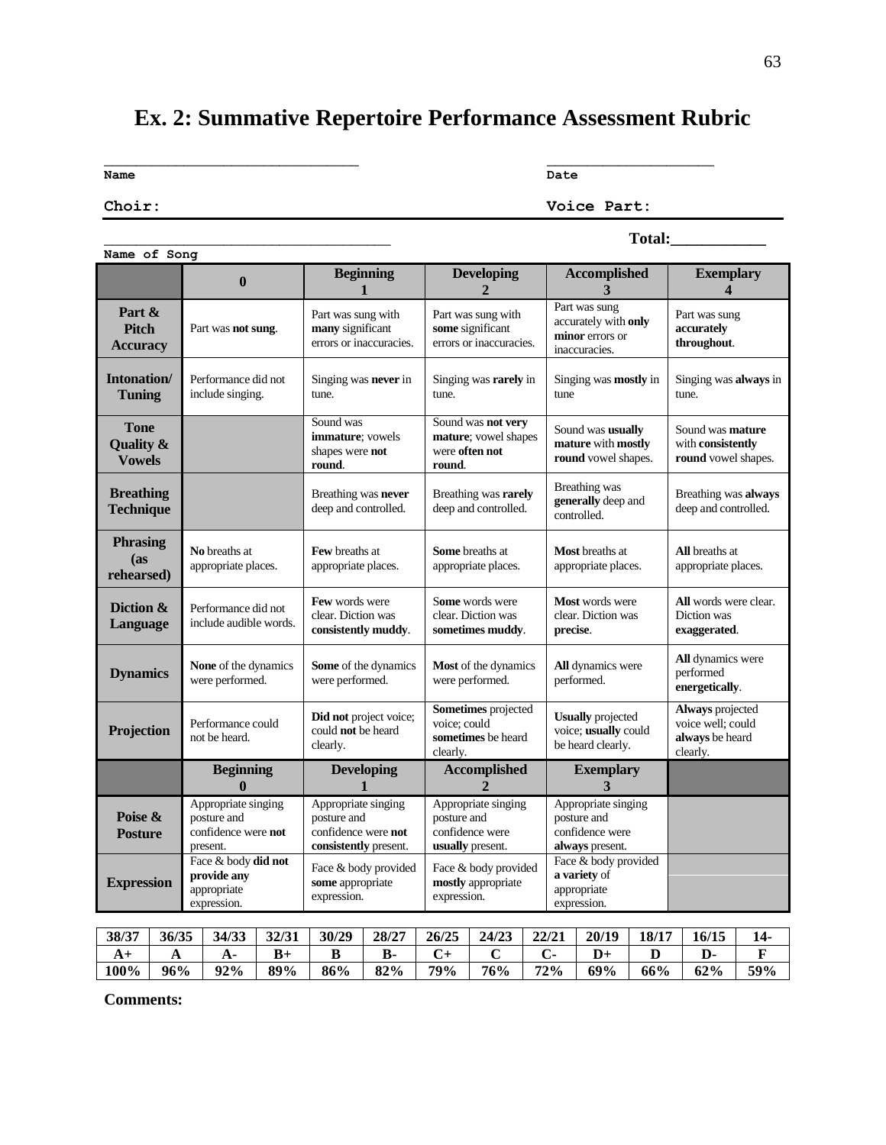# **Ex. 2: Summative Repertoire Performance Assessment Rubric**

\_\_\_\_\_\_\_\_\_\_\_\_\_\_\_\_\_\_\_\_\_\_\_\_\_\_\_\_\_\_\_\_ \_\_\_\_\_\_\_\_\_\_\_\_\_\_\_\_\_\_\_\_\_

**Name Date**

**Choir: Voice Part:**

| Name of Song                                         |                                                                       |                                                                                    |                                                                           |                                                                           |                                                                      |
|------------------------------------------------------|-----------------------------------------------------------------------|------------------------------------------------------------------------------------|---------------------------------------------------------------------------|---------------------------------------------------------------------------|----------------------------------------------------------------------|
|                                                      | $\bf{0}$                                                              | <b>Beginning</b><br>$\mathbf{1}$                                                   | <b>Developing</b><br>$\mathbf{r}$                                         | <b>Accomplished</b><br>3                                                  | <b>Exemplary</b><br>$\boldsymbol{\Lambda}$                           |
| Part &<br><b>Pitch</b><br><b>Accuracy</b>            | Part was not sung.                                                    | Part was sung with<br>many significant<br>errors or inaccuracies.                  | Part was sung with<br>some significant<br>errors or inaccuracies.         | Part was sung<br>accurately with only<br>minor errors or<br>inaccuracies. | Part was sung<br>accurately<br>throughout.                           |
| Intonation/<br><b>Tuning</b>                         | Performance did not<br>include singing.                               | Singing was <b>never</b> in<br>tune.                                               | Singing was rarely in<br>tune.                                            | Singing was <b>mostly</b> in<br>tune                                      | Singing was always in<br>tune.                                       |
| <b>Tone</b><br><b>Quality &amp;</b><br><b>Vowels</b> |                                                                       | Sound was<br>immature; vowels<br>shapes were not<br>round.                         | Sound was not very<br>mature; vowel shapes<br>were often not<br>round.    | Sound was usually<br>mature with mostly<br>round vowel shapes.            | Sound was <b>mature</b><br>with consistently<br>round vowel shapes.  |
| <b>Breathing</b><br><b>Technique</b>                 |                                                                       | Breathing was never<br>deep and controlled.                                        | Breathing was rarely<br>deep and controlled.                              | Breathing was<br>generally deep and<br>controlled.                        | Breathing was always<br>deep and controlled.                         |
| <b>Phrasing</b><br>(as)<br>rehearsed)                | No breaths at<br>appropriate places.                                  | <b>Few</b> breaths at<br>appropriate places.                                       | <b>Some</b> breaths at<br>appropriate places.                             | <b>Most</b> breaths at<br>appropriate places.                             | <b>All</b> breaths at<br>appropriate places.                         |
| Diction &<br>Language                                | Performance did not<br>include audible words.                         | Few words were<br>clear. Diction was<br>consistently muddy.                        | Some words were<br>clear. Diction was<br>sometimes muddy.                 | Most words were<br>clear. Diction was<br>precise.                         | All words were clear.<br>Diction was<br>exaggerated.                 |
| <b>Dynamics</b>                                      | None of the dynamics<br>were performed.                               | Some of the dynamics<br>were performed.                                            | Most of the dynamics<br>were performed.                                   | All dynamics were<br>performed.                                           | All dynamics were<br>performed<br>energetically.                     |
| Projection                                           | Performance could<br>not be heard.                                    | Did not project voice;<br>could <b>not</b> be heard<br>clearly.                    | Sometimes projected<br>voice; could<br>sometimes be heard<br>clearly.     | <b>Usually</b> projected<br>voice; usually could<br>be heard clearly.     | Always projected<br>voice well; could<br>always be heard<br>clearly. |
|                                                      | <b>Beginning</b><br>0                                                 | Developing                                                                         | <b>Accomplished</b><br>$\overline{2}$                                     | <b>Exemplary</b><br>3                                                     |                                                                      |
| Poise &<br><b>Posture</b>                            | Appropriate singing<br>posture and<br>confidence were not<br>present. | Appropriate singing<br>posture and<br>confidence were not<br>consistently present. | Appropriate singing<br>posture and<br>confidence were<br>usually present. | Appropriate singing<br>posture and<br>confidence were<br>always present.  |                                                                      |
| <b>Expression</b>                                    | Face & body did not<br>provide any<br>appropriate<br>expression.      | Face & body provided<br>some appropriate<br>expression.                            | Face & body provided<br>mostly appropriate<br>expression.                 | Face & body provided<br>a variety of<br>appropriate<br>expression.        |                                                                      |

| 38/37 | 36/35          | 34/33 | 32/31 | 30/29 | 28/27 | 26/25 | 24/23 | 22/21 | 20/19 | 18/17 | 16/15 |     |
|-------|----------------|-------|-------|-------|-------|-------|-------|-------|-------|-------|-------|-----|
| 79.T  | $\overline{1}$ |       | $B+$  |       | D-    |       |       |       |       |       | יע    |     |
| 100%  | 96%            | 92%   | 89%   | 86%   | 82%   | 79%   | 76%   | 72%   | 69%   | 66%   | 62%   | 59% |

**Comments:**

\_\_\_\_\_\_\_\_\_\_\_\_\_\_\_\_\_\_\_\_\_\_\_\_\_\_\_\_\_\_\_\_\_\_\_\_ **Total:\_\_\_\_\_\_\_\_\_\_\_\_**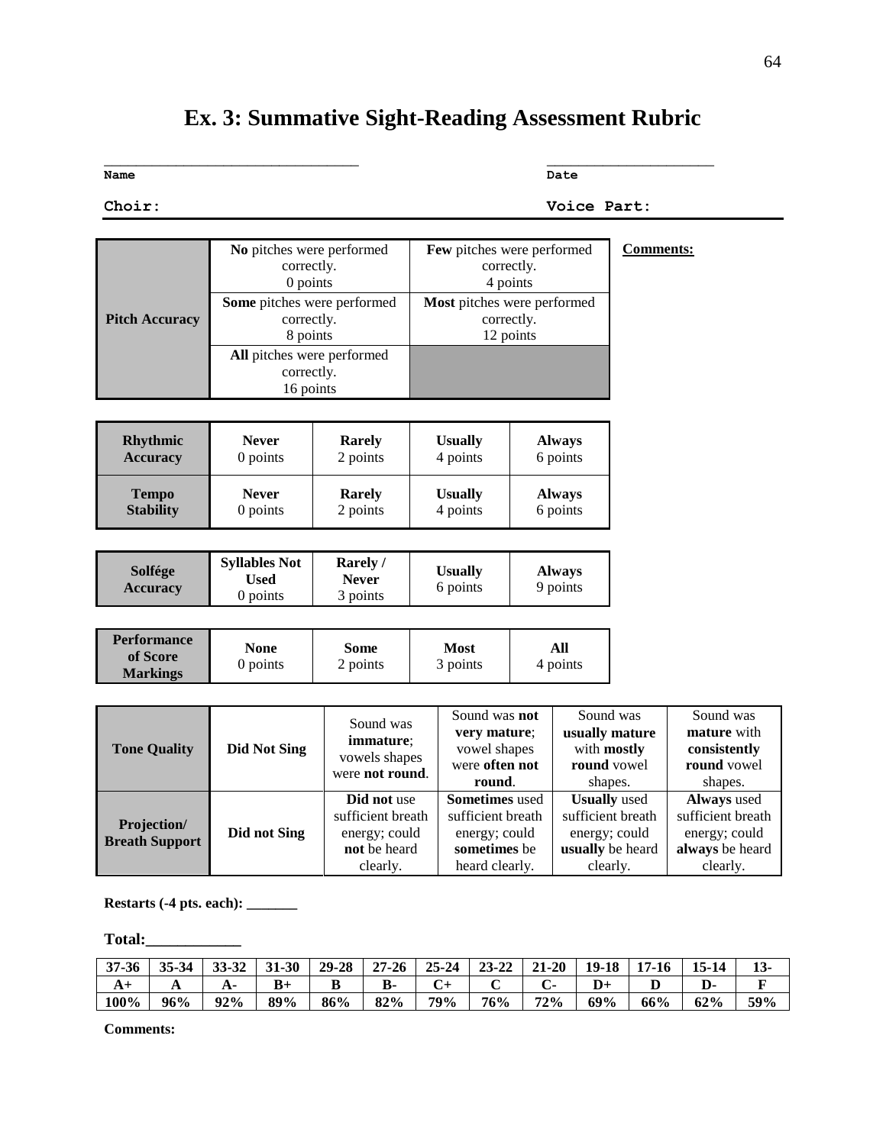# **Ex. 3: Summative Sight-Reading Assessment Rubric**

\_\_\_\_\_\_\_\_\_\_\_\_\_\_\_\_\_\_\_\_\_\_\_\_\_\_\_\_\_\_\_\_ \_\_\_\_\_\_\_\_\_\_\_\_\_\_\_\_\_\_\_\_\_

**Name Date**

**Choir: Voice Part:**

|     | -      |
|-----|--------|
|     |        |
| ۰,  | v      |
|     | . .    |
| . . |        |
|     | $\sim$ |
|     |        |
|     |        |

|                       | No pitches were performed          |               |                | Few pitches were performed         | <b>Comments:</b> |
|-----------------------|------------------------------------|---------------|----------------|------------------------------------|------------------|
|                       | correctly.                         |               |                | correctly.                         |                  |
|                       | 0 points                           |               |                | 4 points                           |                  |
|                       | <b>Some</b> pitches were performed |               |                | <b>Most</b> pitches were performed |                  |
| <b>Pitch Accuracy</b> | correctly.                         |               |                | correctly.                         |                  |
|                       | 8 points                           |               | 12 points      |                                    |                  |
|                       | <b>All</b> pitches were performed  |               |                |                                    |                  |
|                       | correctly.                         |               |                |                                    |                  |
|                       | 16 points                          |               |                |                                    |                  |
|                       |                                    |               |                |                                    |                  |
|                       | <b>Never</b>                       |               |                |                                    |                  |
| <b>Rhythmic</b>       |                                    | <b>Rarely</b> | <b>Usually</b> | <b>Always</b>                      |                  |
| <b>Accuracy</b>       | 0 points                           | 2 points      | 4 points       | 6 points                           |                  |
| <b>Tempo</b>          | <b>Never</b>                       | <b>Rarely</b> | <b>Usually</b> | <b>Always</b>                      |                  |
| <b>Stability</b>      | 0 points                           | 2 points      | 4 points       | 6 points                           |                  |

| Solfége<br><b>Accuracy</b> | <b>Syllables Not</b><br>Used<br>0 points | Rarely<br>Never<br>3 points | <b>Usually</b><br>6 points | <b>Always</b><br>9 points |
|----------------------------|------------------------------------------|-----------------------------|----------------------------|---------------------------|
|----------------------------|------------------------------------------|-----------------------------|----------------------------|---------------------------|

| <b>Performance</b><br>of Score<br><b>Markings</b> | None<br>0 points | Some<br>2 points | Most<br>3 points | All<br>4 points |
|---------------------------------------------------|------------------|------------------|------------------|-----------------|
|---------------------------------------------------|------------------|------------------|------------------|-----------------|

| <b>Tone Quality</b>   | <b>Did Not Sing</b> | Sound was<br>immature;<br>vowels shapes<br>were not round. | Sound was <b>not</b><br>very mature:<br>vowel shapes<br>were often not<br>round. | Sound was<br>usually mature<br>with mostly<br>round vowel<br>shapes. | Sound was<br>mature with<br>consistently<br>round vowel<br>shapes. |
|-----------------------|---------------------|------------------------------------------------------------|----------------------------------------------------------------------------------|----------------------------------------------------------------------|--------------------------------------------------------------------|
|                       |                     | Did not use                                                | <b>Sometimes</b> used                                                            | <b>Usually</b> used                                                  | <b>Always</b> used                                                 |
| Projection/           |                     | sufficient breath                                          | sufficient breath                                                                | sufficient breath                                                    | sufficient breath                                                  |
| <b>Breath Support</b> | Did not Sing        | energy; could                                              | energy; could                                                                    | energy; could                                                        | energy; could                                                      |
|                       |                     | not be heard                                               | sometimes be                                                                     | usually be heard                                                     | always be heard                                                    |
|                       |                     | clearly.                                                   | heard clearly.                                                                   | clearly.                                                             | clearly.                                                           |

**Restarts (-4 pts. each): \_\_\_\_\_\_\_**

**Total:\_\_\_\_\_\_\_\_\_\_\_\_**

| 37-36 | 35-34 | 33-32 | $31 - 30$ | 29-28 | $27 - 26$ | 25-24 | $23 - 22$ | $21 - 20$ | 19-18 | $17 - 16$ | $15 - 14$ | $13-$ |
|-------|-------|-------|-----------|-------|-----------|-------|-----------|-----------|-------|-----------|-----------|-------|
| A١    | A     | А.    | $B+$      | D     | В-        |       |           |           |       | D         |           |       |
| 100%  | 96%   | 92%   | 89%       | 86%   | 82%       | 79%   | 76%       | 72%       | 69%   | 66%       | 62%       | 59%   |

**Comments:**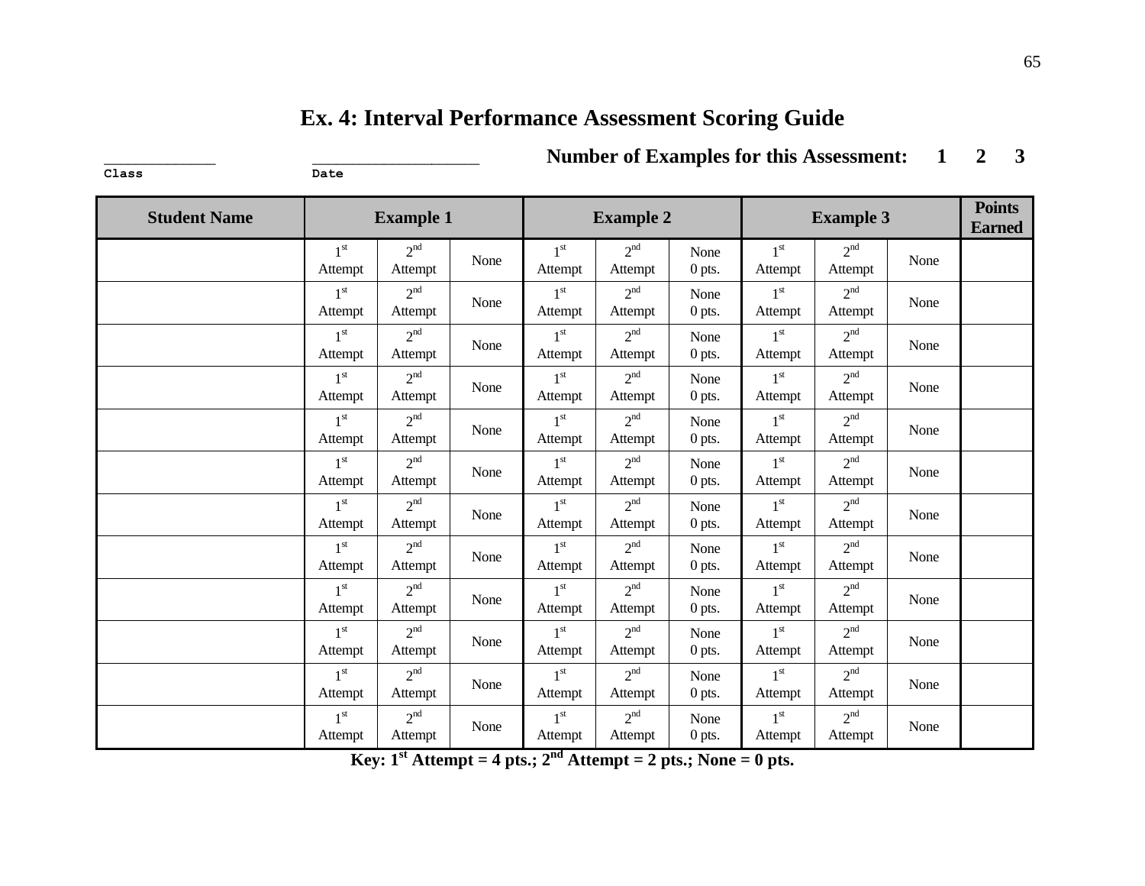# **Ex. 4: Interval Performance Assessment Scoring Guide**

 $\frac{1}{2}$ 

\_\_\_\_\_\_\_\_\_\_\_\_\_\_ \_\_\_\_\_\_\_\_\_\_\_\_\_\_\_\_\_\_\_\_\_ **Number of Examples for this Assessment: 1 2 3**

| <b>Student Name</b> |                            | <b>Example 1</b>           |      |                            | <b>Example 2</b>           |                  |                            | <b>Example 3</b>           |      | <b>Points</b><br><b>Earned</b> |
|---------------------|----------------------------|----------------------------|------|----------------------------|----------------------------|------------------|----------------------------|----------------------------|------|--------------------------------|
|                     | 1 <sup>st</sup><br>Attempt | 2 <sup>nd</sup><br>Attempt | None | $1^{\rm st}$<br>Attempt    | $2^{nd}$<br>Attempt        | None<br>0 pts.   | 1 <sup>st</sup><br>Attempt | 2 <sup>nd</sup><br>Attempt | None |                                |
|                     | 1 <sup>st</sup><br>Attempt | 2 <sup>nd</sup><br>Attempt | None | 1 <sup>st</sup><br>Attempt | 2 <sup>nd</sup><br>Attempt | None<br>$0$ pts. | 1 <sup>st</sup><br>Attempt | 2 <sup>nd</sup><br>Attempt | None |                                |
|                     | 1 <sup>st</sup><br>Attempt | 2 <sup>nd</sup><br>Attempt | None | 1 <sup>st</sup><br>Attempt | 2 <sup>nd</sup><br>Attempt | None<br>0 pts.   | 1 <sup>st</sup><br>Attempt | 2 <sup>nd</sup><br>Attempt | None |                                |
|                     | 1 <sup>st</sup><br>Attempt | 2 <sup>nd</sup><br>Attempt | None | 1 <sup>st</sup><br>Attempt | 2 <sup>nd</sup><br>Attempt | None<br>0 pts.   | 1 <sup>st</sup><br>Attempt | 2 <sup>nd</sup><br>Attempt | None |                                |
|                     | 1 <sup>st</sup><br>Attempt | 2 <sup>nd</sup><br>Attempt | None | 1 <sup>st</sup><br>Attempt | 2 <sup>nd</sup><br>Attempt | None<br>0 pts.   | 1 <sup>st</sup><br>Attempt | 2 <sup>nd</sup><br>Attempt | None |                                |
|                     | 1 <sup>st</sup><br>Attempt | 2 <sup>nd</sup><br>Attempt | None | 1 <sup>st</sup><br>Attempt | 2 <sup>nd</sup><br>Attempt | None<br>0 pts.   | 1 <sup>st</sup><br>Attempt | 2 <sup>nd</sup><br>Attempt | None |                                |
|                     | 1 <sup>st</sup><br>Attempt | 2 <sup>nd</sup><br>Attempt | None | 1 <sup>st</sup><br>Attempt | 2 <sup>nd</sup><br>Attempt | None<br>0 pts.   | 1 <sup>st</sup><br>Attempt | 2 <sup>nd</sup><br>Attempt | None |                                |
|                     | 1 <sup>st</sup><br>Attempt | 2 <sup>nd</sup><br>Attempt | None | 1 <sup>st</sup><br>Attempt | 2 <sup>nd</sup><br>Attempt | None<br>$0$ pts. | 1 <sup>st</sup><br>Attempt | 2 <sup>nd</sup><br>Attempt | None |                                |
|                     | 1 <sup>st</sup><br>Attempt | 2 <sup>nd</sup><br>Attempt | None | 1 <sup>st</sup><br>Attempt | 2 <sup>nd</sup><br>Attempt | None<br>0 pts.   | 1 <sup>st</sup><br>Attempt | 2 <sup>nd</sup><br>Attempt | None |                                |
|                     | 1 <sup>st</sup><br>Attempt | 2 <sup>nd</sup><br>Attempt | None | 1 <sup>st</sup><br>Attempt | 2 <sup>nd</sup><br>Attempt | None<br>0 pts.   | 1 <sup>st</sup><br>Attempt | 2 <sup>nd</sup><br>Attempt | None |                                |
|                     | 1 <sup>st</sup><br>Attempt | 2 <sup>nd</sup><br>Attempt | None | 1 <sup>st</sup><br>Attempt | 2 <sup>nd</sup><br>Attempt | None<br>0 pts.   | 1 <sup>st</sup><br>Attempt | 2 <sup>nd</sup><br>Attempt | None |                                |
|                     | 1 <sup>st</sup><br>Attempt | 2 <sup>nd</sup><br>Attempt | None | 1 <sup>st</sup><br>Attempt | 2 <sup>nd</sup><br>Attempt | None<br>0 pts.   | 1 <sup>st</sup><br>Attempt | 2 <sup>nd</sup><br>Attempt | None |                                |

**Key:**  $1^{st}$  **Attempt = 4 pts.;**  $2^{nd}$  **Attempt = 2 pts.;** None = 0 pts.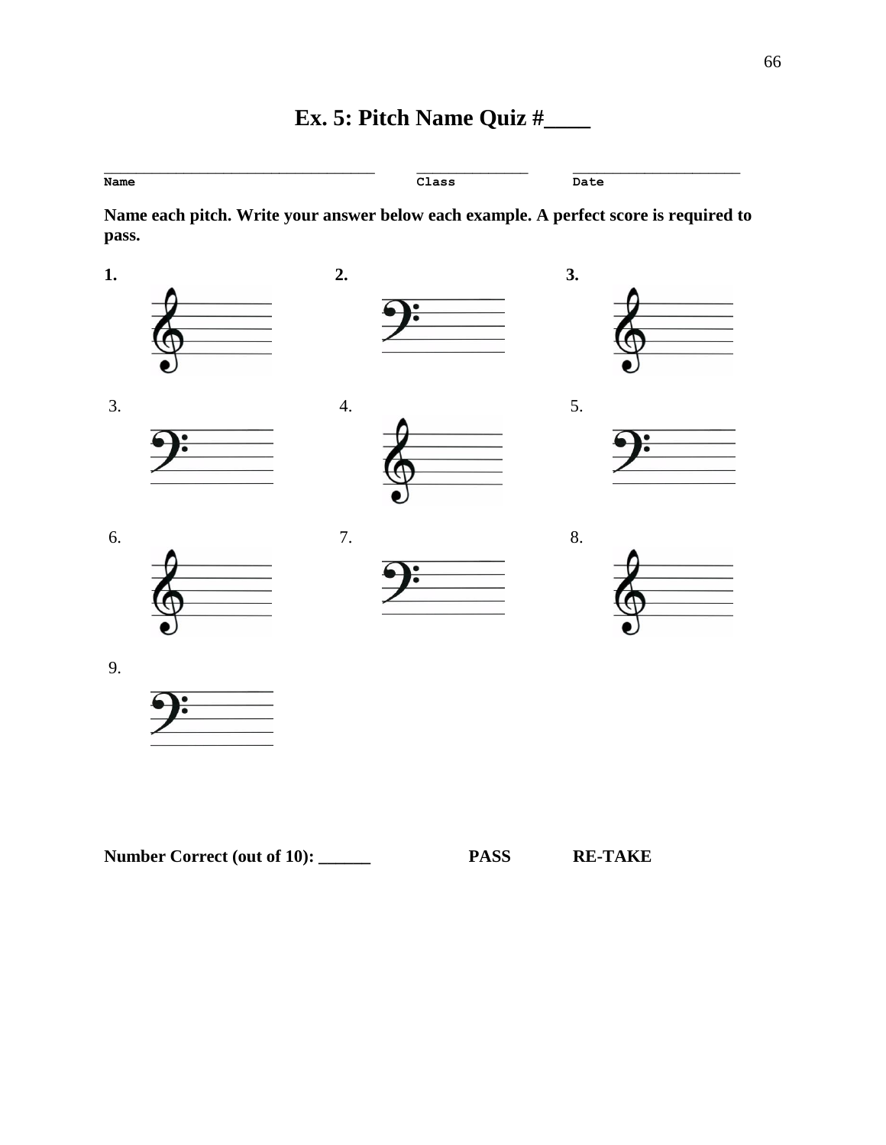# **Ex. 5: Pitch Name Quiz #\_\_\_\_**

| Name | Class | Date |
|------|-------|------|

**Name each pitch. Write your answer below each example. A perfect score is required to pass.**



| <b>Number Correct (out of 10):</b> | <b>PASS</b> | <b>RE-TAKE</b> |
|------------------------------------|-------------|----------------|
|------------------------------------|-------------|----------------|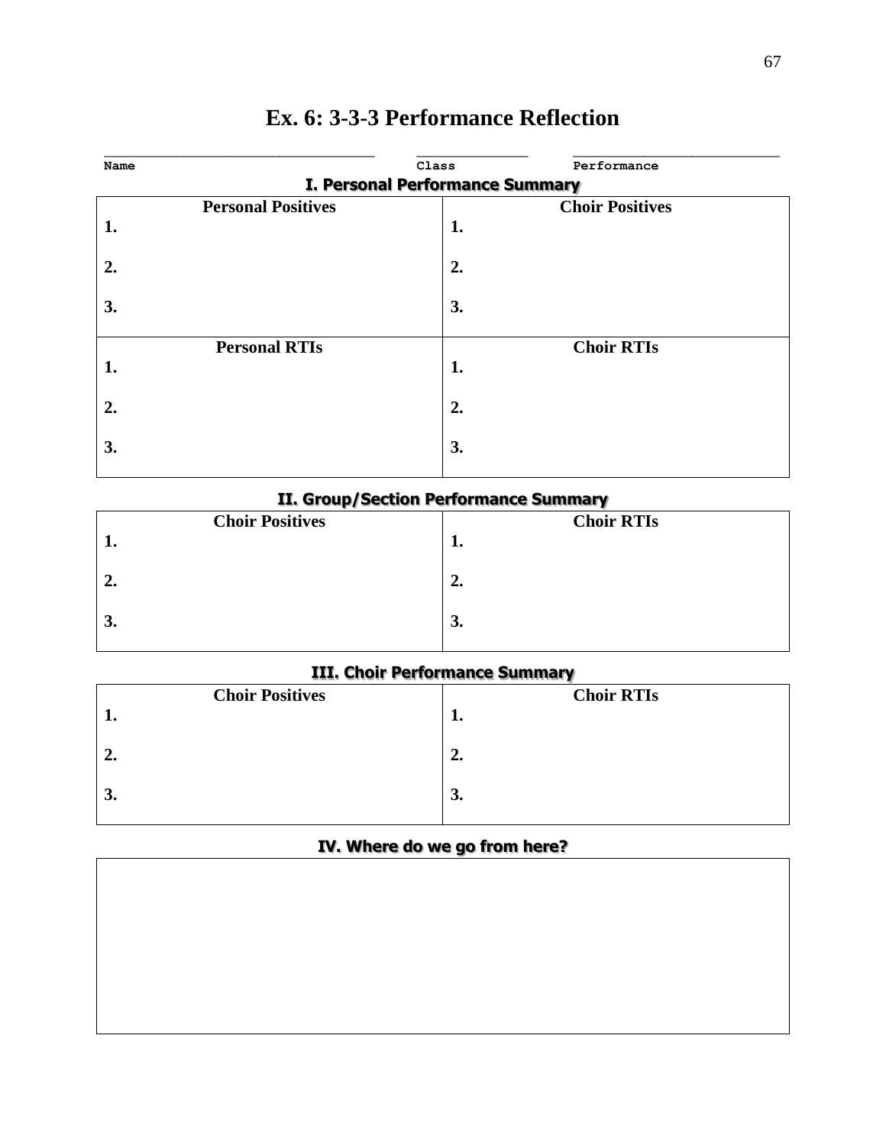|                                 | Class                                             | Performance            |  |
|---------------------------------|---------------------------------------------------|------------------------|--|
| I. Personal Performance Summary |                                                   |                        |  |
|                                 |                                                   | <b>Choir Positives</b> |  |
|                                 | 1.                                                |                        |  |
|                                 |                                                   |                        |  |
|                                 |                                                   |                        |  |
|                                 |                                                   |                        |  |
|                                 |                                                   |                        |  |
|                                 |                                                   | <b>Choir RTIs</b>      |  |
|                                 | 1.                                                |                        |  |
|                                 |                                                   |                        |  |
|                                 |                                                   |                        |  |
|                                 |                                                   |                        |  |
|                                 | 3.                                                |                        |  |
|                                 | <b>Personal Positives</b><br><b>Personal RTIs</b> | 2.<br>3.<br>2.         |  |

# **Ex. 6: 3-3-3 Performance Reflection**

## **II. Group/Section Performance Summary**

| <b>Choir Positives</b> | <b>Choir RTIs</b> |
|------------------------|-------------------|
| ı.                     | ı.                |
| ⊷                      | 2.                |
| о<br>J.                | 3.                |

## **III. Choir Performance Summary**

| <b>Choir Positives</b> | <b>Choir RTIs</b> |
|------------------------|-------------------|
| . .                    | T.                |
| 2.                     | 2.                |
| 3.                     | 3.                |

## **IV. Where do we go from here?**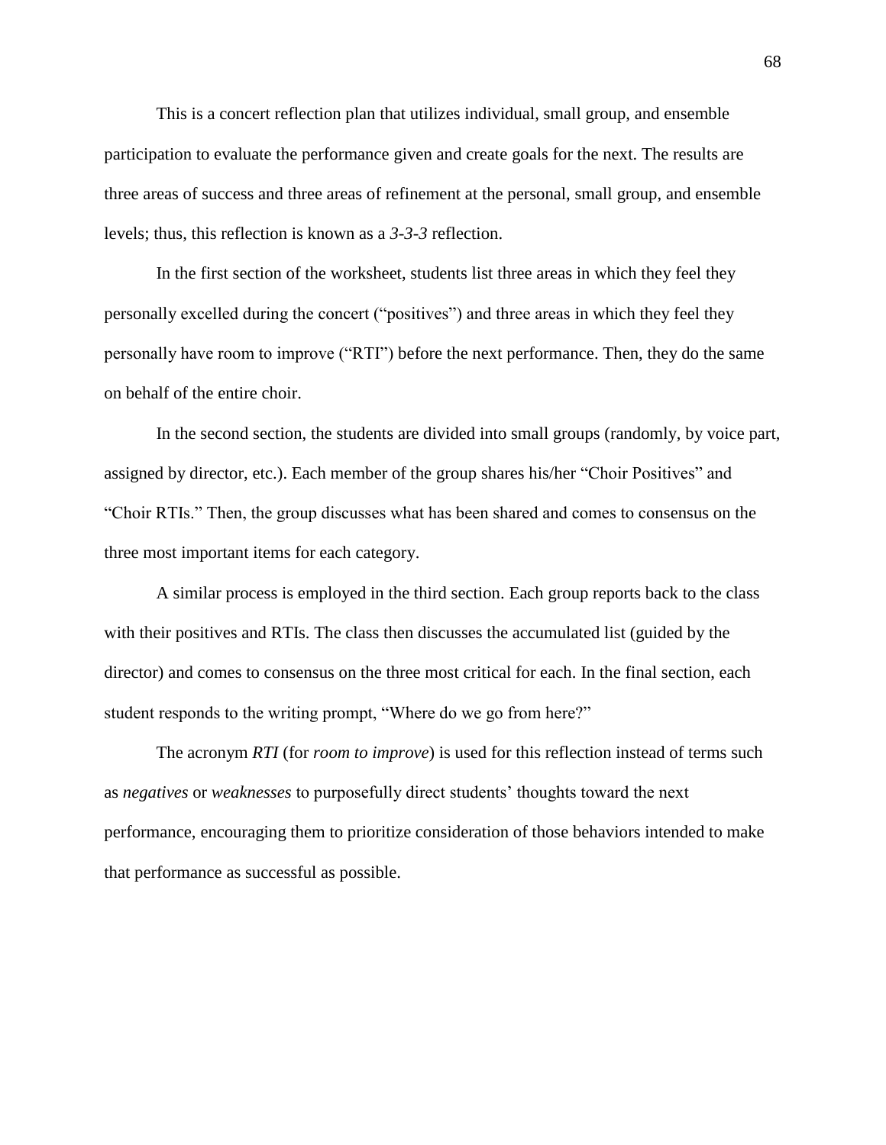This is a concert reflection plan that utilizes individual, small group, and ensemble participation to evaluate the performance given and create goals for the next. The results are three areas of success and three areas of refinement at the personal, small group, and ensemble levels; thus, this reflection is known as a *3-3-3* reflection.

In the first section of the worksheet, students list three areas in which they feel they personally excelled during the concert ("positives") and three areas in which they feel they personally have room to improve ("RTI") before the next performance. Then, they do the same on behalf of the entire choir.

In the second section, the students are divided into small groups (randomly, by voice part, assigned by director, etc.). Each member of the group shares his/her "Choir Positives" and "Choir RTIs." Then, the group discusses what has been shared and comes to consensus on the three most important items for each category.

A similar process is employed in the third section. Each group reports back to the class with their positives and RTIs. The class then discusses the accumulated list (guided by the director) and comes to consensus on the three most critical for each. In the final section, each student responds to the writing prompt, "Where do we go from here?"

The acronym *RTI* (for *room to improve*) is used for this reflection instead of terms such as *negatives* or *weaknesses* to purposefully direct students' thoughts toward the next performance, encouraging them to prioritize consideration of those behaviors intended to make that performance as successful as possible.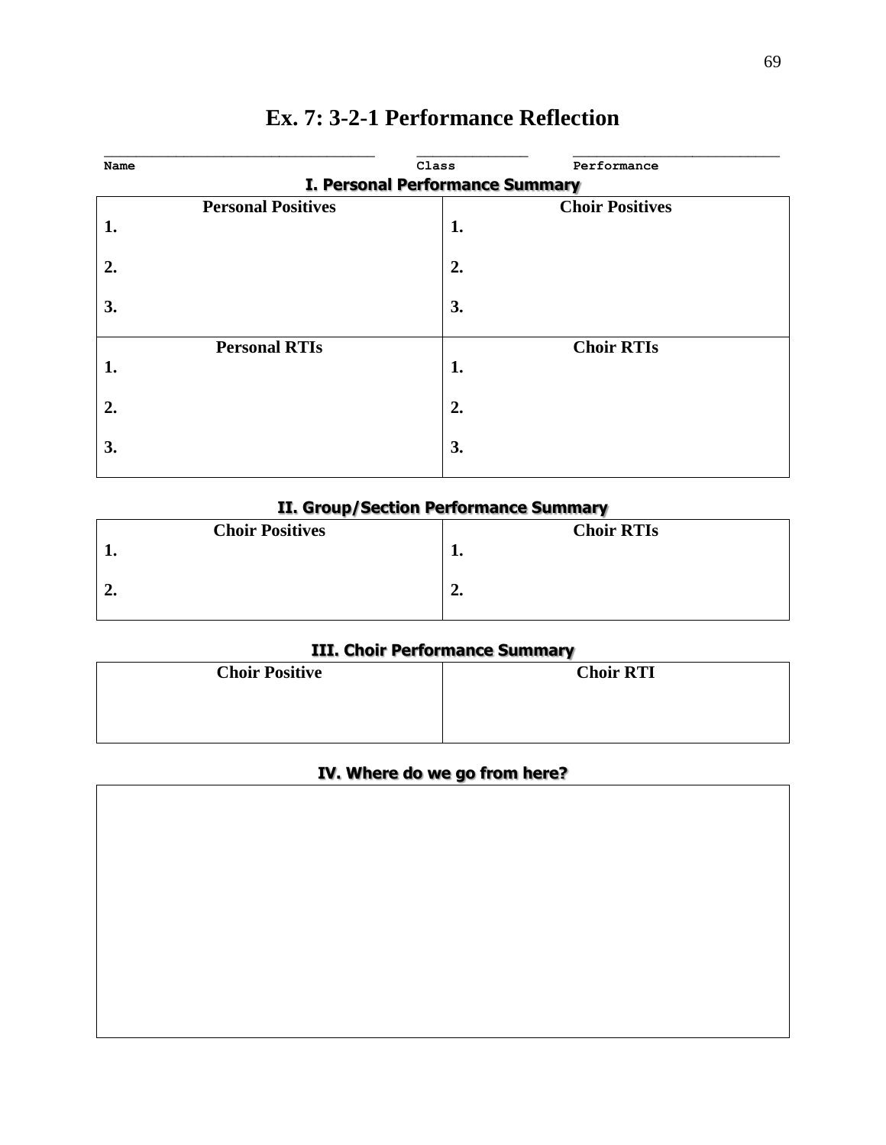| Name |                                                     | Class | Performance       |  |
|------|-----------------------------------------------------|-------|-------------------|--|
|      | I. Personal Performance Summary                     |       |                   |  |
|      | <b>Personal Positives</b><br><b>Choir Positives</b> |       |                   |  |
| 1.   |                                                     | 1.    |                   |  |
|      |                                                     |       |                   |  |
| 2.   |                                                     | 2.    |                   |  |
|      |                                                     |       |                   |  |
| 3.   |                                                     | 3.    |                   |  |
|      | <b>Personal RTIs</b>                                |       | <b>Choir RTIs</b> |  |
| 1.   |                                                     | 1.    |                   |  |
|      |                                                     |       |                   |  |
| 2.   |                                                     | 2.    |                   |  |
|      |                                                     |       |                   |  |
| 3.   |                                                     | 3.    |                   |  |
|      |                                                     |       |                   |  |

# **Ex. 7: 3-2-1 Performance Reflection**

## **II. Group/Section Performance Summary**

|      | <b>Choir Positives</b> | <b>Choir RTIs</b> |
|------|------------------------|-------------------|
|      |                        | <b></b>           |
| ہ ہے |                        | "                 |

## **III. Choir Performance Summary**

| <b>Choir Positive</b> | <b>Choir RTI</b> |
|-----------------------|------------------|
|                       |                  |
|                       |                  |

## **IV. Where do we go from here?**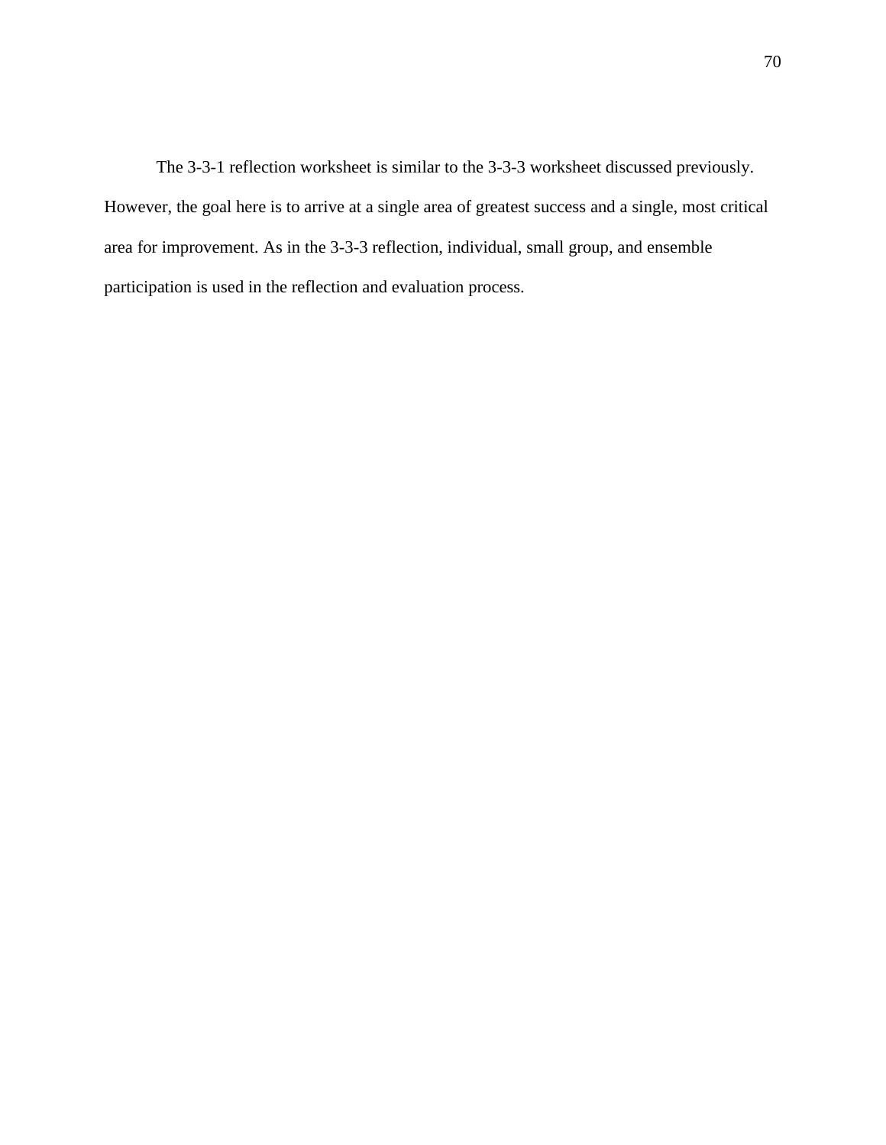The 3-3-1 reflection worksheet is similar to the 3-3-3 worksheet discussed previously. However, the goal here is to arrive at a single area of greatest success and a single, most critical area for improvement. As in the 3-3-3 reflection, individual, small group, and ensemble participation is used in the reflection and evaluation process.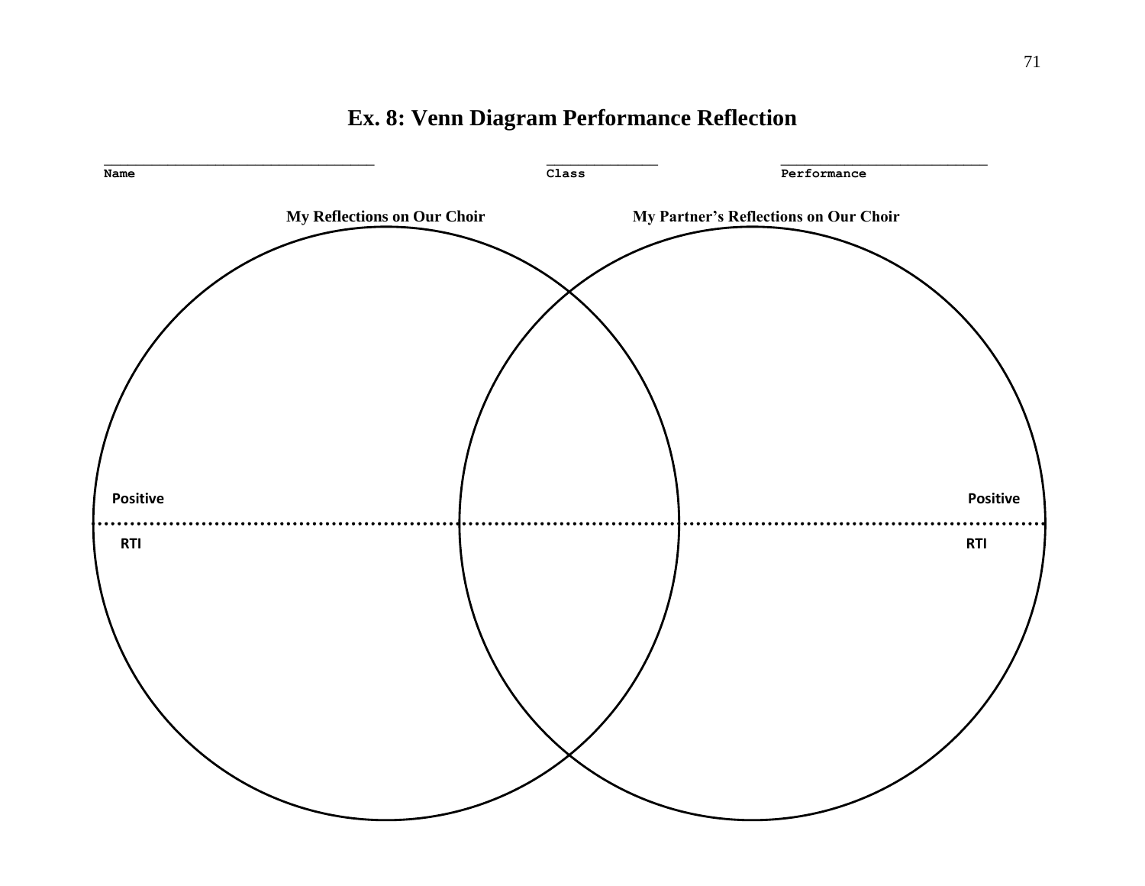

## **Ex. 8: Venn Diagram Performance Reflection**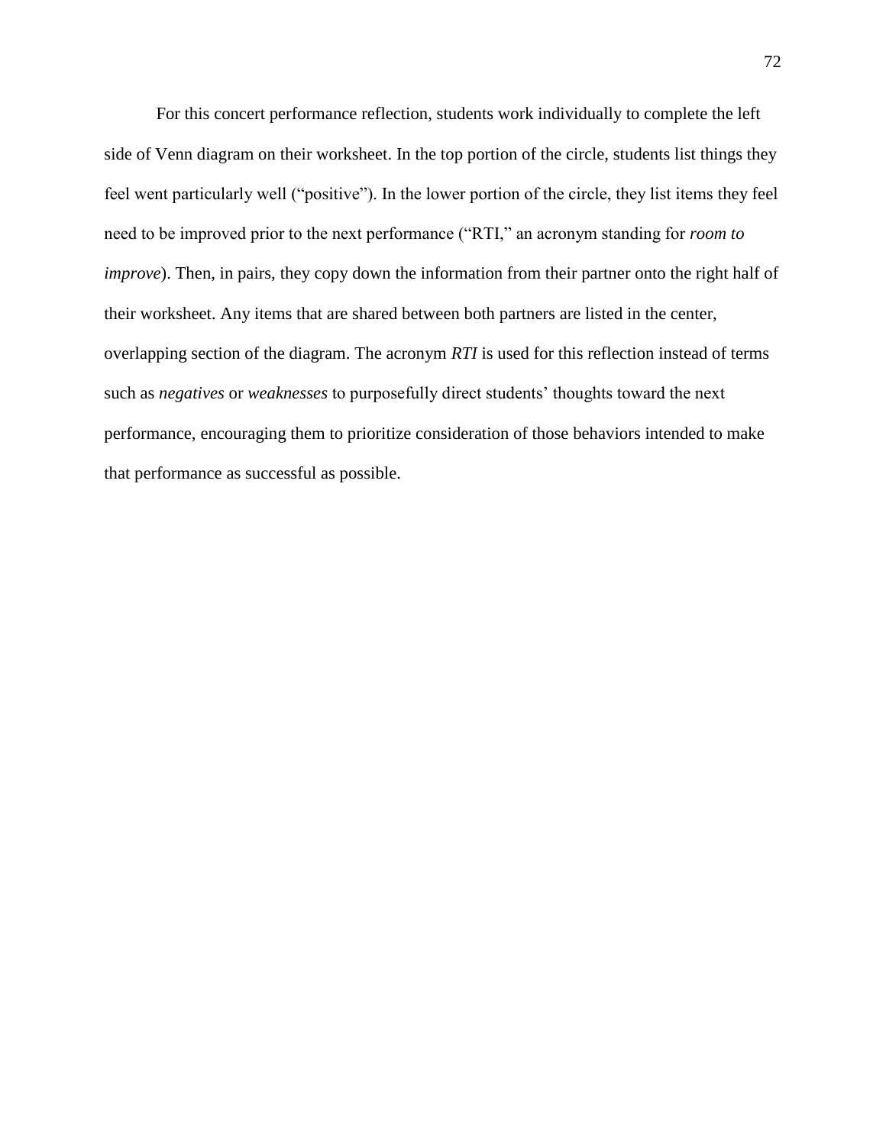For this concert performance reflection, students work individually to complete the left side of Venn diagram on their worksheet. In the top portion of the circle, students list things they feel went particularly well ("positive"). In the lower portion of the circle, they list items they feel need to be improved prior to the next performance ("RTI," an acronym standing for *room to improve*). Then, in pairs, they copy down the information from their partner onto the right half of their worksheet. Any items that are shared between both partners are listed in the center, overlapping section of the diagram. The acronym *RTI* is used for this reflection instead of terms such as *negatives* or *weaknesses* to purposefully direct students' thoughts toward the next performance, encouraging them to prioritize consideration of those behaviors intended to make that performance as successful as possible.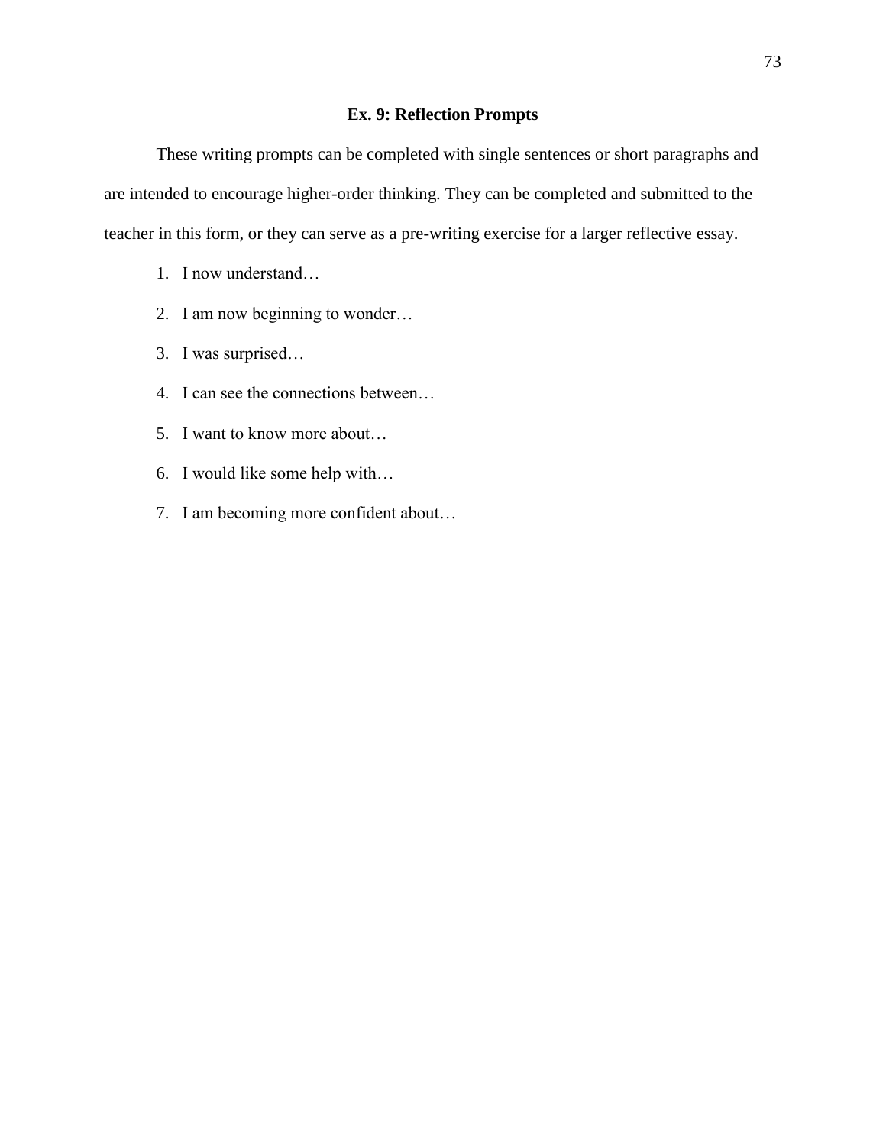## **Ex. 9: Reflection Prompts**

These writing prompts can be completed with single sentences or short paragraphs and are intended to encourage higher-order thinking. They can be completed and submitted to the teacher in this form, or they can serve as a pre-writing exercise for a larger reflective essay.

- 1. I now understand…
- 2. I am now beginning to wonder…
- 3. I was surprised…
- 4. I can see the connections between…
- 5. I want to know more about…
- 6. I would like some help with…
- 7. I am becoming more confident about…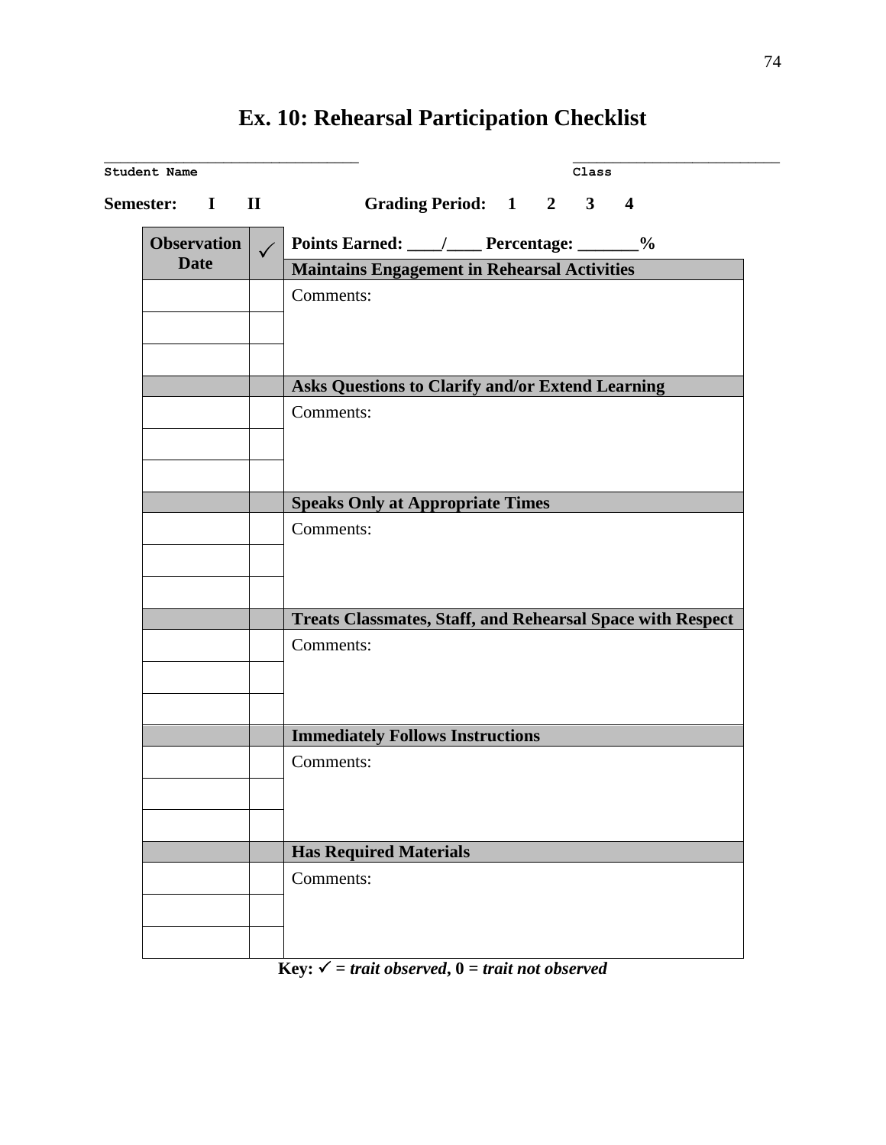| <b>Semester:</b> I                |  | Grading Period: 1 2 3 4<br>$\mathbf{H}$ and $\mathbf{H}$ and $\mathbf{H}$ are the set of $\mathbf{H}$ |
|-----------------------------------|--|-------------------------------------------------------------------------------------------------------|
| <b>Observation</b><br><b>Date</b> |  | Points Earned: ____/____ Percentage: ______%                                                          |
|                                   |  | <b>Maintains Engagement in Rehearsal Activities</b>                                                   |
|                                   |  | Comments:                                                                                             |
|                                   |  |                                                                                                       |
|                                   |  |                                                                                                       |
|                                   |  |                                                                                                       |
|                                   |  | Asks Questions to Clarify and/or Extend Learning                                                      |
|                                   |  | Comments:                                                                                             |
|                                   |  |                                                                                                       |
|                                   |  |                                                                                                       |
|                                   |  | <b>Speaks Only at Appropriate Times</b>                                                               |
|                                   |  | Comments:                                                                                             |
|                                   |  |                                                                                                       |
|                                   |  |                                                                                                       |
|                                   |  |                                                                                                       |
|                                   |  | <b>Treats Classmates, Staff, and Rehearsal Space with Respect</b>                                     |
|                                   |  | Comments:                                                                                             |
|                                   |  |                                                                                                       |
|                                   |  |                                                                                                       |
|                                   |  |                                                                                                       |
|                                   |  | <b>Immediately Follows Instructions</b>                                                               |
|                                   |  | Comments:                                                                                             |
|                                   |  |                                                                                                       |
|                                   |  |                                                                                                       |
|                                   |  |                                                                                                       |
|                                   |  | <b>Has Required Materials</b>                                                                         |
|                                   |  | Comments:                                                                                             |
|                                   |  |                                                                                                       |
|                                   |  |                                                                                                       |

## **Ex. 10: Rehearsal Participation Checklist**

 $Key: \checkmark$  = *trait observed*,  $0 = \text{train not observed}$